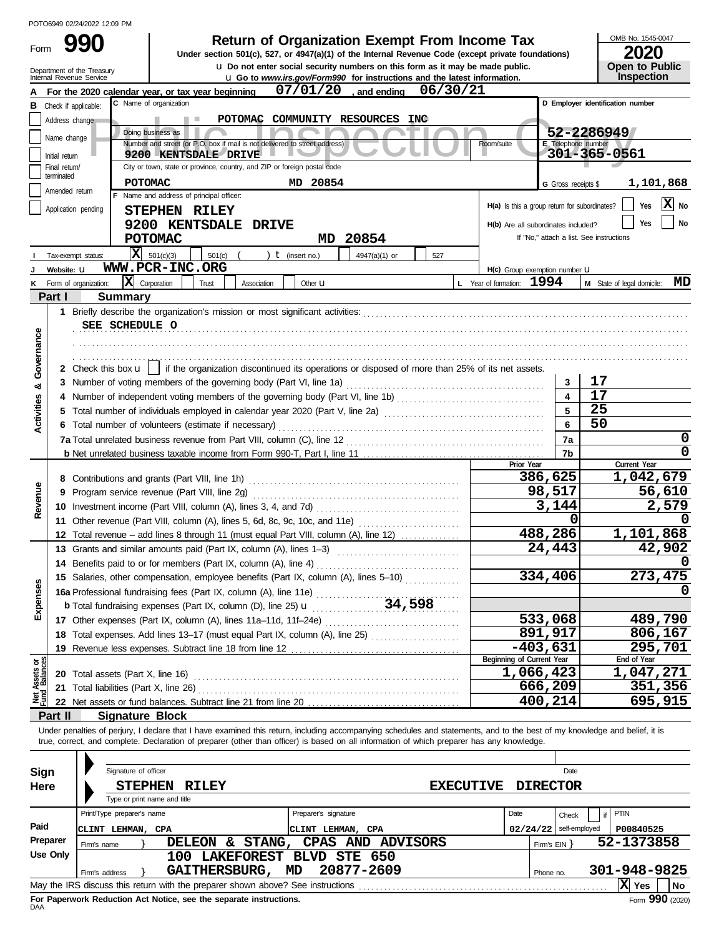|                         |                      | POTO6949 02/24/2022 12:09 PM                           |                                                                                                                                                                            |                                                                                                    |                  |                                               |                            |                                          |
|-------------------------|----------------------|--------------------------------------------------------|----------------------------------------------------------------------------------------------------------------------------------------------------------------------------|----------------------------------------------------------------------------------------------------|------------------|-----------------------------------------------|----------------------------|------------------------------------------|
|                         |                      | 990                                                    |                                                                                                                                                                            | <b>Return of Organization Exempt From Income Tax</b>                                               |                  |                                               |                            | OMB No. 1545-0047                        |
| Form                    |                      |                                                        |                                                                                                                                                                            | Under section 501(c), 527, or 4947(a)(1) of the Internal Revenue Code (except private foundations) |                  |                                               |                            | 2020                                     |
|                         |                      | Department of the Treasury<br>Internal Revenue Service |                                                                                                                                                                            | u Do not enter social security numbers on this form as it may be made public.                      |                  |                                               |                            | Open to Public                           |
|                         |                      |                                                        |                                                                                                                                                                            | u Go to www.irs.gov/Form990 for instructions and the latest information.                           |                  |                                               |                            | Inspection                               |
|                         |                      |                                                        | For the 2020 calendar year, or tax year beginning<br>C Name of organization                                                                                                | 07/01/20<br>, and ending                                                                           | 06/30/21         |                                               |                            |                                          |
| в                       | Check if applicable: |                                                        |                                                                                                                                                                            |                                                                                                    |                  |                                               |                            | D Employer identification number         |
|                         | Address change       |                                                        |                                                                                                                                                                            | POTOMAC COMMUNITY RESOURCES INC                                                                    |                  |                                               |                            |                                          |
|                         | Name change          |                                                        | Doing business as<br>Number and street (or P.O. box if mail is not delivered to street address)                                                                            |                                                                                                    |                  | Room/suite                                    | E Telephone number         | 52-2286949                               |
|                         | Initial return       |                                                        | 9200 KENTSDALE DRIVE                                                                                                                                                       |                                                                                                    |                  |                                               |                            | 301-365-0561                             |
|                         | Final return/        |                                                        | City or town, state or province, country, and ZIP or foreign postal code                                                                                                   |                                                                                                    |                  |                                               |                            |                                          |
|                         | terminated           | <b>POTOMAC</b>                                         |                                                                                                                                                                            | MD 20854                                                                                           |                  |                                               | G Gross receipts \$        | 1,101,868                                |
|                         | Amended return       |                                                        | F Name and address of principal officer:                                                                                                                                   |                                                                                                    |                  |                                               |                            |                                          |
|                         |                      | Application pending                                    | STEPHEN RILEY                                                                                                                                                              |                                                                                                    |                  | H(a) Is this a group return for subordinates? |                            | X No<br><b>Yes</b>                       |
|                         |                      |                                                        | 9200 KENTSDALE DRIVE                                                                                                                                                       |                                                                                                    |                  | H(b) Are all subordinates included?           |                            | No<br>Yes                                |
|                         |                      |                                                        | <b>POTOMAC</b>                                                                                                                                                             | 20854<br>MD.                                                                                       |                  |                                               |                            | If "No," attach a list. See instructions |
|                         |                      | Tax-exempt status:                                     | $\overline{\mathbf{X}}$ 501(c)(3)<br>501(c)                                                                                                                                | $t$ (insert no.)<br>4947(a)(1) or                                                                  | 527              |                                               |                            |                                          |
|                         | Website: U           |                                                        | WWW.PCR-INC.ORG                                                                                                                                                            |                                                                                                    |                  | H(c) Group exemption number LI                |                            |                                          |
|                         |                      | X Corporation<br>Form of organization:                 | Trust<br>Association                                                                                                                                                       | Other $\mathbf u$                                                                                  |                  | L Year of formation: 1994                     |                            | MD<br>M State of legal domicile:         |
|                         | Part I               | <b>Summary</b>                                         |                                                                                                                                                                            |                                                                                                    |                  |                                               |                            |                                          |
|                         |                      |                                                        |                                                                                                                                                                            |                                                                                                    |                  |                                               |                            |                                          |
|                         |                      | SEE SCHEDULE O                                         |                                                                                                                                                                            |                                                                                                    |                  |                                               |                            |                                          |
| Governance              |                      |                                                        |                                                                                                                                                                            |                                                                                                    |                  |                                               |                            |                                          |
|                         |                      |                                                        |                                                                                                                                                                            |                                                                                                    |                  |                                               |                            |                                          |
|                         |                      |                                                        | 2 Check this box $\mathbf{u}$   if the organization discontinued its operations or disposed of more than 25% of its net assets.                                            |                                                                                                    |                  |                                               |                            |                                          |
|                         |                      |                                                        |                                                                                                                                                                            |                                                                                                    |                  |                                               | 3                          | 17                                       |
| න්                      |                      |                                                        |                                                                                                                                                                            |                                                                                                    |                  |                                               | $\blacktriangle$           | 17                                       |
|                         |                      |                                                        |                                                                                                                                                                            |                                                                                                    |                  |                                               | 5                          | 25                                       |
| <b>Activities</b>       |                      |                                                        | 6 Total number of volunteers (estimate if necessary)                                                                                                                       |                                                                                                    |                  |                                               | 6                          | 50                                       |
|                         |                      |                                                        |                                                                                                                                                                            |                                                                                                    |                  |                                               | 7a                         | 0                                        |
|                         |                      |                                                        |                                                                                                                                                                            |                                                                                                    |                  |                                               | 7b                         | 0                                        |
|                         |                      |                                                        |                                                                                                                                                                            |                                                                                                    |                  | Prior Year                                    |                            | Current Year                             |
|                         |                      |                                                        |                                                                                                                                                                            |                                                                                                    |                  | 386,625                                       | 1,042,679                  |                                          |
|                         |                      |                                                        |                                                                                                                                                                            |                                                                                                    | 98,517           | 56,610                                        |                            |                                          |
| Revenue                 |                      |                                                        |                                                                                                                                                                            |                                                                                                    |                  | 3,144                                         | 2,579                      |                                          |
|                         |                      |                                                        | 11 Other revenue (Part VIII, column (A), lines 5, 6d, 8c, 9c, 10c, and 11e)                                                                                                |                                                                                                    |                  |                                               | 0                          | <sup>0</sup>                             |
|                         |                      |                                                        | 12 Total revenue - add lines 8 through 11 (must equal Part VIII, column (A), line 12)                                                                                      |                                                                                                    |                  |                                               | 488,286                    | 1,101,868                                |
|                         |                      |                                                        | 13 Grants and similar amounts paid (Part IX, column (A), lines 1-3)                                                                                                        |                                                                                                    |                  |                                               | 24,443                     | 42,902                                   |
|                         |                      |                                                        |                                                                                                                                                                            |                                                                                                    |                  |                                               |                            | 0                                        |
|                         |                      |                                                        | 15 Salaries, other compensation, employee benefits (Part IX, column (A), lines 5-10)                                                                                       |                                                                                                    |                  |                                               | 334,406                    | 273,475                                  |
| Expenses                |                      |                                                        |                                                                                                                                                                            |                                                                                                    |                  |                                               |                            | 0                                        |
|                         |                      |                                                        |                                                                                                                                                                            |                                                                                                    |                  |                                               |                            |                                          |
|                         |                      |                                                        | 17 Other expenses (Part IX, column (A), lines 11a-11d, 11f-24e)                                                                                                            |                                                                                                    |                  |                                               | 533,068                    | 489,790                                  |
|                         |                      |                                                        | 18 Total expenses. Add lines 13-17 (must equal Part IX, column (A), line 25)                                                                                               |                                                                                                    |                  |                                               | 891,917                    | 806,167                                  |
|                         |                      |                                                        |                                                                                                                                                                            |                                                                                                    |                  |                                               | $-403,631$                 | $\overline{295,701}$                     |
|                         |                      |                                                        |                                                                                                                                                                            |                                                                                                    |                  | Beginning of Current Year                     |                            | End of Year                              |
| Assets or<br>1 Balances |                      | 20 Total assets (Part X, line 16)                      |                                                                                                                                                                            |                                                                                                    |                  | 1,066,423                                     |                            | 1,047,271                                |
|                         |                      |                                                        |                                                                                                                                                                            |                                                                                                    |                  |                                               | 666,209                    | 351,356                                  |
| 9点<br>Func              |                      |                                                        |                                                                                                                                                                            |                                                                                                    |                  |                                               | $\overline{400,214}$       | 695,915                                  |
|                         | Part II              | <b>Signature Block</b>                                 |                                                                                                                                                                            |                                                                                                    |                  |                                               |                            |                                          |
|                         |                      |                                                        | Under penalties of perjury, I declare that I have examined this return, including accompanying schedules and statements, and to the best of my knowledge and belief, it is |                                                                                                    |                  |                                               |                            |                                          |
|                         |                      |                                                        | true, correct, and complete. Declaration of preparer (other than officer) is based on all information of which preparer has any knowledge.                                 |                                                                                                    |                  |                                               |                            |                                          |
|                         |                      |                                                        |                                                                                                                                                                            |                                                                                                    |                  |                                               |                            |                                          |
| Sign                    |                      | Signature of officer                                   | Date                                                                                                                                                                       |                                                                                                    |                  |                                               |                            |                                          |
| Here                    |                      | <b>STEPHEN</b>                                         | RILEY                                                                                                                                                                      |                                                                                                    | <b>EXECUTIVE</b> |                                               | <b>DIRECTOR</b>            |                                          |
|                         |                      |                                                        | Type or print name and title                                                                                                                                               |                                                                                                    |                  |                                               |                            |                                          |
|                         |                      | Print/Type preparer's name                             |                                                                                                                                                                            | Preparer's signature                                                                               |                  | Date                                          | Check                      | PTIN                                     |
| Paid                    |                      | CLINT LEHMAN, CPA                                      |                                                                                                                                                                            | CLINT LEHMAN, CPA                                                                                  |                  |                                               | $02/24/22$   self-employed | P00840525                                |
|                         | Preparer             | Firm's name                                            |                                                                                                                                                                            | DELEON & STANG, CPAS AND ADVISORS                                                                  |                  |                                               | Firm's $EIN$ }             | 52-1373858                               |
|                         | <b>Use Only</b>      |                                                        | 100 LAKEFOREST BLVD STE 650                                                                                                                                                |                                                                                                    |                  |                                               |                            |                                          |
|                         |                      | Firm's address                                         | GAITHERSBURG, MD                                                                                                                                                           | 20877-2609                                                                                         |                  |                                               | Phone no.                  | 301-948-9825                             |
|                         |                      |                                                        |                                                                                                                                                                            |                                                                                                    |                  |                                               |                            | X Yes<br>No                              |

| Sign<br>Here | Signature of officer<br><b>STEPHEN</b> | <b>RILEY</b>                                                                    | Date<br><b>DIRECTOR</b><br><b>EXECUTIVE</b> |           |                            |                         |  |
|--------------|----------------------------------------|---------------------------------------------------------------------------------|---------------------------------------------|-----------|----------------------------|-------------------------|--|
|              | Type or print name and title           |                                                                                 |                                             |           |                            |                         |  |
|              | Print/Type preparer's name             |                                                                                 | Preparer's signature                        | Date      | Check                      | <b>PTIN</b>             |  |
| Paid         | CLINT LEHMAN, CPA                      |                                                                                 | CLINT LEHMAN, CPA                           |           | $02/24/22$ self-employed   | P00840525               |  |
| Preparer     | Firm's name                            | STANG,<br><b>DELEON</b><br>&.                                                   | CPAS AND ADVISORS                           |           | 52-1373858<br>Firm's $EIN$ |                         |  |
| Use Only     |                                        | <b>LAKEFOREST</b><br>100.                                                       | <b>BLVD</b><br><b>STE 650</b>               |           |                            |                         |  |
|              | Firm's address                         | <b>GAITHERSBURG,</b>                                                            | 20877-2609<br>MD.                           | Phone no. |                            | 301-948-9825            |  |
|              |                                        | May the IRS discuss this return with the preparer shown above? See instructions |                                             |           |                            | ΙXΙ<br><b>No</b><br>Yes |  |
|              |                                        | For Paperwork Reduction Act Notice, see the separate instructions.              |                                             |           |                            | Form 990 (2020)         |  |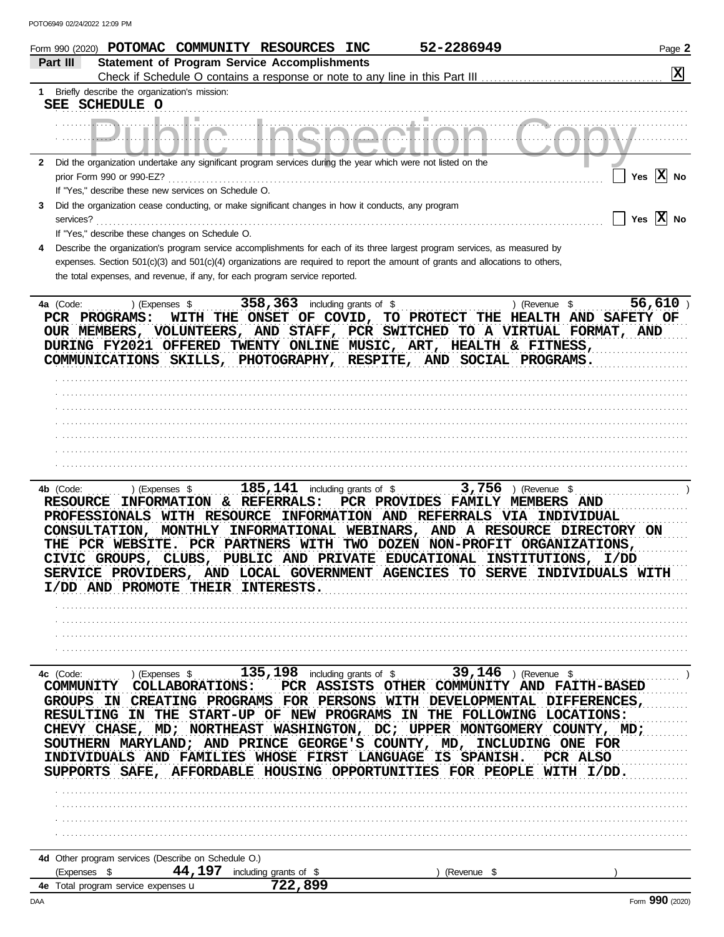| Part III                                                                                                                                                                                                                                                                                                                                                                            | Form 990 (2020) POTOMAC COMMUNITY RESOURCES INC                                                                                     | 52-2286949                                                                                                                                          | Page 2                |
|-------------------------------------------------------------------------------------------------------------------------------------------------------------------------------------------------------------------------------------------------------------------------------------------------------------------------------------------------------------------------------------|-------------------------------------------------------------------------------------------------------------------------------------|-----------------------------------------------------------------------------------------------------------------------------------------------------|-----------------------|
|                                                                                                                                                                                                                                                                                                                                                                                     | <b>Statement of Program Service Accomplishments</b>                                                                                 |                                                                                                                                                     |                       |
|                                                                                                                                                                                                                                                                                                                                                                                     |                                                                                                                                     |                                                                                                                                                     | $\mathbf{x}$          |
| Briefly describe the organization's mission:<br>1                                                                                                                                                                                                                                                                                                                                   |                                                                                                                                     |                                                                                                                                                     |                       |
| SEE SCHEDULE O                                                                                                                                                                                                                                                                                                                                                                      |                                                                                                                                     |                                                                                                                                                     |                       |
|                                                                                                                                                                                                                                                                                                                                                                                     |                                                                                                                                     |                                                                                                                                                     |                       |
|                                                                                                                                                                                                                                                                                                                                                                                     |                                                                                                                                     |                                                                                                                                                     |                       |
|                                                                                                                                                                                                                                                                                                                                                                                     |                                                                                                                                     |                                                                                                                                                     |                       |
| 2 Did the organization undertake any significant program services during the year which were not listed on the                                                                                                                                                                                                                                                                      |                                                                                                                                     |                                                                                                                                                     | Yes $ X $ No          |
| If "Yes," describe these new services on Schedule O.                                                                                                                                                                                                                                                                                                                                |                                                                                                                                     |                                                                                                                                                     |                       |
| Did the organization cease conducting, or make significant changes in how it conducts, any program<br>3                                                                                                                                                                                                                                                                             |                                                                                                                                     |                                                                                                                                                     |                       |
| services?                                                                                                                                                                                                                                                                                                                                                                           |                                                                                                                                     |                                                                                                                                                     | Yes $\overline{X}$ No |
| If "Yes," describe these changes on Schedule O.                                                                                                                                                                                                                                                                                                                                     |                                                                                                                                     |                                                                                                                                                     |                       |
| Describe the organization's program service accomplishments for each of its three largest program services, as measured by                                                                                                                                                                                                                                                          |                                                                                                                                     |                                                                                                                                                     |                       |
| expenses. Section 501(c)(3) and 501(c)(4) organizations are required to report the amount of grants and allocations to others,                                                                                                                                                                                                                                                      |                                                                                                                                     |                                                                                                                                                     |                       |
| the total expenses, and revenue, if any, for each program service reported.                                                                                                                                                                                                                                                                                                         |                                                                                                                                     |                                                                                                                                                     |                       |
|                                                                                                                                                                                                                                                                                                                                                                                     |                                                                                                                                     |                                                                                                                                                     |                       |
| 4a (Code:                                                                                                                                                                                                                                                                                                                                                                           | ) (Expenses $\frac{1}{2}$ , $\frac{358}{100}$ , $\frac{363}{100}$ including grants of $\frac{1}{2}$ , $\frac{1}{2}$ , $\frac{1}{2}$ | ) (Revenue \$                                                                                                                                       | 56,610                |
| PCR PROGRAMS:                                                                                                                                                                                                                                                                                                                                                                       |                                                                                                                                     | WITH THE ONSET OF COVID, TO PROTECT THE HEALTH AND SAFETY OF                                                                                        |                       |
| OUR MEMBERS, VOLUNTEERS, AND STAFF, PCR SWITCHED TO A VIRTUAL FORMAT, AND                                                                                                                                                                                                                                                                                                           |                                                                                                                                     |                                                                                                                                                     |                       |
| DURING FY2021 OFFERED TWENTY ONLINE MUSIC, ART, HEALTH & FITNESS,                                                                                                                                                                                                                                                                                                                   |                                                                                                                                     |                                                                                                                                                     |                       |
| COMMUNICATIONS SKILLS, PHOTOGRAPHY, RESPITE, AND SOCIAL PROGRAMS.                                                                                                                                                                                                                                                                                                                   |                                                                                                                                     |                                                                                                                                                     |                       |
|                                                                                                                                                                                                                                                                                                                                                                                     |                                                                                                                                     |                                                                                                                                                     |                       |
|                                                                                                                                                                                                                                                                                                                                                                                     |                                                                                                                                     |                                                                                                                                                     |                       |
|                                                                                                                                                                                                                                                                                                                                                                                     |                                                                                                                                     |                                                                                                                                                     |                       |
|                                                                                                                                                                                                                                                                                                                                                                                     |                                                                                                                                     |                                                                                                                                                     |                       |
|                                                                                                                                                                                                                                                                                                                                                                                     |                                                                                                                                     |                                                                                                                                                     |                       |
|                                                                                                                                                                                                                                                                                                                                                                                     |                                                                                                                                     |                                                                                                                                                     |                       |
|                                                                                                                                                                                                                                                                                                                                                                                     |                                                                                                                                     |                                                                                                                                                     |                       |
|                                                                                                                                                                                                                                                                                                                                                                                     |                                                                                                                                     |                                                                                                                                                     |                       |
|                                                                                                                                                                                                                                                                                                                                                                                     |                                                                                                                                     | RESOURCE INFORMATION & REFERRALS: PCR PROVIDES FAMILY MEMBERS AND                                                                                   |                       |
| PROFESSIONALS WITH RESOURCE INFORMATION AND REFERRALS VIA INDIVIDUAL<br>CONSULTATION, MONTHLY INFORMATIONAL WEBINARS, AND A RESOURCE DIRECTORY ON<br>THE PCR WEBSITE. PCR PARTNERS WITH TWO DOZEN NON-PROFIT ORGANIZATIONS,<br>CIVIC GROUPS, CLUBS, PUBLIC AND PRIVATE EDUCATIONAL INSTITUTIONS, I/DD<br>SERVICE PROVIDERS, AND LOCAL GOVERNMENT AGENCIES TO SERVE INDIVIDUALS WITH |                                                                                                                                     |                                                                                                                                                     |                       |
| I/DD AND PROMOTE THEIR INTERESTS.                                                                                                                                                                                                                                                                                                                                                   |                                                                                                                                     |                                                                                                                                                     |                       |
|                                                                                                                                                                                                                                                                                                                                                                                     |                                                                                                                                     |                                                                                                                                                     |                       |
|                                                                                                                                                                                                                                                                                                                                                                                     |                                                                                                                                     |                                                                                                                                                     |                       |
|                                                                                                                                                                                                                                                                                                                                                                                     |                                                                                                                                     |                                                                                                                                                     |                       |
|                                                                                                                                                                                                                                                                                                                                                                                     |                                                                                                                                     |                                                                                                                                                     |                       |
| <b>COLLABORATIONS:</b><br><b>COMMUNITY</b><br>GROUPS IN CREATING PROGRAMS FOR PERSONS WITH DEVELOPMENTAL DIFFERENCES,                                                                                                                                                                                                                                                               |                                                                                                                                     | ) (Expenses $\frac{135,198}{2}$ including grants of $\frac{135,198}{2}$ (Revenue $\frac{135,198}{2}$<br>PCR ASSISTS OTHER COMMUNITY AND FAITH-BASED |                       |
|                                                                                                                                                                                                                                                                                                                                                                                     |                                                                                                                                     |                                                                                                                                                     |                       |
| INDIVIDUALS AND FAMILIES WHOSE FIRST LANGUAGE IS SPANISH.<br>SUPPORTS SAFE, AFFORDABLE HOUSING OPPORTUNITIES FOR PEOPLE WITH I/DD.                                                                                                                                                                                                                                                  |                                                                                                                                     |                                                                                                                                                     | PCR ALSO              |
|                                                                                                                                                                                                                                                                                                                                                                                     |                                                                                                                                     |                                                                                                                                                     |                       |
| RESULTING IN THE START-UP OF NEW PROGRAMS IN THE FOLLOWING LOCATIONS:<br>CHEVY CHASE, MD; NORTHEAST WASHINGTON, DC; UPPER MONTGOMERY COUNTY, MD;<br>SOUTHERN MARYLAND; AND PRINCE GEORGE'S COUNTY, MD, INCLUDING ONE FOR                                                                                                                                                            |                                                                                                                                     |                                                                                                                                                     |                       |
|                                                                                                                                                                                                                                                                                                                                                                                     |                                                                                                                                     |                                                                                                                                                     |                       |
|                                                                                                                                                                                                                                                                                                                                                                                     |                                                                                                                                     |                                                                                                                                                     |                       |
| $4c$ (Code: $\ldots$<br>4d Other program services (Describe on Schedule O.)<br>(Expenses \$<br>4e Total program service expenses u                                                                                                                                                                                                                                                  | $44,197$ including grants of \$<br>722,899                                                                                          | (Revenue \$                                                                                                                                         |                       |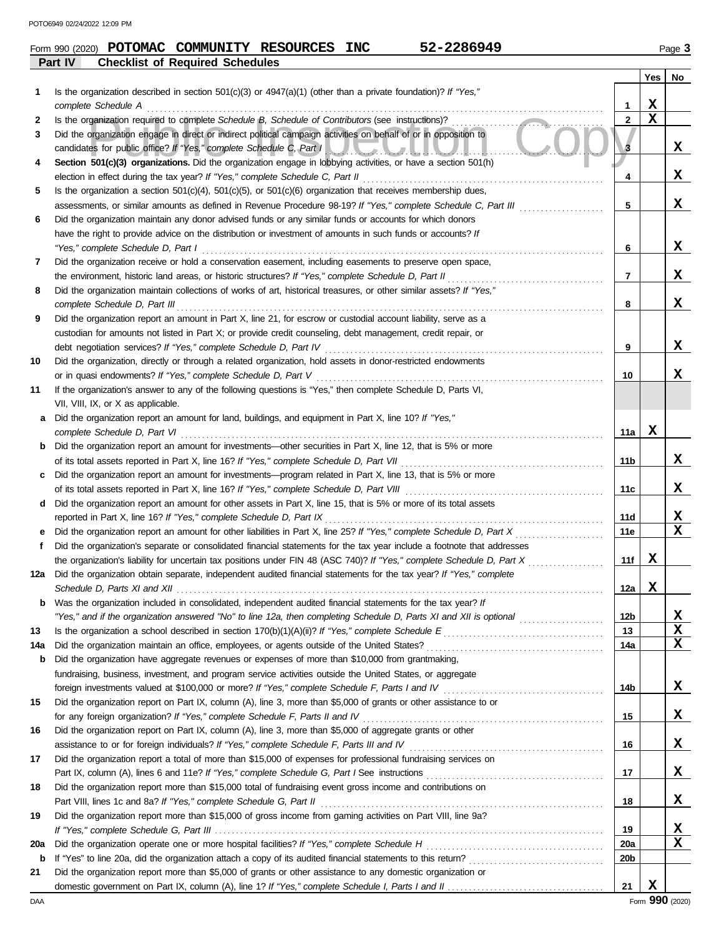|     | 52-2286949<br>Form 990 (2020) POTOMAC COMMUNITY RESOURCES<br><b>INC</b>                                                                                                                                                                          |                 |             | Page 3       |  |  |  |  |  |  |
|-----|--------------------------------------------------------------------------------------------------------------------------------------------------------------------------------------------------------------------------------------------------|-----------------|-------------|--------------|--|--|--|--|--|--|
|     | Part IV<br><b>Checklist of Required Schedules</b>                                                                                                                                                                                                |                 |             |              |  |  |  |  |  |  |
|     |                                                                                                                                                                                                                                                  |                 | Yes $ $     | No           |  |  |  |  |  |  |
| 1   | Is the organization described in section $501(c)(3)$ or $4947(a)(1)$ (other than a private foundation)? If "Yes,"                                                                                                                                |                 |             |              |  |  |  |  |  |  |
|     | complete Schedule A                                                                                                                                                                                                                              | 1               | X           |              |  |  |  |  |  |  |
| 2   | Is the organization required to complete Schedule B, Schedule of Contributors (see instructions)?                                                                                                                                                | $\mathbf 2$     | $\mathbf x$ |              |  |  |  |  |  |  |
| 3   | Did the organization engage in direct or indirect political campaign activities on behalf of or in opposition to                                                                                                                                 |                 |             |              |  |  |  |  |  |  |
|     | candidates for public office? If "Yes," complete Schedule C, Part I. Marten Allen Allen Allen Allen                                                                                                                                              | 3               |             | X            |  |  |  |  |  |  |
| 4   | Section 501(c)(3) organizations. Did the organization engage in lobbying activities, or have a section 501(h)                                                                                                                                    | 4               |             | X            |  |  |  |  |  |  |
|     |                                                                                                                                                                                                                                                  |                 |             |              |  |  |  |  |  |  |
| 5   | Is the organization a section $501(c)(4)$ , $501(c)(5)$ , or $501(c)(6)$ organization that receives membership dues,<br>assessments, or similar amounts as defined in Revenue Procedure 98-19? If "Yes," complete Schedule C, Part III           | 5               |             | X            |  |  |  |  |  |  |
| 6   | Did the organization maintain any donor advised funds or any similar funds or accounts for which donors                                                                                                                                          |                 |             |              |  |  |  |  |  |  |
|     | have the right to provide advice on the distribution or investment of amounts in such funds or accounts? If                                                                                                                                      |                 |             |              |  |  |  |  |  |  |
|     | "Yes," complete Schedule D, Part I                                                                                                                                                                                                               | 6               |             | X            |  |  |  |  |  |  |
| 7   | Did the organization receive or hold a conservation easement, including easements to preserve open space,                                                                                                                                        |                 |             |              |  |  |  |  |  |  |
|     | the environment, historic land areas, or historic structures? If "Yes," complete Schedule D, Part II                                                                                                                                             | 7               |             | X            |  |  |  |  |  |  |
| 8   | Did the organization maintain collections of works of art, historical treasures, or other similar assets? If "Yes,"                                                                                                                              |                 |             |              |  |  |  |  |  |  |
|     | complete Schedule D, Part III                                                                                                                                                                                                                    | 8               |             | X            |  |  |  |  |  |  |
| 9   | Did the organization report an amount in Part X, line 21, for escrow or custodial account liability, serve as a                                                                                                                                  |                 |             |              |  |  |  |  |  |  |
|     | custodian for amounts not listed in Part X; or provide credit counseling, debt management, credit repair, or                                                                                                                                     |                 |             |              |  |  |  |  |  |  |
|     |                                                                                                                                                                                                                                                  | 9               |             | X            |  |  |  |  |  |  |
| 10  | Did the organization, directly or through a related organization, hold assets in donor-restricted endowments                                                                                                                                     |                 |             |              |  |  |  |  |  |  |
|     | or in quasi endowments? If "Yes," complete Schedule D, Part V                                                                                                                                                                                    | 10              |             | x            |  |  |  |  |  |  |
| 11  | If the organization's answer to any of the following questions is "Yes," then complete Schedule D, Parts VI,                                                                                                                                     |                 |             |              |  |  |  |  |  |  |
|     | VII, VIII, IX, or X as applicable.                                                                                                                                                                                                               |                 |             |              |  |  |  |  |  |  |
| a   | Did the organization report an amount for land, buildings, and equipment in Part X, line 10? If "Yes,"                                                                                                                                           |                 |             |              |  |  |  |  |  |  |
|     | complete Schedule D, Part VI                                                                                                                                                                                                                     | 11a             | X           |              |  |  |  |  |  |  |
| b   | Did the organization report an amount for investments—other securities in Part X, line 12, that is 5% or more                                                                                                                                    | 11b             |             | X            |  |  |  |  |  |  |
|     |                                                                                                                                                                                                                                                  |                 |             |              |  |  |  |  |  |  |
| c   | Did the organization report an amount for investments—program related in Part X, line 13, that is 5% or more                                                                                                                                     |                 |             | X            |  |  |  |  |  |  |
| d   | Did the organization report an amount for other assets in Part X, line 15, that is 5% or more of its total assets                                                                                                                                | 11c             |             |              |  |  |  |  |  |  |
|     | reported in Part X, line 16? If "Yes," complete Schedule D, Part IX                                                                                                                                                                              | 11d             |             | X            |  |  |  |  |  |  |
| е   |                                                                                                                                                                                                                                                  | 11e             |             | $\mathbf{x}$ |  |  |  |  |  |  |
|     | Did the organization's separate or consolidated financial statements for the tax year include a footnote that addresses                                                                                                                          |                 |             |              |  |  |  |  |  |  |
|     | the organization's liability for uncertain tax positions under FIN 48 (ASC 740)? If "Yes," complete Schedule D, Part X                                                                                                                           | 11f             | X           |              |  |  |  |  |  |  |
|     | Did the organization obtain separate, independent audited financial statements for the tax year? If "Yes," complete                                                                                                                              |                 |             |              |  |  |  |  |  |  |
|     |                                                                                                                                                                                                                                                  | 12a             | X           |              |  |  |  |  |  |  |
|     | <b>b</b> Was the organization included in consolidated, independent audited financial statements for the tax year? If                                                                                                                            |                 |             |              |  |  |  |  |  |  |
|     | "Yes," and if the organization answered "No" to line 12a, then completing Schedule D, Parts XI and XII is optional                                                                                                                               | 12b             |             | $\mathbf{x}$ |  |  |  |  |  |  |
| 13  | Is the organization a school described in section 170(b)(1)(A)(ii)? If "Yes," complete Schedule E<br>Schedule E<br>Schedule E<br>Schedule E<br>Schedule E<br>Schedule E<br>Schedule E<br>Schedule E<br>Schedule T<br>Schedule Times and the sche | 13              |             | $\mathbf x$  |  |  |  |  |  |  |
| 14a |                                                                                                                                                                                                                                                  | 14a             |             | $\mathbf x$  |  |  |  |  |  |  |
| b   | Did the organization have aggregate revenues or expenses of more than \$10,000 from grantmaking,                                                                                                                                                 |                 |             |              |  |  |  |  |  |  |
|     | fundraising, business, investment, and program service activities outside the United States, or aggregate                                                                                                                                        |                 |             |              |  |  |  |  |  |  |
|     | foreign investments valued at \$100,000 or more? If "Yes," complete Schedule F, Parts I and IV [[[[[[[[[[[[[[[[                                                                                                                                  | 14b             |             | X            |  |  |  |  |  |  |
| 15  | Did the organization report on Part IX, column (A), line 3, more than \$5,000 of grants or other assistance to or                                                                                                                                |                 |             |              |  |  |  |  |  |  |
|     | for any foreign organization? If "Yes," complete Schedule F, Parts II and IV [[[[[[[[[[[[[[[[[[[[[[[[[[[[[[[[[                                                                                                                                   | 15              |             | X            |  |  |  |  |  |  |
| 16  | Did the organization report on Part IX, column (A), line 3, more than \$5,000 of aggregate grants or other                                                                                                                                       |                 |             |              |  |  |  |  |  |  |
|     | Did the organization report a total of more than \$15,000 of expenses for professional fundraising services on                                                                                                                                   | 16              |             | X            |  |  |  |  |  |  |
| 17  |                                                                                                                                                                                                                                                  | 17              |             | X            |  |  |  |  |  |  |
| 18  | Did the organization report more than \$15,000 total of fundraising event gross income and contributions on                                                                                                                                      |                 |             |              |  |  |  |  |  |  |
|     |                                                                                                                                                                                                                                                  | 18              |             | X            |  |  |  |  |  |  |
| 19  | Did the organization report more than \$15,000 of gross income from gaming activities on Part VIII, line 9a?                                                                                                                                     |                 |             |              |  |  |  |  |  |  |
|     |                                                                                                                                                                                                                                                  | 19              |             | X            |  |  |  |  |  |  |
| 20a |                                                                                                                                                                                                                                                  | <b>20a</b>      |             | $\mathbf x$  |  |  |  |  |  |  |
| b   |                                                                                                                                                                                                                                                  | 20 <sub>b</sub> |             |              |  |  |  |  |  |  |
| 21  | Did the organization report more than \$5,000 of grants or other assistance to any domestic organization or                                                                                                                                      |                 |             |              |  |  |  |  |  |  |

domestic government on Part IX, column (A), line 1? If "Yes," complete Schedule I, Parts I and II

**21 X**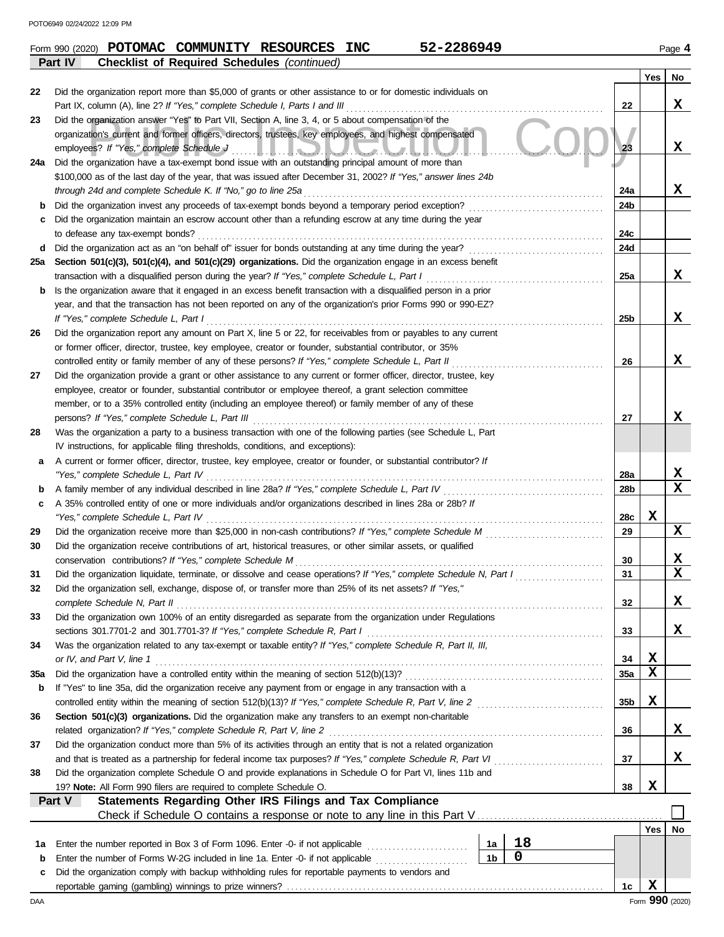|     | 52-2286949<br>Form 990 (2020) POTOMAC COMMUNITY RESOURCES<br>INC                                                                                  |                 |             | Page 4             |
|-----|---------------------------------------------------------------------------------------------------------------------------------------------------|-----------------|-------------|--------------------|
|     | Part IV<br><b>Checklist of Required Schedules (continued)</b>                                                                                     |                 |             |                    |
|     |                                                                                                                                                   |                 | Yes         | No                 |
| 22  | Did the organization report more than \$5,000 of grants or other assistance to or for domestic individuals on                                     |                 |             |                    |
|     | Part IX, column (A), line 2? If "Yes," complete Schedule I, Parts I and III                                                                       | 22              |             | X                  |
| 23  | Did the organization answer "Yes" to Part VII, Section A, line 3, 4, or 5 about compensation of the                                               |                 |             |                    |
|     | organization's current and former officers, directors, trustees, key employees, and highest compensated                                           |                 |             |                    |
|     | employees? If "Yes," complete Schedule J<br><u> HERDICACAUHAC</u>                                                                                 | 23              |             | X                  |
| 24a | Did the organization have a tax-exempt bond issue with an outstanding principal amount of more than                                               |                 |             |                    |
|     | \$100,000 as of the last day of the year, that was issued after December 31, 2002? If "Yes," answer lines 24b                                     |                 |             |                    |
|     | through 24d and complete Schedule K. If "No," go to line 25a                                                                                      | 24a             |             | X                  |
| b   | Did the organization invest any proceeds of tax-exempt bonds beyond a temporary period exception?                                                 | 24b             |             |                    |
| c   | Did the organization maintain an escrow account other than a refunding escrow at any time during the year                                         |                 |             |                    |
|     | to defease any tax-exempt bonds?                                                                                                                  | 24c             |             |                    |
| d   |                                                                                                                                                   | 24d             |             |                    |
| 25а | Section 501(c)(3), 501(c)(4), and 501(c)(29) organizations. Did the organization engage in an excess benefit                                      |                 |             |                    |
|     |                                                                                                                                                   | 25a             |             | x                  |
| b   | Is the organization aware that it engaged in an excess benefit transaction with a disqualified person in a prior                                  |                 |             |                    |
|     | year, and that the transaction has not been reported on any of the organization's prior Forms 990 or 990-EZ?                                      |                 |             |                    |
|     | If "Yes," complete Schedule L, Part I                                                                                                             | 25 <sub>b</sub> |             | X                  |
| 26  | Did the organization report any amount on Part X, line 5 or 22, for receivables from or payables to any current                                   |                 |             |                    |
|     | or former officer, director, trustee, key employee, creator or founder, substantial contributor, or 35%                                           |                 |             |                    |
|     | controlled entity or family member of any of these persons? If "Yes," complete Schedule L, Part II                                                | 26              |             | x                  |
| 27  | Did the organization provide a grant or other assistance to any current or former officer, director, trustee, key                                 |                 |             |                    |
|     | employee, creator or founder, substantial contributor or employee thereof, a grant selection committee                                            |                 |             |                    |
|     | member, or to a 35% controlled entity (including an employee thereof) or family member of any of these                                            |                 |             |                    |
|     | persons? If "Yes," complete Schedule L, Part III                                                                                                  | 27              |             | x                  |
| 28  | Was the organization a party to a business transaction with one of the following parties (see Schedule L, Part                                    |                 |             |                    |
|     | IV instructions, for applicable filing thresholds, conditions, and exceptions):                                                                   |                 |             |                    |
| а   | A current or former officer, director, trustee, key employee, creator or founder, or substantial contributor? If                                  |                 |             |                    |
|     | "Yes," complete Schedule L, Part IV                                                                                                               | 28a             |             | X                  |
| b   |                                                                                                                                                   | 28b             |             | $\mathbf x$        |
| c   | A 35% controlled entity of one or more individuals and/or organizations described in lines 28a or 28b? If                                         |                 |             |                    |
|     | "Yes," complete Schedule L, Part IV                                                                                                               | 28c             | X           |                    |
| 29  |                                                                                                                                                   | 29              |             | X                  |
| 30  | Did the organization receive contributions of art, historical treasures, or other similar assets, or qualified                                    |                 |             |                    |
|     |                                                                                                                                                   | 30              |             | X                  |
| 31  | Did the organization liquidate, terminate, or dissolve and cease operations? If "Yes," complete Schedule N, Part I                                | 31              |             | $\bar{\mathbf{x}}$ |
| 32  | Did the organization sell, exchange, dispose of, or transfer more than 25% of its net assets? If "Yes,"                                           |                 |             |                    |
|     | complete Schedule N, Part II                                                                                                                      | 32              |             | X                  |
| 33  | Did the organization own 100% of an entity disregarded as separate from the organization under Regulations                                        |                 |             |                    |
|     |                                                                                                                                                   | 33              |             | X                  |
| 34  | Was the organization related to any tax-exempt or taxable entity? If "Yes," complete Schedule R, Part II, III,                                    |                 |             |                    |
|     | or IV, and Part V, line 1                                                                                                                         | 34              | X           |                    |
| 35a |                                                                                                                                                   | 35a             | $\mathbf x$ |                    |
| b   | If "Yes" to line 35a, did the organization receive any payment from or engage in any transaction with a                                           |                 |             |                    |
|     | controlled entity within the meaning of section 512(b)(13)? If "Yes," complete Schedule R, Part V, line 2                                         | 35 <sub>b</sub> | X           |                    |
| 36  | Section 501(c)(3) organizations. Did the organization make any transfers to an exempt non-charitable                                              |                 |             |                    |
|     | related organization? If "Yes," complete Schedule R, Part V, line 2                                                                               | 36              |             | X                  |
| 37  | Did the organization conduct more than 5% of its activities through an entity that is not a related organization                                  |                 |             |                    |
|     |                                                                                                                                                   | 37              |             | x                  |
| 38  | Did the organization complete Schedule O and provide explanations in Schedule O for Part VI, lines 11b and                                        |                 |             |                    |
|     | 19? Note: All Form 990 filers are required to complete Schedule O.                                                                                | 38              | X           |                    |
|     | Statements Regarding Other IRS Filings and Tax Compliance<br>Part V                                                                               |                 |             |                    |
|     |                                                                                                                                                   |                 |             |                    |
|     |                                                                                                                                                   |                 | Yes         | No                 |
| 1a  | 18<br>1a                                                                                                                                          |                 |             |                    |
| b   | $\overline{0}$<br>1 <sub>b</sub><br>Enter the number of Forms W-2G included in line 1a. Enter -0- if not applicable [[[[[[[[[[[[[[[[[[[[[[[[[[[[[ |                 |             |                    |
| c   | Did the organization comply with backup withholding rules for reportable payments to vendors and                                                  |                 |             |                    |
|     |                                                                                                                                                   | 1c              | X           |                    |

| -2286949 |
|----------|
|          |
|          |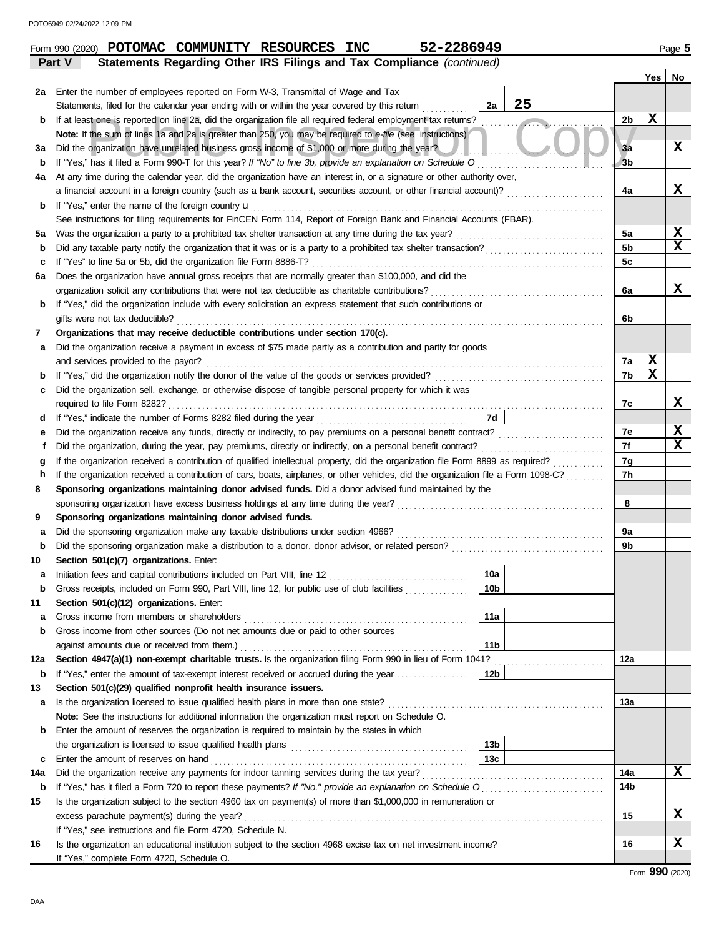|     | 52-2286949<br>Form 990 (2020) POTOMAC COMMUNITY RESOURCES<br><b>INC</b>                                                                                                                                          |                |             | Page 5 |  |  |  |  |  |  |
|-----|------------------------------------------------------------------------------------------------------------------------------------------------------------------------------------------------------------------|----------------|-------------|--------|--|--|--|--|--|--|
|     | Statements Regarding Other IRS Filings and Tax Compliance (continued)<br>Part V                                                                                                                                  |                |             |        |  |  |  |  |  |  |
|     |                                                                                                                                                                                                                  |                | Yes         | No     |  |  |  |  |  |  |
| 2a  | Enter the number of employees reported on Form W-3, Transmittal of Wage and Tax                                                                                                                                  |                |             |        |  |  |  |  |  |  |
|     | 25<br>Statements, filed for the calendar year ending with or within the year covered by this return<br>2a                                                                                                        |                |             |        |  |  |  |  |  |  |
| b   | If at least one is reported on line 2a, did the organization file all required federal employment tax returns?                                                                                                   | 2b             | X           |        |  |  |  |  |  |  |
|     | Note: If the sum of lines 1a and 2a is greater than 250, you may be required to e-file (see instructions)                                                                                                        |                |             |        |  |  |  |  |  |  |
| За  | Did the organization have unrelated business gross income of \$1,000 or more during the year?                                                                                                                    | 3a             |             | x      |  |  |  |  |  |  |
| b   | If "Yes," has it filed a Form 990-T for this year? If "No" to line 3b, provide an explanation on Schedule O                                                                                                      | 3 <sub>b</sub> |             |        |  |  |  |  |  |  |
| 4a  | At any time during the calendar year, did the organization have an interest in, or a signature or other authority over,                                                                                          |                |             |        |  |  |  |  |  |  |
|     | a financial account in a foreign country (such as a bank account, securities account, or other financial account)?                                                                                               | 4a             |             | x      |  |  |  |  |  |  |
| b   | If "Yes," enter the name of the foreign country <b>u</b>                                                                                                                                                         |                |             |        |  |  |  |  |  |  |
|     | See instructions for filing requirements for FinCEN Form 114, Report of Foreign Bank and Financial Accounts (FBAR).                                                                                              |                |             | X      |  |  |  |  |  |  |
| 5а  | Did any taxable party notify the organization that it was or is a party to a prohibited tax shelter transaction?                                                                                                 | 5a<br>5b       |             | X      |  |  |  |  |  |  |
| b   | If "Yes" to line 5a or 5b, did the organization file Form 8886-T?                                                                                                                                                | 5c             |             |        |  |  |  |  |  |  |
| c   |                                                                                                                                                                                                                  |                |             |        |  |  |  |  |  |  |
|     | Does the organization have annual gross receipts that are normally greater than \$100,000, and did the<br>6а<br>organization solicit any contributions that were not tax deductible as charitable contributions? |                |             |        |  |  |  |  |  |  |
| b   | If "Yes," did the organization include with every solicitation an express statement that such contributions or                                                                                                   | 6a             |             | x      |  |  |  |  |  |  |
|     | gifts were not tax deductible?                                                                                                                                                                                   | 6b             |             |        |  |  |  |  |  |  |
| 7   | Organizations that may receive deductible contributions under section 170(c).                                                                                                                                    |                |             |        |  |  |  |  |  |  |
| a   | Did the organization receive a payment in excess of \$75 made partly as a contribution and partly for goods                                                                                                      |                |             |        |  |  |  |  |  |  |
|     | and services provided to the payor?                                                                                                                                                                              | 7а             | X           |        |  |  |  |  |  |  |
| b   |                                                                                                                                                                                                                  | 7b             | $\mathbf x$ |        |  |  |  |  |  |  |
| c   | Did the organization sell, exchange, or otherwise dispose of tangible personal property for which it was                                                                                                         |                |             |        |  |  |  |  |  |  |
|     | required to file Form 8282?                                                                                                                                                                                      | 7c             |             | x      |  |  |  |  |  |  |
| d   | <b>7d</b>                                                                                                                                                                                                        |                |             |        |  |  |  |  |  |  |
| е   | Did the organization receive any funds, directly or indirectly, to pay premiums on a personal benefit contract?                                                                                                  | 7e             |             | X      |  |  |  |  |  |  |
| f   | Did the organization, during the year, pay premiums, directly or indirectly, on a personal benefit contract?                                                                                                     | 7f             |             | x      |  |  |  |  |  |  |
| g   | If the organization received a contribution of qualified intellectual property, did the organization file Form 8899 as required?                                                                                 | 7g             |             |        |  |  |  |  |  |  |
| h   | If the organization received a contribution of cars, boats, airplanes, or other vehicles, did the organization file a Form 1098-C?                                                                               | 7h             |             |        |  |  |  |  |  |  |
| 8   | Sponsoring organizations maintaining donor advised funds. Did a donor advised fund maintained by the                                                                                                             |                |             |        |  |  |  |  |  |  |
|     |                                                                                                                                                                                                                  | 8              |             |        |  |  |  |  |  |  |
| 9   | Sponsoring organizations maintaining donor advised funds.                                                                                                                                                        |                |             |        |  |  |  |  |  |  |
| а   | Did the sponsoring organization make any taxable distributions under section 4966?                                                                                                                               | 9а             |             |        |  |  |  |  |  |  |
| b   |                                                                                                                                                                                                                  | 9b             |             |        |  |  |  |  |  |  |
| 10  | Section 501(c)(7) organizations. Enter:                                                                                                                                                                          |                |             |        |  |  |  |  |  |  |
|     | 10a                                                                                                                                                                                                              |                |             |        |  |  |  |  |  |  |
| b   | 10 <sub>b</sub><br>Gross receipts, included on Form 990, Part VIII, line 12, for public use of club facilities                                                                                                   |                |             |        |  |  |  |  |  |  |
| 11  | Section 501(c)(12) organizations. Enter:                                                                                                                                                                         |                |             |        |  |  |  |  |  |  |
| a   | 11a<br>Gross income from members or shareholders                                                                                                                                                                 |                |             |        |  |  |  |  |  |  |
| b   | Gross income from other sources (Do not net amounts due or paid to other sources                                                                                                                                 |                |             |        |  |  |  |  |  |  |
|     | 11 <sub>b</sub><br>against amounts due or received from them.)                                                                                                                                                   |                |             |        |  |  |  |  |  |  |
| 12a | Section 4947(a)(1) non-exempt charitable trusts. Is the organization filing Form 990 in lieu of Form 1041?                                                                                                       | 12a            |             |        |  |  |  |  |  |  |
| b   | 12 <sub>b</sub><br>If "Yes," enter the amount of tax-exempt interest received or accrued during the year                                                                                                         |                |             |        |  |  |  |  |  |  |
| 13  | Section 501(c)(29) qualified nonprofit health insurance issuers.                                                                                                                                                 |                |             |        |  |  |  |  |  |  |
| a   | Is the organization licensed to issue qualified health plans in more than one state?                                                                                                                             | 13a            |             |        |  |  |  |  |  |  |
|     | Note: See the instructions for additional information the organization must report on Schedule O.                                                                                                                |                |             |        |  |  |  |  |  |  |
| b   | Enter the amount of reserves the organization is required to maintain by the states in which                                                                                                                     |                |             |        |  |  |  |  |  |  |
|     | 13 <sub>b</sub>                                                                                                                                                                                                  |                |             |        |  |  |  |  |  |  |
| c   | 13c<br>Enter the amount of reserves on hand                                                                                                                                                                      |                |             |        |  |  |  |  |  |  |
| 14a |                                                                                                                                                                                                                  | 14a            |             | X      |  |  |  |  |  |  |
| b   | If "Yes," has it filed a Form 720 to report these payments? If "No," provide an explanation on Schedule O                                                                                                        | 14b            |             |        |  |  |  |  |  |  |
| 15  | Is the organization subject to the section 4960 tax on payment(s) of more than \$1,000,000 in remuneration or                                                                                                    |                |             |        |  |  |  |  |  |  |
|     | excess parachute payment(s) during the year?                                                                                                                                                                     | 15             |             | X      |  |  |  |  |  |  |
|     | If "Yes," see instructions and file Form 4720, Schedule N.                                                                                                                                                       |                |             |        |  |  |  |  |  |  |
| 16  | Is the organization an educational institution subject to the section 4968 excise tax on net investment income?                                                                                                  | 16             |             | X      |  |  |  |  |  |  |
|     | If "Yes," complete Form 4720, Schedule O.                                                                                                                                                                        |                |             |        |  |  |  |  |  |  |

Form **990** (2020)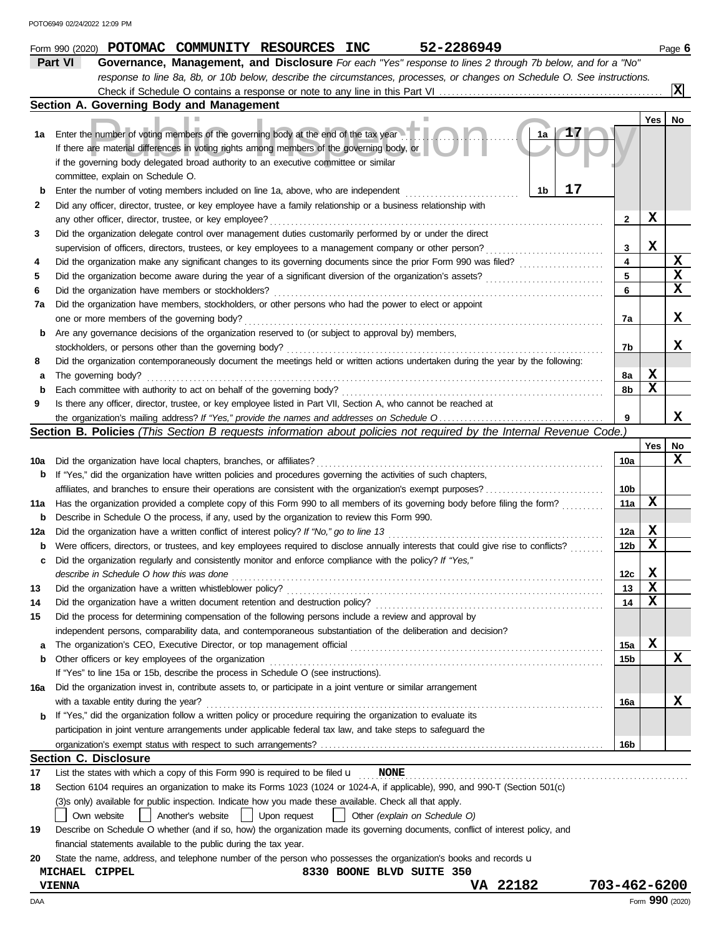|     | 52-2286949<br>Form 990 (2020) POTOMAC COMMUNITY RESOURCES INC                                                                                                                            |                        |             | Page 6 |
|-----|------------------------------------------------------------------------------------------------------------------------------------------------------------------------------------------|------------------------|-------------|--------|
|     | Part VI<br>Governance, Management, and Disclosure For each "Yes" response to lines 2 through 7b below, and for a "No"                                                                    |                        |             |        |
|     | response to line 8a, 8b, or 10b below, describe the circumstances, processes, or changes on Schedule O. See instructions.                                                                |                        |             |        |
|     |                                                                                                                                                                                          |                        |             | Iх     |
|     | Section A. Governing Body and Management                                                                                                                                                 |                        |             |        |
|     |                                                                                                                                                                                          |                        | Yes         | No     |
| 1а  | 1a<br>Enter the number of voting members of the governing body at the end of the tax year                                                                                                |                        |             |        |
|     | If there are material differences in voting rights among members of the governing body, or                                                                                               |                        |             |        |
|     | if the governing body delegated broad authority to an executive committee or similar                                                                                                     |                        |             |        |
|     | committee, explain on Schedule O.                                                                                                                                                        |                        |             |        |
| b   | 17<br>1b<br>Enter the number of voting members included on line 1a, above, who are independent                                                                                           |                        |             |        |
| 2   | Did any officer, director, trustee, or key employee have a family relationship or a business relationship with                                                                           |                        |             |        |
|     | any other officer, director, trustee, or key employee?                                                                                                                                   | 2                      | X           |        |
| 3   | Did the organization delegate control over management duties customarily performed by or under the direct                                                                                |                        |             |        |
|     | supervision of officers, directors, trustees, or key employees to a management company or other person?                                                                                  | 3                      | X           |        |
| 4   | Did the organization make any significant changes to its governing documents since the prior Form 990 was filed?                                                                         | 4                      |             | X      |
| 5   |                                                                                                                                                                                          | 5                      |             | X      |
| 6   | Did the organization have members or stockholders?                                                                                                                                       | 6                      |             | X      |
| 7a  | Did the organization have members, stockholders, or other persons who had the power to elect or appoint                                                                                  |                        |             |        |
|     | one or more members of the governing body?                                                                                                                                               | 7а                     |             | X      |
| b   | Are any governance decisions of the organization reserved to (or subject to approval by) members,                                                                                        |                        |             |        |
|     | stockholders, or persons other than the governing body?                                                                                                                                  | 7b                     |             | x      |
| 8   | Did the organization contemporaneously document the meetings held or written actions undertaken during the year by the following:                                                        |                        |             |        |
| а   | The governing body?                                                                                                                                                                      | 8a                     | X           |        |
| b   | Each committee with authority to act on behalf of the governing body?                                                                                                                    | 8b                     | X           |        |
| 9   | Is there any officer, director, trustee, or key employee listed in Part VII, Section A, who cannot be reached at                                                                         |                        |             |        |
|     |                                                                                                                                                                                          | 9                      |             | X      |
|     | <b>Section B. Policies</b> (This Section B requests information about policies not required by the Internal Revenue Code.)                                                               |                        |             |        |
|     |                                                                                                                                                                                          |                        | Yes         | No     |
| 10a | Did the organization have local chapters, branches, or affiliates?                                                                                                                       | 10a                    |             | X      |
| b   | If "Yes," did the organization have written policies and procedures governing the activities of such chapters,                                                                           |                        |             |        |
|     | affiliates, and branches to ensure their operations are consistent with the organization's exempt purposes?                                                                              | 10b                    |             |        |
|     | Has the organization provided a complete copy of this Form 990 to all members of its governing body before filing the form?                                                              | 11a                    | X           |        |
| 11a |                                                                                                                                                                                          |                        |             |        |
| b   | Describe in Schedule O the process, if any, used by the organization to review this Form 990.<br>Did the organization have a written conflict of interest policy? If "No," go to line 13 |                        | X           |        |
| 12a |                                                                                                                                                                                          | 12a<br>12 <sub>b</sub> | $\mathbf x$ |        |
| b   | Were officers, directors, or trustees, and key employees required to disclose annually interests that could give rise to conflicts?                                                      |                        |             |        |
| с   | Did the organization regularly and consistently monitor and enforce compliance with the policy? If "Yes,"                                                                                |                        | X           |        |
|     | describe in Schedule O how this was done                                                                                                                                                 | 12 <sub>c</sub>        | X           |        |
| 13  | Did the organization have a written whistleblower policy?                                                                                                                                | 13                     | X           |        |
| 14  | Did the organization have a written document retention and destruction policy?                                                                                                           | 14                     |             |        |
| 15  | Did the process for determining compensation of the following persons include a review and approval by                                                                                   |                        |             |        |
|     | independent persons, comparability data, and contemporaneous substantiation of the deliberation and decision?                                                                            |                        |             |        |
| а   |                                                                                                                                                                                          | 15a                    | X           |        |
| b   | Other officers or key employees of the organization                                                                                                                                      | 15b                    |             | x      |
|     | If "Yes" to line 15a or 15b, describe the process in Schedule O (see instructions).                                                                                                      |                        |             |        |
| 16a | Did the organization invest in, contribute assets to, or participate in a joint venture or similar arrangement                                                                           |                        |             |        |
|     | with a taxable entity during the year?                                                                                                                                                   | 16a                    |             | x      |
| b   | If "Yes," did the organization follow a written policy or procedure requiring the organization to evaluate its                                                                           |                        |             |        |
|     | participation in joint venture arrangements under applicable federal tax law, and take steps to safeguard the                                                                            |                        |             |        |
|     |                                                                                                                                                                                          | 16b                    |             |        |
|     | <b>Section C. Disclosure</b>                                                                                                                                                             |                        |             |        |
| 17  | List the states with which a copy of this Form 990 is required to be filed $\mathbf{u}$ MONE                                                                                             |                        |             |        |
| 18  | Section 6104 requires an organization to make its Forms 1023 (1024 or 1024-A, if applicable), 990, and 990-T (Section 501(c)                                                             |                        |             |        |
|     | (3)s only) available for public inspection. Indicate how you made these available. Check all that apply.                                                                                 |                        |             |        |
|     | Another's website<br>Upon request<br>Other (explain on Schedule O)<br>Own website                                                                                                        |                        |             |        |
| 19  | Describe on Schedule O whether (and if so, how) the organization made its governing documents, conflict of interest policy, and                                                          |                        |             |        |
|     | financial statements available to the public during the tax year.                                                                                                                        |                        |             |        |
| 20  | State the name, address, and telephone number of the person who possesses the organization's books and records u                                                                         |                        |             |        |
|     | MICHAEL CIPPEL<br>8330 BOONE BLVD SUITE 350                                                                                                                                              |                        |             |        |
|     | 703-462-6200<br>VA 22182<br><b>VIENNA</b>                                                                                                                                                |                        |             |        |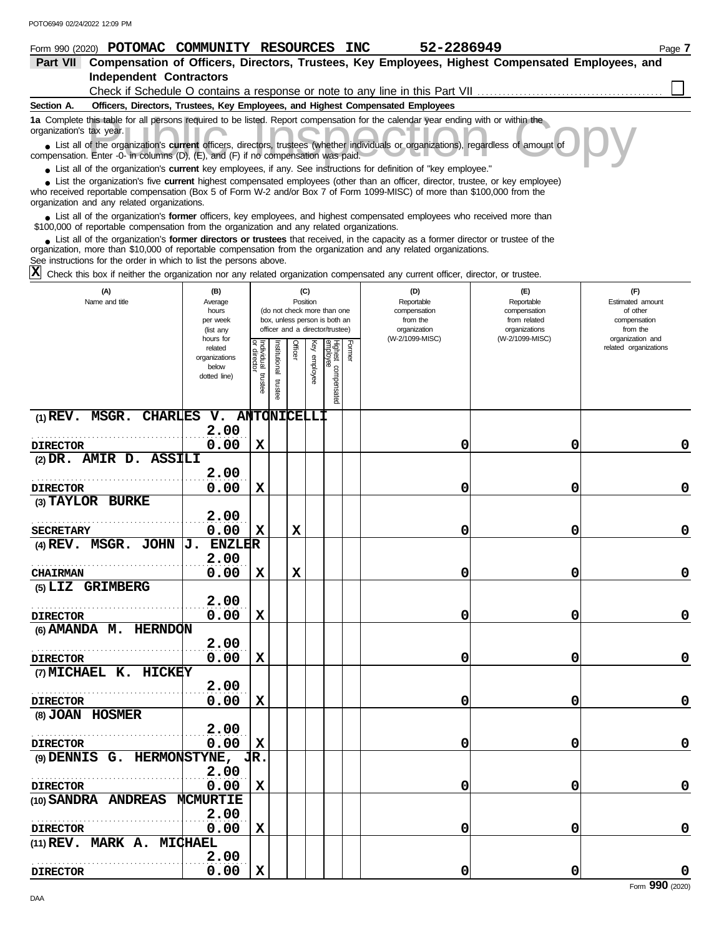| Form 990 (2020) POTOMAC COMMUNITY RESOURCES INC                                                                                                                                                                                                                                                                             |                       |                           |               |         |          |                                                              |        | 52-2286949                                                                      |                                                                                                  | Page 7                                    |
|-----------------------------------------------------------------------------------------------------------------------------------------------------------------------------------------------------------------------------------------------------------------------------------------------------------------------------|-----------------------|---------------------------|---------------|---------|----------|--------------------------------------------------------------|--------|---------------------------------------------------------------------------------|--------------------------------------------------------------------------------------------------|-------------------------------------------|
| Part VII                                                                                                                                                                                                                                                                                                                    |                       |                           |               |         |          |                                                              |        |                                                                                 | Compensation of Officers, Directors, Trustees, Key Employees, Highest Compensated Employees, and |                                           |
| <b>Independent Contractors</b>                                                                                                                                                                                                                                                                                              |                       |                           |               |         |          |                                                              |        |                                                                                 |                                                                                                  |                                           |
|                                                                                                                                                                                                                                                                                                                             |                       |                           |               |         |          |                                                              |        |                                                                                 |                                                                                                  |                                           |
| Section A.                                                                                                                                                                                                                                                                                                                  |                       |                           |               |         |          |                                                              |        | Officers, Directors, Trustees, Key Employees, and Highest Compensated Employees |                                                                                                  |                                           |
| 1a Complete this table for all persons required to be listed. Report compensation for the calendar year ending with or within the<br>organization's tax year.                                                                                                                                                               |                       |                           |               |         |          |                                                              |        |                                                                                 |                                                                                                  |                                           |
| • List all of the organization's current officers, directors, trustees (whether individuals or organizations), regardless of amount of<br>compensation. Enter -0- in columns (D), (E), and (F) if no compensation was paid.                                                                                                 |                       |                           |               |         |          |                                                              |        |                                                                                 |                                                                                                  |                                           |
| • List all of the organization's current key employees, if any. See instructions for definition of "key employee."                                                                                                                                                                                                          |                       |                           |               |         |          |                                                              |        |                                                                                 |                                                                                                  |                                           |
| • List the organization's five current highest compensated employees (other than an officer, director, trustee, or key employee)<br>who received reportable compensation (Box 5 of Form W-2 and/or Box 7 of Form 1099-MISC) of more than \$100,000 from the<br>organization and any related organizations.                  |                       |                           |               |         |          |                                                              |        |                                                                                 |                                                                                                  |                                           |
| List all of the organization's former officers, key employees, and highest compensated employees who received more than<br>\$100,000 of reportable compensation from the organization and any related organizations.                                                                                                        |                       |                           |               |         |          |                                                              |        |                                                                                 |                                                                                                  |                                           |
| List all of the organization's former directors or trustees that received, in the capacity as a former director or trustee of the<br>organization, more than \$10,000 of reportable compensation from the organization and any related organizations.<br>See instructions for the order in which to list the persons above. |                       |                           |               |         |          |                                                              |        |                                                                                 |                                                                                                  |                                           |
| Check this box if neither the organization nor any related organization compensated any current officer, director, or trustee.                                                                                                                                                                                              |                       |                           |               |         |          |                                                              |        |                                                                                 |                                                                                                  |                                           |
| (A)                                                                                                                                                                                                                                                                                                                         | (B)                   |                           |               |         | (C)      |                                                              |        | (D)                                                                             | (E)                                                                                              | $(\mathsf{F})$                            |
| Name and title                                                                                                                                                                                                                                                                                                              | Average               |                           |               |         | Position |                                                              |        | Reportable                                                                      | Reportable                                                                                       | Estimated amount                          |
|                                                                                                                                                                                                                                                                                                                             | hours<br>per week     |                           |               |         |          | (do not check more than one<br>box, unless person is both an |        | compensation<br>from the                                                        | compensation<br>from related                                                                     | of other<br>compensation                  |
|                                                                                                                                                                                                                                                                                                                             | (list any             |                           |               |         |          | officer and a director/trustee)                              |        | organization                                                                    | organizations                                                                                    | from the                                  |
|                                                                                                                                                                                                                                                                                                                             | hours for<br>related  |                           |               | Officer | Ķey      |                                                              | Former | (W-2/1099-MISC)                                                                 | (W-2/1099-MISC)                                                                                  | organization and<br>related organizations |
|                                                                                                                                                                                                                                                                                                                             | organizations         | Individual<br>or director | Institutional |         |          |                                                              |        |                                                                                 |                                                                                                  |                                           |
|                                                                                                                                                                                                                                                                                                                             | below<br>dotted line) |                           |               |         | employee |                                                              |        |                                                                                 |                                                                                                  |                                           |
|                                                                                                                                                                                                                                                                                                                             |                       | trustee                   | trustee       |         |          | Highest compensated<br>employee                              |        |                                                                                 |                                                                                                  |                                           |
| (1) REV. MSGR. CHARLES V. ANTONICELLI                                                                                                                                                                                                                                                                                       |                       |                           |               |         |          |                                                              |        |                                                                                 |                                                                                                  |                                           |
|                                                                                                                                                                                                                                                                                                                             | 2.00                  |                           |               |         |          |                                                              |        |                                                                                 |                                                                                                  |                                           |
| <b>DIRECTOR</b>                                                                                                                                                                                                                                                                                                             | 0.00                  | X                         |               |         |          |                                                              |        | 0                                                                               | 0                                                                                                | 0                                         |
| (2) DR. AMIR D. ASSILI                                                                                                                                                                                                                                                                                                      |                       |                           |               |         |          |                                                              |        |                                                                                 |                                                                                                  |                                           |
|                                                                                                                                                                                                                                                                                                                             | 2.00                  |                           |               |         |          |                                                              |        |                                                                                 |                                                                                                  |                                           |
| <b>DIRECTOR</b>                                                                                                                                                                                                                                                                                                             | 0.00                  | X                         |               |         |          |                                                              |        | 0                                                                               | 0                                                                                                | 0                                         |
| (3) TAYLOR BURKE                                                                                                                                                                                                                                                                                                            |                       |                           |               |         |          |                                                              |        |                                                                                 |                                                                                                  |                                           |
|                                                                                                                                                                                                                                                                                                                             | 2.00                  |                           |               |         |          |                                                              |        |                                                                                 |                                                                                                  |                                           |
| <b>SECRETARY</b>                                                                                                                                                                                                                                                                                                            | 0.00                  | х                         |               | X       |          |                                                              |        | 0                                                                               | 0                                                                                                | 0                                         |
| (4) REV. MSGR. JOHN                                                                                                                                                                                                                                                                                                         | <b>ENZLER</b><br>IJ.  |                           |               |         |          |                                                              |        |                                                                                 |                                                                                                  |                                           |
|                                                                                                                                                                                                                                                                                                                             | 2.00                  |                           |               |         |          |                                                              |        |                                                                                 |                                                                                                  |                                           |
| <b>CHAIRMAN</b>                                                                                                                                                                                                                                                                                                             | 0.00                  | X                         |               | X.      |          |                                                              |        | U                                                                               | U                                                                                                | O.                                        |
| (5) LIZ GRIMBERG                                                                                                                                                                                                                                                                                                            |                       |                           |               |         |          |                                                              |        |                                                                                 |                                                                                                  |                                           |
|                                                                                                                                                                                                                                                                                                                             | 2.00                  |                           |               |         |          |                                                              |        |                                                                                 |                                                                                                  |                                           |
| <b>DIRECTOR</b>                                                                                                                                                                                                                                                                                                             | 0.00                  | x                         |               |         |          |                                                              |        | 0                                                                               | 0                                                                                                | $\mathbf 0$                               |
| (6) AMANDA M. HERNDON                                                                                                                                                                                                                                                                                                       |                       |                           |               |         |          |                                                              |        |                                                                                 |                                                                                                  |                                           |
|                                                                                                                                                                                                                                                                                                                             | 2.00                  |                           |               |         |          |                                                              |        |                                                                                 |                                                                                                  |                                           |
| <b>DIRECTOR</b><br>(7) MICHAEL K. HICKEY                                                                                                                                                                                                                                                                                    | 0.00                  | x                         |               |         |          |                                                              |        | 0                                                                               | 0                                                                                                | $\mathbf 0$                               |
|                                                                                                                                                                                                                                                                                                                             | 2.00                  |                           |               |         |          |                                                              |        |                                                                                 |                                                                                                  |                                           |
|                                                                                                                                                                                                                                                                                                                             | 0.00                  | x                         |               |         |          |                                                              |        | 0                                                                               | 0                                                                                                | $\mathbf 0$                               |
| <b>DIRECTOR</b><br>(8) JOAN HOSMER                                                                                                                                                                                                                                                                                          |                       |                           |               |         |          |                                                              |        |                                                                                 |                                                                                                  |                                           |
|                                                                                                                                                                                                                                                                                                                             | 2.00                  |                           |               |         |          |                                                              |        |                                                                                 |                                                                                                  |                                           |
| <b>DIRECTOR</b>                                                                                                                                                                                                                                                                                                             | 0.00                  | x                         |               |         |          |                                                              |        | 0                                                                               | 0                                                                                                | $\mathbf 0$                               |
| (9) DENNIS G. HERMONSTYNE, JR.                                                                                                                                                                                                                                                                                              |                       |                           |               |         |          |                                                              |        |                                                                                 |                                                                                                  |                                           |
|                                                                                                                                                                                                                                                                                                                             | 2.00                  |                           |               |         |          |                                                              |        |                                                                                 |                                                                                                  |                                           |
| <b>DIRECTOR</b>                                                                                                                                                                                                                                                                                                             | 0.00                  | x                         |               |         |          |                                                              |        | 0                                                                               | 0                                                                                                | $\mathbf 0$                               |
| (10) SANDRA ANDREAS MCMURTIE                                                                                                                                                                                                                                                                                                |                       |                           |               |         |          |                                                              |        |                                                                                 |                                                                                                  |                                           |
|                                                                                                                                                                                                                                                                                                                             | 2.00                  |                           |               |         |          |                                                              |        |                                                                                 |                                                                                                  |                                           |
| <b>DIRECTOR</b>                                                                                                                                                                                                                                                                                                             | 0.00                  | X                         |               |         |          |                                                              |        | 0                                                                               | 0                                                                                                | $\mathbf 0$                               |

**(11)**

**DIRECTOR**

 $\begin{array}{|c|c|c|}\n\hline\n\text{2.00}\n\hline\n\text{DR} & 0.00\n\end{array}$ 

**2.00**

**REV. MARK A. MICHAEL**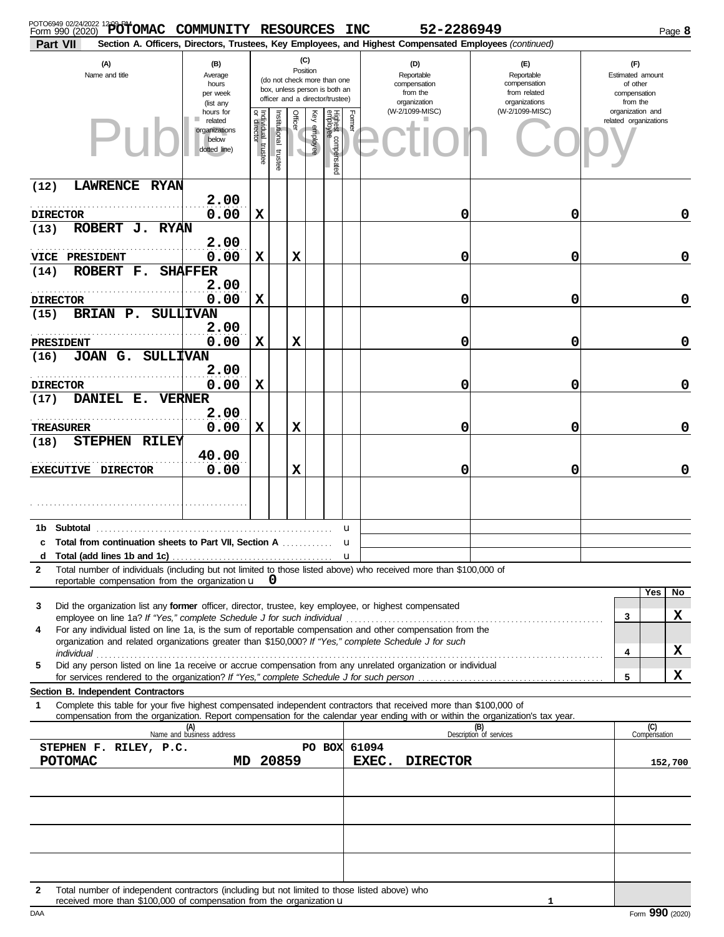| POTO6949 02/24/2022 12:<br>POTOMAC COMMUNITY RESOURCES<br>Form 990 (2020)                                                                                                                                                                                                                                                                          |                                                                                                                                                                        |                                      |                      |                |                                                    |        | <b>INC</b> | 52-2286949                                                    |                                                                    |   | Page 8                                                          |  |
|----------------------------------------------------------------------------------------------------------------------------------------------------------------------------------------------------------------------------------------------------------------------------------------------------------------------------------------------------|------------------------------------------------------------------------------------------------------------------------------------------------------------------------|--------------------------------------|----------------------|----------------|----------------------------------------------------|--------|------------|---------------------------------------------------------------|--------------------------------------------------------------------|---|-----------------------------------------------------------------|--|
| <b>Part VII</b><br>Section A. Officers, Directors, Trustees, Key Employees, and Highest Compensated Employees (continued)                                                                                                                                                                                                                          |                                                                                                                                                                        |                                      |                      |                |                                                    |        |            |                                                               |                                                                    |   |                                                                 |  |
| (A)<br>Name and title                                                                                                                                                                                                                                                                                                                              | (C)<br>(B)<br>Position<br>Average<br>(do not check more than one<br>hours<br>box, unless person is both an<br>per week<br>officer and a director/trustee)<br>(list any |                                      |                      |                |                                                    |        |            | (D)<br>Reportable<br>compensation<br>from the<br>organization | (F)<br>Reportable<br>compensation<br>from related<br>organizations |   | (F)<br>Estimated amount<br>of other<br>compensation<br>from the |  |
|                                                                                                                                                                                                                                                                                                                                                    | hours for<br>related<br>organizations<br>below<br>dotted line)                                                                                                         | Individual<br>or director<br>trustee | nstitutional trustee | <b>Officer</b> | Ķey<br>Highest compensated<br>employee<br>employee | Former |            | (W-2/1099-MISC)                                               | (W-2/1099-MISC)                                                    |   | organization and<br>related organizations                       |  |
| <b>LAWRENCE RYAN</b><br>(12)                                                                                                                                                                                                                                                                                                                       | 2.00                                                                                                                                                                   |                                      |                      |                |                                                    |        |            |                                                               |                                                                    |   |                                                                 |  |
| <b>DIRECTOR</b><br>ROBERT J. RYAN<br>(13)                                                                                                                                                                                                                                                                                                          | 0.00                                                                                                                                                                   | X                                    |                      |                |                                                    |        |            | 0                                                             | 0                                                                  |   | 0                                                               |  |
| .                                                                                                                                                                                                                                                                                                                                                  | 2.00                                                                                                                                                                   |                                      |                      |                |                                                    |        |            |                                                               |                                                                    |   |                                                                 |  |
| <b>VICE PRESIDENT</b><br>ROBERT F.<br>(14)                                                                                                                                                                                                                                                                                                         | 0.00<br><b>SHAFFER</b>                                                                                                                                                 | X                                    |                      | X              |                                                    |        |            | 0                                                             | 0                                                                  |   | 0                                                               |  |
| <b>DIRECTOR</b>                                                                                                                                                                                                                                                                                                                                    | 2.00<br>0.00                                                                                                                                                           | X                                    |                      |                |                                                    |        |            | 0                                                             | 0                                                                  |   | 0                                                               |  |
| BRIAN P. SULLIVAN<br>(15)                                                                                                                                                                                                                                                                                                                          | 2.00                                                                                                                                                                   |                                      |                      |                |                                                    |        |            |                                                               |                                                                    |   |                                                                 |  |
| PRESIDENT<br>JOAN G. SULLIVAN                                                                                                                                                                                                                                                                                                                      | 0.00                                                                                                                                                                   | X                                    |                      | X              |                                                    |        |            | 0                                                             | 0                                                                  |   | 0                                                               |  |
| (16)                                                                                                                                                                                                                                                                                                                                               | 2.00                                                                                                                                                                   |                                      |                      |                |                                                    |        |            |                                                               |                                                                    |   |                                                                 |  |
| <b>DIRECTOR</b><br>DANIEL E.<br>(17)                                                                                                                                                                                                                                                                                                               | 0.00<br><b>VERNER</b>                                                                                                                                                  | X                                    |                      |                |                                                    |        |            | 0                                                             | 0                                                                  |   | 0                                                               |  |
| TREASURER                                                                                                                                                                                                                                                                                                                                          | 2.00<br>0.00                                                                                                                                                           | х                                    |                      | X              |                                                    |        |            | 0                                                             | 0                                                                  |   | 0                                                               |  |
| <b>STEPHEN</b><br><b>RILEY</b><br>(18)                                                                                                                                                                                                                                                                                                             | 40.00                                                                                                                                                                  |                                      |                      |                |                                                    |        |            |                                                               |                                                                    |   |                                                                 |  |
| EXECUTIVE DIRECTOR                                                                                                                                                                                                                                                                                                                                 | 0.00                                                                                                                                                                   |                                      |                      | X              |                                                    |        |            | 0                                                             | 0                                                                  |   | 0                                                               |  |
|                                                                                                                                                                                                                                                                                                                                                    |                                                                                                                                                                        |                                      |                      |                |                                                    |        |            |                                                               |                                                                    |   |                                                                 |  |
| Subtotal<br>1b                                                                                                                                                                                                                                                                                                                                     |                                                                                                                                                                        |                                      |                      |                |                                                    | u      |            |                                                               |                                                                    |   |                                                                 |  |
| <b>Total from continuation sheets to Part VII, Section A</b><br>c<br>d                                                                                                                                                                                                                                                                             |                                                                                                                                                                        |                                      |                      |                |                                                    | u<br>u |            |                                                               |                                                                    |   |                                                                 |  |
| Total number of individuals (including but not limited to those listed above) who received more than \$100,000 of<br>$\mathbf{2}$<br>reportable compensation from the organization $\mathbf{u} \quad \mathbf{0}$                                                                                                                                   |                                                                                                                                                                        |                                      |                      |                |                                                    |        |            |                                                               |                                                                    |   |                                                                 |  |
| Did the organization list any former officer, director, trustee, key employee, or highest compensated<br>3                                                                                                                                                                                                                                         |                                                                                                                                                                        |                                      |                      |                |                                                    |        |            |                                                               |                                                                    |   | Yes<br>No                                                       |  |
| employee on line 1a? If "Yes," complete Schedule J for such individual [1] [1] contains the succession of the succession of the succession of the succession of the succession of the succession of the succession of the succ<br>For any individual listed on line 1a, is the sum of reportable compensation and other compensation from the<br>4 |                                                                                                                                                                        |                                      |                      |                |                                                    |        |            |                                                               |                                                                    | 3 | X                                                               |  |
| organization and related organizations greater than \$150,000? If "Yes," complete Schedule J for such<br>individual                                                                                                                                                                                                                                |                                                                                                                                                                        |                                      |                      |                |                                                    |        |            |                                                               |                                                                    | 4 | X                                                               |  |
| Did any person listed on line 1a receive or accrue compensation from any unrelated organization or individual<br>5                                                                                                                                                                                                                                 |                                                                                                                                                                        |                                      |                      |                |                                                    |        |            |                                                               |                                                                    | 5 | x                                                               |  |
| Section B. Independent Contractors                                                                                                                                                                                                                                                                                                                 |                                                                                                                                                                        |                                      |                      |                |                                                    |        |            |                                                               |                                                                    |   |                                                                 |  |
| Complete this table for your five highest compensated independent contractors that received more than \$100,000 of<br>1<br>compensation from the organization. Report compensation for the calendar year ending with or within the organization's tax year.                                                                                        | (A)                                                                                                                                                                    |                                      |                      |                |                                                    |        |            |                                                               |                                                                    |   | (C)                                                             |  |
| STEPHEN F. RILEY, P.C.                                                                                                                                                                                                                                                                                                                             | Name and business address                                                                                                                                              |                                      |                      |                | PO BOX                                             |        | 61094      |                                                               | (B)<br>Description of services                                     |   | Compensation                                                    |  |
| <b>POTOMAC</b>                                                                                                                                                                                                                                                                                                                                     |                                                                                                                                                                        |                                      | MD 20859             |                |                                                    |        | EXEC.      | <b>DIRECTOR</b>                                               |                                                                    |   | 152,700                                                         |  |
|                                                                                                                                                                                                                                                                                                                                                    |                                                                                                                                                                        |                                      |                      |                |                                                    |        |            |                                                               |                                                                    |   |                                                                 |  |
|                                                                                                                                                                                                                                                                                                                                                    |                                                                                                                                                                        |                                      |                      |                |                                                    |        |            |                                                               |                                                                    |   |                                                                 |  |
|                                                                                                                                                                                                                                                                                                                                                    |                                                                                                                                                                        |                                      |                      |                |                                                    |        |            |                                                               |                                                                    |   |                                                                 |  |
|                                                                                                                                                                                                                                                                                                                                                    |                                                                                                                                                                        |                                      |                      |                |                                                    |        |            |                                                               |                                                                    |   |                                                                 |  |
| Total number of independent contractors (including but not limited to those listed above) who<br>$\mathbf{2}$<br>received more than \$100,000 of compensation from the organization u                                                                                                                                                              |                                                                                                                                                                        |                                      |                      |                |                                                    |        |            |                                                               |                                                                    |   |                                                                 |  |

received more than  $$100,000$  of compensation from the organization  $\bf{u}$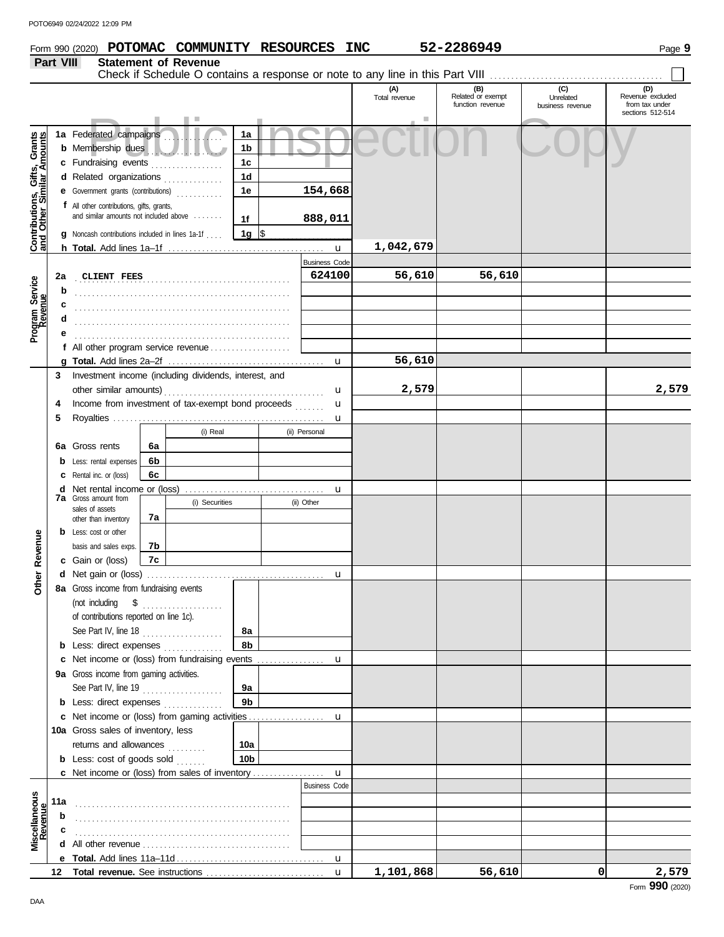|                                                           | Part VIII |                                                        |    | <b>Statement of Revenue</b> |                 |                           | Check if Schedule O contains a response or note to any line in this Part VIII [11] [11] [11] [11] [11] [11] [1 |                          |                               |                                    |
|-----------------------------------------------------------|-----------|--------------------------------------------------------|----|-----------------------------|-----------------|---------------------------|----------------------------------------------------------------------------------------------------------------|--------------------------|-------------------------------|------------------------------------|
|                                                           |           |                                                        |    |                             |                 |                           | (A)                                                                                                            | (B)<br>Related or exempt | (C)                           | (D)                                |
|                                                           |           |                                                        |    |                             |                 |                           | Total revenue                                                                                                  | function revenue         | Unrelated<br>business revenue | Revenue excluded<br>from tax under |
|                                                           |           |                                                        |    |                             |                 |                           |                                                                                                                |                          |                               | sections 512-514                   |
|                                                           |           | 1a Federated campaigns                                 |    |                             | 1a              |                           |                                                                                                                |                          |                               |                                    |
| Contributions, Gifts, Grants<br>and Other Similar Amounts |           | <b>b</b> Membership dues                               |    |                             | 1b              |                           |                                                                                                                |                          |                               |                                    |
|                                                           |           | c Fundraising events                                   |    |                             | 1c              |                           |                                                                                                                |                          |                               |                                    |
|                                                           |           | d Related organizations                                |    |                             | 1d              |                           |                                                                                                                |                          |                               |                                    |
|                                                           |           | e Government grants (contributions)                    |    |                             | 1e              | 154,668                   |                                                                                                                |                          |                               |                                    |
|                                                           |           | f All other contributions, gifts, grants,              |    |                             |                 |                           |                                                                                                                |                          |                               |                                    |
|                                                           |           | and similar amounts not included above                 |    |                             | 1f              | 888,011                   |                                                                                                                |                          |                               |                                    |
|                                                           |           | <b>g</b> Noncash contributions included in lines 1a-1f |    |                             | 1g $\sqrt{3}$   |                           |                                                                                                                |                          |                               |                                    |
|                                                           |           |                                                        |    |                             |                 | $\mathbf u$               | 1,042,679                                                                                                      |                          |                               |                                    |
|                                                           |           |                                                        |    |                             |                 | <b>Business Code</b>      |                                                                                                                |                          |                               |                                    |
|                                                           | 2a        | CLIENT FEES                                            |    |                             |                 | 624100                    | 56,610                                                                                                         | 56,610                   |                               |                                    |
| Program Service<br>Revenue                                | b         |                                                        |    |                             |                 |                           |                                                                                                                |                          |                               |                                    |
|                                                           | c         |                                                        |    |                             |                 |                           |                                                                                                                |                          |                               |                                    |
|                                                           | d         |                                                        |    |                             |                 |                           |                                                                                                                |                          |                               |                                    |
|                                                           |           | f All other program service revenue                    |    |                             |                 |                           |                                                                                                                |                          |                               |                                    |
|                                                           |           |                                                        |    |                             |                 | u                         | 56,610                                                                                                         |                          |                               |                                    |
|                                                           | 3         | Investment income (including dividends, interest, and  |    |                             |                 |                           |                                                                                                                |                          |                               |                                    |
|                                                           |           |                                                        |    |                             |                 | $\mathbf u$               | 2,579                                                                                                          |                          |                               | 2,579                              |
|                                                           | 4         | Income from investment of tax-exempt bond proceeds     |    |                             |                 | u                         |                                                                                                                |                          |                               |                                    |
|                                                           | 5         |                                                        |    |                             |                 | u                         |                                                                                                                |                          |                               |                                    |
|                                                           |           |                                                        |    | (i) Real                    |                 | (ii) Personal             |                                                                                                                |                          |                               |                                    |
|                                                           |           | 6a Gross rents                                         | 6а |                             |                 |                           |                                                                                                                |                          |                               |                                    |
|                                                           | b         | Less: rental expenses                                  | 6b |                             |                 |                           |                                                                                                                |                          |                               |                                    |
|                                                           |           | Rental inc. or (loss)                                  | 6с |                             |                 |                           |                                                                                                                |                          |                               |                                    |
|                                                           |           | <b>d</b> Net rental income or (loss)                   |    |                             |                 | u                         |                                                                                                                |                          |                               |                                    |
|                                                           |           | <b>7a</b> Gross amount from<br>sales of assets         |    | (i) Securities              |                 | (ii) Other                |                                                                                                                |                          |                               |                                    |
|                                                           |           | other than inventory                                   | 7а |                             |                 |                           |                                                                                                                |                          |                               |                                    |
|                                                           |           | <b>b</b> Less: cost or other                           |    |                             |                 |                           |                                                                                                                |                          |                               |                                    |
| Revenue                                                   |           | basis and sales exps.                                  | 7b |                             |                 |                           |                                                                                                                |                          |                               |                                    |
|                                                           |           | c Gain or (loss)                                       | 7c |                             |                 |                           |                                                                                                                |                          |                               |                                    |
| ē<br>€                                                    |           | 8a Gross income from fundraising events                |    |                             |                 | u                         |                                                                                                                |                          |                               |                                    |
| o                                                         |           | (not including $\quad$ \$                              |    |                             |                 |                           |                                                                                                                |                          |                               |                                    |
|                                                           |           | of contributions reported on line 1c).                 |    |                             |                 |                           |                                                                                                                |                          |                               |                                    |
|                                                           |           | See Part IV, line $18$                                 |    |                             | 8a              |                           |                                                                                                                |                          |                               |                                    |
|                                                           |           | <b>b</b> Less: direct expenses <i>minimum</i>          |    |                             | 8b              |                           |                                                                                                                |                          |                               |                                    |
|                                                           |           | c Net income or (loss) from fundraising events         |    |                             |                 | u                         |                                                                                                                |                          |                               |                                    |
|                                                           |           | 9a Gross income from gaming activities.                |    |                             |                 |                           |                                                                                                                |                          |                               |                                    |
|                                                           |           | See Part IV, line 19                                   |    |                             | 9a              |                           |                                                                                                                |                          |                               |                                    |
|                                                           |           | <b>b</b> Less: direct expenses <i>minimum</i>          |    |                             | 9 <sub>b</sub>  |                           |                                                                                                                |                          |                               |                                    |
|                                                           |           | c Net income or (loss) from gaming activities          |    |                             |                 | u                         |                                                                                                                |                          |                               |                                    |
|                                                           |           | 10a Gross sales of inventory, less                     |    |                             |                 |                           |                                                                                                                |                          |                               |                                    |
|                                                           |           | returns and allowances                                 |    |                             | 10a             |                           |                                                                                                                |                          |                               |                                    |
|                                                           |           | <b>b</b> Less: cost of goods sold                      |    |                             | 10 <sub>b</sub> |                           |                                                                                                                |                          |                               |                                    |
|                                                           |           | c Net income or (loss) from sales of inventory         |    |                             |                 | u<br><b>Business Code</b> |                                                                                                                |                          |                               |                                    |
|                                                           |           |                                                        |    |                             |                 |                           |                                                                                                                |                          |                               |                                    |
|                                                           | 11a<br>b  |                                                        |    |                             |                 |                           |                                                                                                                |                          |                               |                                    |
| Miscellaneous<br>Revenue                                  |           |                                                        |    |                             |                 |                           |                                                                                                                |                          |                               |                                    |
|                                                           |           |                                                        |    |                             |                 |                           |                                                                                                                |                          |                               |                                    |
|                                                           |           |                                                        |    |                             |                 | $\mathbf u$               |                                                                                                                |                          |                               |                                    |
|                                                           |           |                                                        |    |                             |                 | $\mathbf{u}$              | 1,101,868                                                                                                      | 56,610                   | 0                             | 2,579                              |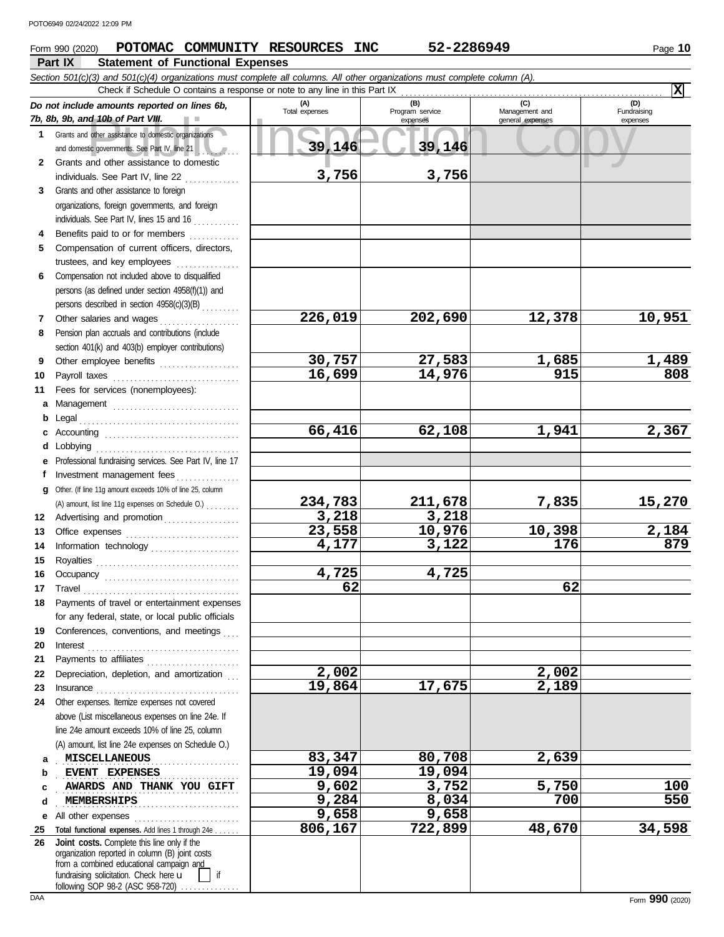# **Form 990 (2020) POTOMAC COMMUNITY RESOURCES INC** 52-2286949 Page 10

**X**

**Part IX Statement of Functional Expenses** *Section 501(c)(3) and 501(c)(4) organizations must complete all columns. All other organizations must complete column (A). Do not include amounts reported on lines 6b,* Check if Schedule O contains a response or note to any line in this Part IX

|          | Do not include amounts reported on lines 6b,<br>7b, 8b, 9b, and 10b of Part VIII.                                                                                                                                                                                                                                                                                                                                                                                                                                   | (A)<br>Total expenses | (B)<br>Program service<br>expenses | (C)<br>Management and<br>general expenses | (D)<br>Fundraising<br>expenses |
|----------|---------------------------------------------------------------------------------------------------------------------------------------------------------------------------------------------------------------------------------------------------------------------------------------------------------------------------------------------------------------------------------------------------------------------------------------------------------------------------------------------------------------------|-----------------------|------------------------------------|-------------------------------------------|--------------------------------|
| 1        | Grants and other assistance to domestic organizations                                                                                                                                                                                                                                                                                                                                                                                                                                                               |                       |                                    |                                           |                                |
|          | and domestic governments. See Part IV, line 21                                                                                                                                                                                                                                                                                                                                                                                                                                                                      | 39,146                | 39,146                             |                                           |                                |
| 2        | Grants and other assistance to domestic                                                                                                                                                                                                                                                                                                                                                                                                                                                                             |                       |                                    |                                           |                                |
|          | individuals. See Part IV, line 22                                                                                                                                                                                                                                                                                                                                                                                                                                                                                   | 3,756                 | 3,756                              |                                           |                                |
| 3        | Grants and other assistance to foreign                                                                                                                                                                                                                                                                                                                                                                                                                                                                              |                       |                                    |                                           |                                |
|          | organizations, foreign governments, and foreign                                                                                                                                                                                                                                                                                                                                                                                                                                                                     |                       |                                    |                                           |                                |
|          |                                                                                                                                                                                                                                                                                                                                                                                                                                                                                                                     |                       |                                    |                                           |                                |
| 4        | Benefits paid to or for members                                                                                                                                                                                                                                                                                                                                                                                                                                                                                     |                       |                                    |                                           |                                |
| 5        | Compensation of current officers, directors,                                                                                                                                                                                                                                                                                                                                                                                                                                                                        |                       |                                    |                                           |                                |
|          | trustees, and key employees                                                                                                                                                                                                                                                                                                                                                                                                                                                                                         |                       |                                    |                                           |                                |
| 6        | Compensation not included above to disqualified                                                                                                                                                                                                                                                                                                                                                                                                                                                                     |                       |                                    |                                           |                                |
|          | persons (as defined under section 4958(f)(1)) and                                                                                                                                                                                                                                                                                                                                                                                                                                                                   |                       |                                    |                                           |                                |
|          | persons described in section 4958(c)(3)(B)                                                                                                                                                                                                                                                                                                                                                                                                                                                                          |                       |                                    |                                           |                                |
| 7        | Other salaries and wages<br>.                                                                                                                                                                                                                                                                                                                                                                                                                                                                                       | 226,019               | 202,690                            | 12,378                                    | 10,951                         |
| 8        | Pension plan accruals and contributions (include                                                                                                                                                                                                                                                                                                                                                                                                                                                                    |                       |                                    |                                           |                                |
|          | section 401(k) and 403(b) employer contributions)                                                                                                                                                                                                                                                                                                                                                                                                                                                                   |                       |                                    |                                           |                                |
| 9        | Other employee benefits                                                                                                                                                                                                                                                                                                                                                                                                                                                                                             | 30,757                | 27,583<br>14,976                   | 1,685<br>915                              | $\frac{1,489}{808}$            |
| 10       | Payroll taxes                                                                                                                                                                                                                                                                                                                                                                                                                                                                                                       | 16,699                |                                    |                                           |                                |
| 11       | Fees for services (nonemployees):                                                                                                                                                                                                                                                                                                                                                                                                                                                                                   |                       |                                    |                                           |                                |
| a        | Management                                                                                                                                                                                                                                                                                                                                                                                                                                                                                                          |                       |                                    |                                           |                                |
| b<br>c   |                                                                                                                                                                                                                                                                                                                                                                                                                                                                                                                     | 66,416                | 62,108                             | 1,941                                     | 2,367                          |
| d        | Accounting                                                                                                                                                                                                                                                                                                                                                                                                                                                                                                          |                       |                                    |                                           |                                |
| е        | Professional fundraising services. See Part IV, line 17                                                                                                                                                                                                                                                                                                                                                                                                                                                             |                       |                                    |                                           |                                |
| f        | Investment management fees                                                                                                                                                                                                                                                                                                                                                                                                                                                                                          |                       |                                    |                                           |                                |
| g        | Other. (If line 11g amount exceeds 10% of line 25, column                                                                                                                                                                                                                                                                                                                                                                                                                                                           |                       |                                    |                                           |                                |
|          | (A) amount, list line 11g expenses on Schedule O.)                                                                                                                                                                                                                                                                                                                                                                                                                                                                  | 234,783               | 211,678                            | 7,835                                     | 15,270                         |
| 12       | Advertising and promotion                                                                                                                                                                                                                                                                                                                                                                                                                                                                                           | 3,218                 | 3,218                              |                                           |                                |
| 13       |                                                                                                                                                                                                                                                                                                                                                                                                                                                                                                                     | 23,558                | 10,976                             | 10,398                                    | $\frac{2,184}{879}$            |
| 14       | Information technology                                                                                                                                                                                                                                                                                                                                                                                                                                                                                              | 4,177                 | 3,122                              | 176                                       |                                |
| 15       |                                                                                                                                                                                                                                                                                                                                                                                                                                                                                                                     |                       |                                    |                                           |                                |
| 16       | Occupancy                                                                                                                                                                                                                                                                                                                                                                                                                                                                                                           | 4,725                 | 4,725                              |                                           |                                |
| 17       | Travel                                                                                                                                                                                                                                                                                                                                                                                                                                                                                                              | 62                    |                                    | 62                                        |                                |
| 18       | Payments of travel or entertainment expenses                                                                                                                                                                                                                                                                                                                                                                                                                                                                        |                       |                                    |                                           |                                |
|          | for any federal, state, or local public officials                                                                                                                                                                                                                                                                                                                                                                                                                                                                   |                       |                                    |                                           |                                |
|          | 19 Conferences, conventions, and meetings                                                                                                                                                                                                                                                                                                                                                                                                                                                                           |                       |                                    |                                           |                                |
| 20       | Interest                                                                                                                                                                                                                                                                                                                                                                                                                                                                                                            |                       |                                    |                                           |                                |
| 21       | Payments to affiliates                                                                                                                                                                                                                                                                                                                                                                                                                                                                                              | $\frac{1}{2,002}$     |                                    | 2,002                                     |                                |
| 22       | Depreciation, depletion, and amortization                                                                                                                                                                                                                                                                                                                                                                                                                                                                           | 19,864                | 17,675                             | 2,189                                     |                                |
| 23<br>24 | $In \textbf{surance} \underbrace{\hspace{1cm}} \hspace{1cm} \ldots \hspace{1cm} \ldots \hspace{1cm} \ldots \hspace{1cm} \ldots \hspace{1cm} \ldots \hspace{1cm} \ldots \hspace{1cm} \ldots \hspace{1cm} \ldots \hspace{1cm} \ldots \hspace{1cm} \ldots \hspace{1cm} \ldots \hspace{1cm} \ldots \hspace{1cm} \ldots \hspace{1cm} \ldots \hspace{1cm} \ldots \hspace{1cm} \ldots \hspace{1cm} \ldots \hspace{1cm} \ldots \hspace{1cm} \ldots \hspace{1cm} \ldots \hs$<br>Other expenses. Itemize expenses not covered |                       |                                    |                                           |                                |
|          | above (List miscellaneous expenses on line 24e. If                                                                                                                                                                                                                                                                                                                                                                                                                                                                  |                       |                                    |                                           |                                |
|          | line 24e amount exceeds 10% of line 25, column                                                                                                                                                                                                                                                                                                                                                                                                                                                                      |                       |                                    |                                           |                                |
|          | (A) amount, list line 24e expenses on Schedule O.)                                                                                                                                                                                                                                                                                                                                                                                                                                                                  |                       |                                    |                                           |                                |
| a        | <b>MISCELLANEOUS</b>                                                                                                                                                                                                                                                                                                                                                                                                                                                                                                | 83,347                | 80,708                             | 2,639                                     |                                |
| b        | <b>EVENT EXPENSES</b>                                                                                                                                                                                                                                                                                                                                                                                                                                                                                               | 19,094                | 19,094                             |                                           |                                |
| c        | AWARDS AND THANK YOU GIFT                                                                                                                                                                                                                                                                                                                                                                                                                                                                                           | 9,602                 | 3,752                              | 5,750                                     | 100                            |
| d        | MEMBERSHIPS                                                                                                                                                                                                                                                                                                                                                                                                                                                                                                         | 9,284                 | 8,034                              | 700                                       | 550                            |
| е        | All other expenses                                                                                                                                                                                                                                                                                                                                                                                                                                                                                                  | 9,658                 | 9,658                              |                                           |                                |
| 25       | Total functional expenses. Add lines 1 through 24e                                                                                                                                                                                                                                                                                                                                                                                                                                                                  | 806,167               | 722,899                            | 48,670                                    | 34,598                         |
| 26       | Joint costs. Complete this line only if the                                                                                                                                                                                                                                                                                                                                                                                                                                                                         |                       |                                    |                                           |                                |
|          | organization reported in column (B) joint costs<br>from a combined educational campaign and                                                                                                                                                                                                                                                                                                                                                                                                                         |                       |                                    |                                           |                                |
|          | fundraising solicitation. Check here u<br>if                                                                                                                                                                                                                                                                                                                                                                                                                                                                        |                       |                                    |                                           |                                |
|          |                                                                                                                                                                                                                                                                                                                                                                                                                                                                                                                     |                       |                                    |                                           |                                |
| DAA      |                                                                                                                                                                                                                                                                                                                                                                                                                                                                                                                     |                       |                                    |                                           | Form 990 (2020)                |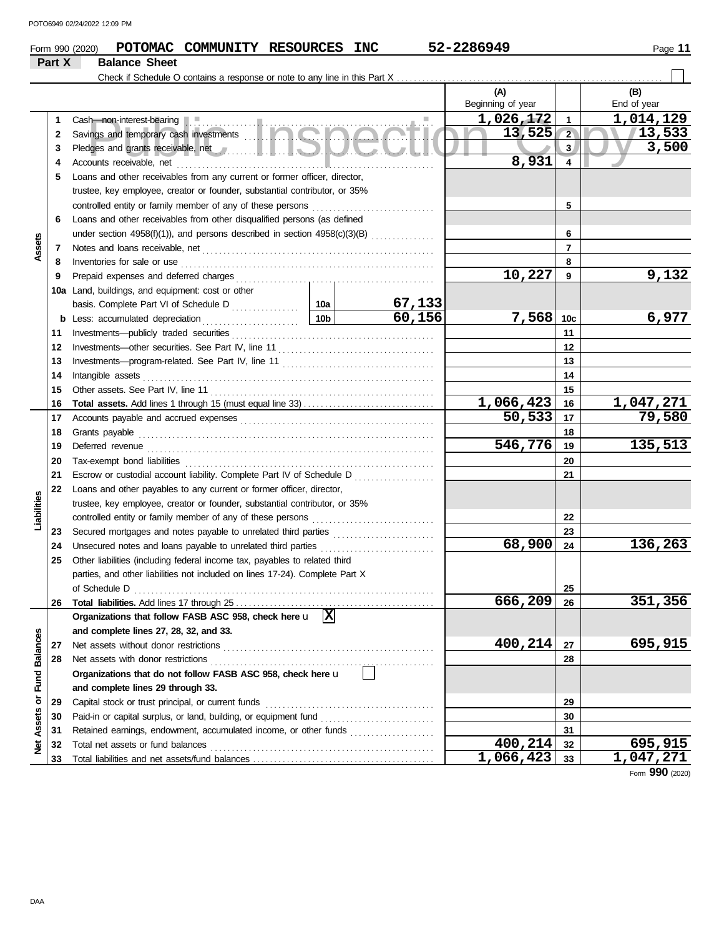## **Form 990 (2020) POTOMAC COMMUNITY RESOURCES INC** 52-2286949 Page 11

#### **Part X Balance Sheet** Check if Schedule O contains a response or note to any line in this Part X **(A) (B)** Beginning of year | | End of year Cash—non-interest-bearing . . . . . . . . . . . . . . . . . . . . . . . . . . . . . . . . . . . . . . . . . . . . . . . . . . . . . . . . . . . **1,026,172 1,014,129** Public Inspection Copy Accounts receivable, net . . . . . . . . . . . . . . . . . . . . . . . . . . . . . . . . . . . . . . . . . . . . . . . . . . . . . . . . . . . . . **1 1 13,525 13,533 2 2** Savings and temporary cash investments . . . . . . . . . . . . . . . . . . . . . . . . . . . . . . . . . . . . . . . . . . . . . **3 3,500 3** Pledges and grants receivable, net . . . . . . . . . . . . . . . . . . . . . . . . . . . . . . . . . . . . . . . . . . . . . . . . . . . . **8,931 4 4 5** Loans and other receivables from any current or former officer, director, trustee, key employee, creator or founder, substantial contributor, or 35% controlled entity or family member of any of these persons ............................. **5 6** Loans and other receivables from other disqualified persons (as defined **6** under section  $4958(f)(1)$ , and persons described in section  $4958(c)(3)(B)$  .............. **Assets 7 7** Notes and loans receivable, net . . . . . . . . . . . . . . . . . . . . . . . . . . . . . . . . . . . . . . . . . . . . . . . . . . . . . . . **8 8** Inventories for sale or use . . . . . . . . . . . . . . . . . . . . . . . . . . . . . . . . . . . . . . . . . . . . . . . . . . . . . . . . . . . . Prepaid expenses and deferred charges . . . . . . . . . . . . . . . . . . . . . . . . . . . . . . . . . . . . . . . . . . . . . . . **10,227 9,132 9 9 10a** Land, buildings, and equipment: cost or other basis. Complete Part VI of Schedule D . . . . . . . . . . . . . . **10a 67,133 60,156 7,568 6,977 10c b** Less: accumulated depreciation . . . . . . . . . . . . . . . . . . . . . . . **10b 11** Investments—publicly traded securities . . . . . . . . . . . . . . . . . . . . . . . . . . . . . . . . . . . . . . . . . . . . . . . . **11** Investments—other securities. See Part IV, line 11 . . . . . . . . . . . . . . . . . . . . . . . . . . . . . . . . . . . . . **12 12 13 13** Investments—program-related. See Part IV, line 11 . . . . . . . . . . . . . . . . . . . . . . . . . . . . . . . . . . . . **14 14** Intangible assets . . . . . . . . . . . . . . . . . . . . . . . . . . . . . . . . . . . . . . . . . . . . . . . . . . . . . . . . . . . . . . . . . . . . . **15 15** Other assets. See Part IV, line 11 . . . . . . . . . . . . . . . . . . . . . . . . . . . . . . . . . . . . . . . . . . . . . . . . . . . . . **1,066,423 16 1,047,271**<br>50,533 **17 79,580 16 Total assets.** Add lines 1 through 15 (must equal line 33) . . . . . . . . . . . . . . . . . . . . . . . . . . . . . . . **16** Accounts payable and accrued expenses . . . . . . . . . . . . . . . . . . . . . . . . . . . . . . . . . . . . . . . . . . . . . . **50,533 79,580 17 17** Grants payable . . . . . . . . . . . . . . . . . . . . . . . . . . . . . . . . . . . . . . . . . . . . . . . . . . . . . . . . . . . . . . . . . . . . . . **18 18 546,776 135,513 19** Deferred revenue . . . . . . . . . . . . . . . . . . . . . . . . . . . . . . . . . . . . . . . . . . . . . . . . . . . . . . . . . . . . . . . . . . . . **19 20 20** Tax-exempt bond liabilities . . . . . . . . . . . . . . . . . . . . . . . . . . . . . . . . . . . . . . . . . . . . . . . . . . . . . . . . . . . Escrow or custodial account liability. Complete Part IV of Schedule D . . . . . . . . . . . . . . . . . . . **21 21 22** Loans and other payables to any current or former officer, director, **Liabilities** trustee, key employee, creator or founder, substantial contributor, or 35% **22** controlled entity or family member of any of these persons Secured mortgages and notes payable to unrelated third parties ....................... **23 23 68,900 136,263 24 24** Unsecured notes and loans payable to unrelated third parties **. . . . . . . . . . . . . . . . . .** . . . . . . . . **25** Other liabilities (including federal income tax, payables to related third parties, and other liabilities not included on lines 17-24). Complete Part X of Schedule D . . . . . . . . . . . . . . . . . . . . . . . . . . . . . . . . . . . . . . . . . . . . . . . . . . . . . . . . . . . . . . . . . . . . . . . **25 666,209 351,356 26** Total liabilities. Add lines 17 through 25 . **26 Organizations that follow FASB ASC 958, check here** u **X and complete lines 27, 28, 32, and 33. Fund Balances Net Assets or Fund Balances 400,214 695,915** Net assets without donor restrictions . . . . . . . . . . . . . . . . . . . . . . . . . . . . . . . . . . . . . . . . . . . . . . . . . . **27 27 28 28** Net assets with donor restrictions . . . . . . . . . . . . . . . . . . . . . . . . . . . . . . . . . . . . . . . . . . . . . . . . . . . . . **Organizations that do not follow FASB ASC 958, check here** u **and complete lines 29 through 33.** ð **29 29** Capital stock or trust principal, or current funds **constantly constantly constantly constantly constantly constantly constantly constantly constantly constantly constantly constantly constantly constantly constantly** Assets Paid-in or capital surplus, or land, building, or equipment fund ............................ **30 30 31** Retained earnings, endowment, accumulated income, or other funds . . . . . . . . . . . . . . . . . . . . **31 400,214 695,915**  $\frac{1}{2}$ Total net assets or fund balances . . . . . . . . . . . . . . . . . . . . . . . . . . . . . . . . . . . . . . . . . . . . . . . . . . . . . **32 32 33** Total liabilities and net assets/fund balances . . . . . . . . . . . . . . . . . . . . . . . . . . . . . . . . . . . . . . . . . . . **1,066,423 1,047,271 33**

Form **990** (2020)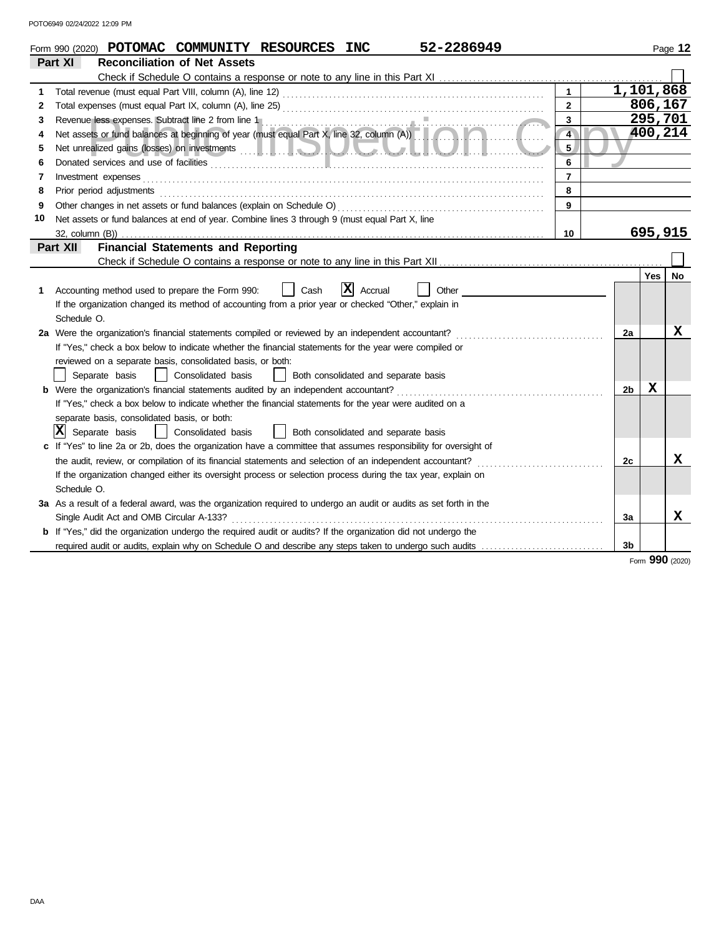|    | 52-2286949<br>Form 990 (2020) POTOMAC COMMUNITY RESOURCES INC                                                                                                                                                                  |                         |           |                | Page 12 |
|----|--------------------------------------------------------------------------------------------------------------------------------------------------------------------------------------------------------------------------------|-------------------------|-----------|----------------|---------|
|    | Part XI<br><b>Reconciliation of Net Assets</b>                                                                                                                                                                                 |                         |           |                |         |
|    |                                                                                                                                                                                                                                |                         |           |                |         |
| 1  |                                                                                                                                                                                                                                | $\mathbf{1}$            | 1,101,868 |                |         |
| 2  |                                                                                                                                                                                                                                | $\overline{2}$          |           | 806,167        |         |
| 3  |                                                                                                                                                                                                                                | $\overline{\mathbf{3}}$ |           | 295,701        |         |
| 4  | Net assets or fund balances at beginning of year (must equal Part X, line 32, column (A))                                                                                                                                      | $\overline{4}$          |           | 400,214        |         |
| 5  |                                                                                                                                                                                                                                | 5 <sub>1</sub>          |           |                |         |
| 6  | Donated services and use of facilities <b>constructed and the service of facilities</b>                                                                                                                                        | 6                       |           |                |         |
| 7  | Investment expenses with the contract of the contract of the contract of the contract of the contract of the contract of the contract of the contract of the contract of the contract of the contract of the contract of the c | $\overline{7}$          |           |                |         |
| 8  | Prior period adjustments contains and a substitution of the contact of the contact of the contact of the contact of the contact of the contact of the contact of the contact of the contact of the contact of the contact of t | 8                       |           |                |         |
| 9  |                                                                                                                                                                                                                                | 9                       |           |                |         |
| 10 | Net assets or fund balances at end of year. Combine lines 3 through 9 (must equal Part X, line                                                                                                                                 |                         |           |                |         |
|    |                                                                                                                                                                                                                                | 10                      |           | 695,915        |         |
|    | <b>Financial Statements and Reporting</b><br>Part XII                                                                                                                                                                          |                         |           |                |         |
|    |                                                                                                                                                                                                                                |                         |           |                |         |
|    |                                                                                                                                                                                                                                |                         |           | Yes            | No      |
| 1. | $\mathbf{X}$ Accrual<br>Other<br>Accounting method used to prepare the Form 990:<br>Cash                                                                                                                                       |                         |           |                |         |
|    | If the organization changed its method of accounting from a prior year or checked "Other," explain in                                                                                                                          |                         |           |                |         |
|    | Schedule O.                                                                                                                                                                                                                    |                         |           |                |         |
|    | 2a Were the organization's financial statements compiled or reviewed by an independent accountant?                                                                                                                             |                         | 2a        |                | x       |
|    | If "Yes," check a box below to indicate whether the financial statements for the year were compiled or                                                                                                                         |                         |           |                |         |
|    | reviewed on a separate basis, consolidated basis, or both:                                                                                                                                                                     |                         |           |                |         |
|    | Consolidated basis<br>Both consolidated and separate basis<br>Separate basis<br>$\mathbf{1}$                                                                                                                                   |                         |           |                |         |
|    |                                                                                                                                                                                                                                |                         | 2b        | х              |         |
|    | If "Yes," check a box below to indicate whether the financial statements for the year were audited on a                                                                                                                        |                         |           |                |         |
|    | separate basis, consolidated basis, or both:                                                                                                                                                                                   |                         |           |                |         |
|    | $ X $ Separate basis<br>    Both consolidated and separate basis<br>Consolidated basis                                                                                                                                         |                         |           |                |         |
|    | c If "Yes" to line 2a or 2b, does the organization have a committee that assumes responsibility for oversight of                                                                                                               |                         |           |                |         |
|    | the audit, review, or compilation of its financial statements and selection of an independent accountant?                                                                                                                      |                         | 2c        |                | x       |
|    | If the organization changed either its oversight process or selection process during the tax year, explain on                                                                                                                  |                         |           |                |         |
|    | Schedule O.                                                                                                                                                                                                                    |                         |           |                |         |
|    | 3a As a result of a federal award, was the organization required to undergo an audit or audits as set forth in the                                                                                                             |                         |           |                |         |
|    |                                                                                                                                                                                                                                |                         | 3a        |                | X       |
|    | <b>b</b> If "Yes," did the organization undergo the required audit or audits? If the organization did not undergo the                                                                                                          |                         |           |                |         |
|    | required audit or audits, explain why on Schedule O and describe any steps taken to undergo such audits                                                                                                                        |                         | 3b        |                |         |
|    |                                                                                                                                                                                                                                |                         |           | 0 <sub>0</sub> |         |

Form **990** (2020)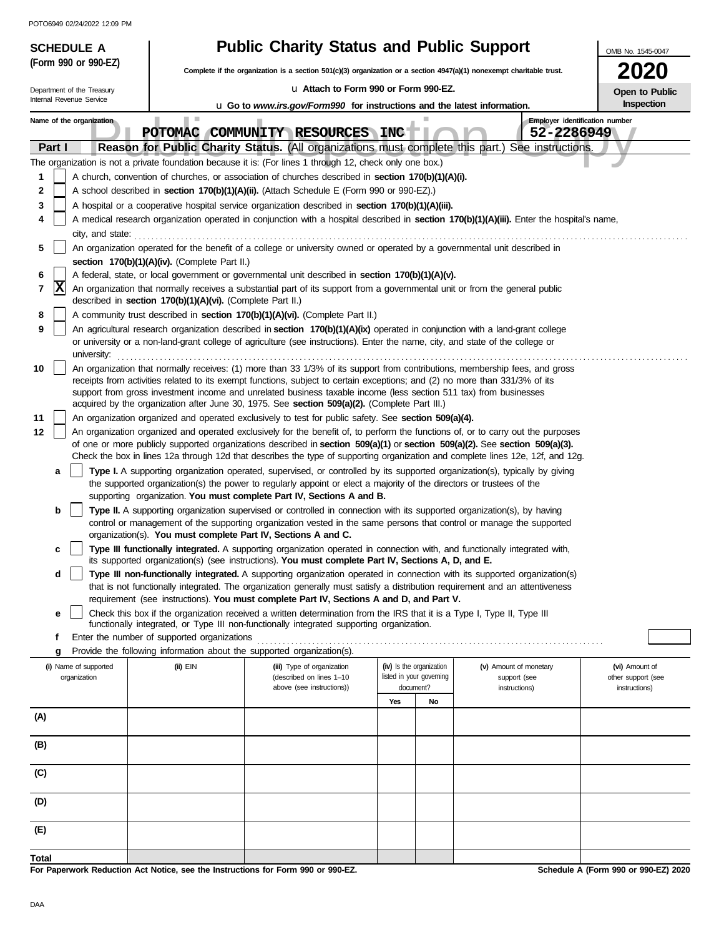| PUTU6949 UZIZ4IZUZZ 1Z:U9 PM<br><b>Public Charity Status and Public Support</b><br><b>SCHEDULE A</b> |                                                                        |                                                                                                                                                                                                                                                                |                          |    |                        |                                |                              |
|------------------------------------------------------------------------------------------------------|------------------------------------------------------------------------|----------------------------------------------------------------------------------------------------------------------------------------------------------------------------------------------------------------------------------------------------------------|--------------------------|----|------------------------|--------------------------------|------------------------------|
| (Form 990 or 990-EZ)                                                                                 |                                                                        | Complete if the organization is a section 501(c)(3) organization or a section 4947(a)(1) nonexempt charitable trust.                                                                                                                                           |                          |    |                        |                                | OMB No. 1545-0047<br>2020    |
| Department of the Treasury                                                                           |                                                                        | La Attach to Form 990 or Form 990-EZ.                                                                                                                                                                                                                          |                          |    |                        |                                |                              |
| Internal Revenue Service<br>u Go to www.irs.gov/Form990 for instructions and the latest information. |                                                                        |                                                                                                                                                                                                                                                                |                          |    |                        |                                | Open to Public<br>Inspection |
| Name of the organization                                                                             | U.<br>П                                                                |                                                                                                                                                                                                                                                                |                          |    |                        | Employer identification number |                              |
|                                                                                                      |                                                                        | POTOMAC COMMUNITY RESOURCES INC                                                                                                                                                                                                                                |                          |    |                        | 52-2286949                     |                              |
| Part I                                                                                               |                                                                        | Reason for Public Charity Status. (All organizations must complete this part.) See instructions.                                                                                                                                                               |                          |    |                        |                                |                              |
|                                                                                                      |                                                                        | The organization is not a private foundation because it is: (For lines 1 through 12, check only one box.)                                                                                                                                                      |                          |    |                        |                                |                              |
| 1<br>2                                                                                               |                                                                        | A church, convention of churches, or association of churches described in section 170(b)(1)(A)(i).<br>A school described in section 170(b)(1)(A)(ii). (Attach Schedule E (Form 990 or 990-EZ).)                                                                |                          |    |                        |                                |                              |
| 3                                                                                                    |                                                                        | A hospital or a cooperative hospital service organization described in section 170(b)(1)(A)(iii).                                                                                                                                                              |                          |    |                        |                                |                              |
| 4                                                                                                    |                                                                        | A medical research organization operated in conjunction with a hospital described in section 170(b)(1)(A)(iii). Enter the hospital's name,                                                                                                                     |                          |    |                        |                                |                              |
| city, and state:                                                                                     |                                                                        |                                                                                                                                                                                                                                                                |                          |    |                        |                                |                              |
| 5                                                                                                    |                                                                        | An organization operated for the benefit of a college or university owned or operated by a governmental unit described in                                                                                                                                      |                          |    |                        |                                |                              |
|                                                                                                      | section 170(b)(1)(A)(iv). (Complete Part II.)                          |                                                                                                                                                                                                                                                                |                          |    |                        |                                |                              |
| 6<br> X<br>7                                                                                         |                                                                        | A federal, state, or local government or governmental unit described in section 170(b)(1)(A)(v).<br>An organization that normally receives a substantial part of its support from a governmental unit or from the general public                               |                          |    |                        |                                |                              |
|                                                                                                      | described in section 170(b)(1)(A)(vi). (Complete Part II.)             |                                                                                                                                                                                                                                                                |                          |    |                        |                                |                              |
| 8                                                                                                    |                                                                        | A community trust described in section 170(b)(1)(A)(vi). (Complete Part II.)                                                                                                                                                                                   |                          |    |                        |                                |                              |
| 9                                                                                                    |                                                                        | An agricultural research organization described in section 170(b)(1)(A)(ix) operated in conjunction with a land-grant college                                                                                                                                  |                          |    |                        |                                |                              |
| university:                                                                                          |                                                                        | or university or a non-land-grant college of agriculture (see instructions). Enter the name, city, and state of the college or                                                                                                                                 |                          |    |                        |                                |                              |
| 10                                                                                                   |                                                                        | An organization that normally receives: (1) more than 33 1/3% of its support from contributions, membership fees, and gross                                                                                                                                    |                          |    |                        |                                |                              |
|                                                                                                      |                                                                        | receipts from activities related to its exempt functions, subject to certain exceptions; and (2) no more than 331/3% of its                                                                                                                                    |                          |    |                        |                                |                              |
|                                                                                                      |                                                                        | support from gross investment income and unrelated business taxable income (less section 511 tax) from businesses<br>acquired by the organization after June 30, 1975. See section 509(a)(2). (Complete Part III.)                                             |                          |    |                        |                                |                              |
| 11                                                                                                   |                                                                        | An organization organized and operated exclusively to test for public safety. See section 509(a)(4).                                                                                                                                                           |                          |    |                        |                                |                              |
| 12                                                                                                   |                                                                        | An organization organized and operated exclusively for the benefit of, to perform the functions of, or to carry out the purposes                                                                                                                               |                          |    |                        |                                |                              |
|                                                                                                      |                                                                        | of one or more publicly supported organizations described in section 509(a)(1) or section 509(a)(2). See section 509(a)(3).                                                                                                                                    |                          |    |                        |                                |                              |
| a                                                                                                    |                                                                        | Check the box in lines 12a through 12d that describes the type of supporting organization and complete lines 12e, 12f, and 12g.<br>Type I. A supporting organization operated, supervised, or controlled by its supported organization(s), typically by giving |                          |    |                        |                                |                              |
|                                                                                                      |                                                                        | the supported organization(s) the power to regularly appoint or elect a majority of the directors or trustees of the                                                                                                                                           |                          |    |                        |                                |                              |
|                                                                                                      |                                                                        | supporting organization. You must complete Part IV, Sections A and B.                                                                                                                                                                                          |                          |    |                        |                                |                              |
| b                                                                                                    |                                                                        | Type II. A supporting organization supervised or controlled in connection with its supported organization(s), by having                                                                                                                                        |                          |    |                        |                                |                              |
|                                                                                                      | organization(s). You must complete Part IV, Sections A and C.          | control or management of the supporting organization vested in the same persons that control or manage the supported                                                                                                                                           |                          |    |                        |                                |                              |
| c                                                                                                    |                                                                        | Type III functionally integrated. A supporting organization operated in connection with, and functionally integrated with,                                                                                                                                     |                          |    |                        |                                |                              |
|                                                                                                      |                                                                        | its supported organization(s) (see instructions). You must complete Part IV, Sections A, D, and E.                                                                                                                                                             |                          |    |                        |                                |                              |
| d                                                                                                    |                                                                        | Type III non-functionally integrated. A supporting organization operated in connection with its supported organization(s)<br>that is not functionally integrated. The organization generally must satisfy a distribution requirement and an attentiveness      |                          |    |                        |                                |                              |
|                                                                                                      |                                                                        | requirement (see instructions). You must complete Part IV, Sections A and D, and Part V.                                                                                                                                                                       |                          |    |                        |                                |                              |
| е                                                                                                    |                                                                        | Check this box if the organization received a written determination from the IRS that it is a Type I, Type II, Type III                                                                                                                                        |                          |    |                        |                                |                              |
|                                                                                                      | Enter the number of supported organizations                            | functionally integrated, or Type III non-functionally integrated supporting organization.                                                                                                                                                                      |                          |    |                        |                                |                              |
| f<br>g                                                                                               | Provide the following information about the supported organization(s). |                                                                                                                                                                                                                                                                |                          |    |                        |                                |                              |
| (i) Name of supported                                                                                | (ii) EIN                                                               | (iii) Type of organization                                                                                                                                                                                                                                     | (iv) Is the organization |    | (v) Amount of monetary |                                | (vi) Amount of               |
| organization                                                                                         |                                                                        | (described on lines 1-10                                                                                                                                                                                                                                       | listed in your governing |    | support (see           |                                | other support (see           |
|                                                                                                      |                                                                        | above (see instructions))                                                                                                                                                                                                                                      | document?<br>Yes         | No | instructions)          |                                | instructions)                |
| (A)                                                                                                  |                                                                        |                                                                                                                                                                                                                                                                |                          |    |                        |                                |                              |
|                                                                                                      |                                                                        |                                                                                                                                                                                                                                                                |                          |    |                        |                                |                              |
| (B)                                                                                                  |                                                                        |                                                                                                                                                                                                                                                                |                          |    |                        |                                |                              |
| (C)                                                                                                  |                                                                        |                                                                                                                                                                                                                                                                |                          |    |                        |                                |                              |
| (D)                                                                                                  |                                                                        |                                                                                                                                                                                                                                                                |                          |    |                        |                                |                              |
|                                                                                                      |                                                                        |                                                                                                                                                                                                                                                                |                          |    |                        |                                |                              |
| (E)                                                                                                  |                                                                        |                                                                                                                                                                                                                                                                |                          |    |                        |                                |                              |
| Total                                                                                                |                                                                        |                                                                                                                                                                                                                                                                |                          |    |                        |                                |                              |

**For Paperwork Reduction Act Notice, see the Instructions for Form 990 or 990-EZ.**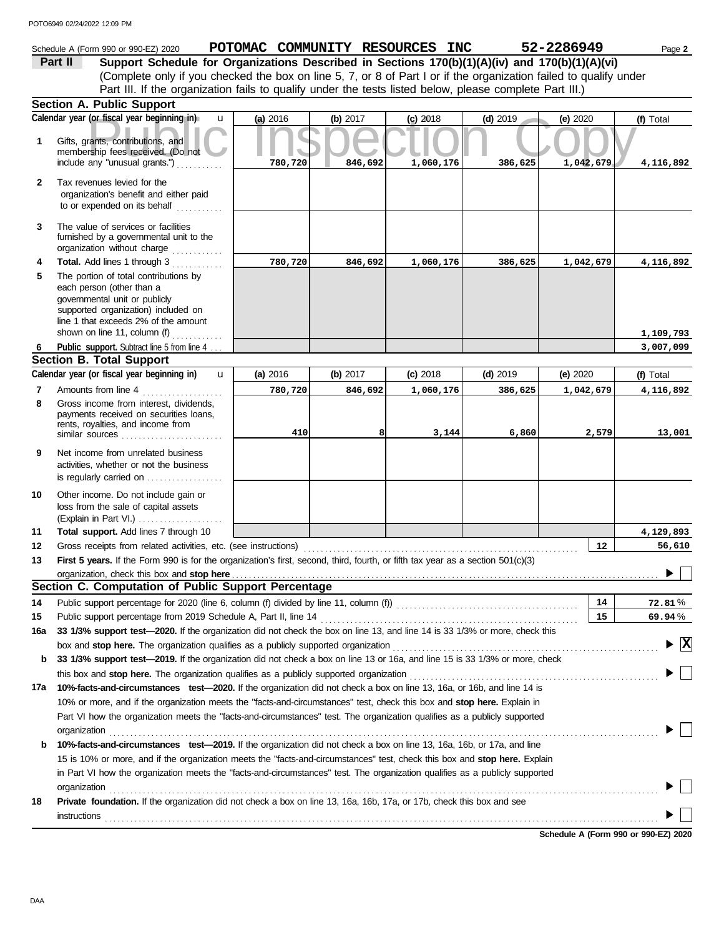|              | Schedule A (Form 990 or 990-EZ) 2020                                                                                                                                                                               |          |            | POTOMAC COMMUNITY RESOURCES INC |            | 52-2286949 | Page 2           |
|--------------|--------------------------------------------------------------------------------------------------------------------------------------------------------------------------------------------------------------------|----------|------------|---------------------------------|------------|------------|------------------|
|              | Support Schedule for Organizations Described in Sections 170(b)(1)(A)(iv) and 170(b)(1)(A)(vi)<br>Part II                                                                                                          |          |            |                                 |            |            |                  |
|              | (Complete only if you checked the box on line 5, 7, or 8 of Part I or if the organization failed to qualify under                                                                                                  |          |            |                                 |            |            |                  |
|              | Part III. If the organization fails to qualify under the tests listed below, please complete Part III.)                                                                                                            |          |            |                                 |            |            |                  |
|              | <b>Section A. Public Support</b>                                                                                                                                                                                   |          |            |                                 |            |            |                  |
|              | Calendar year (or fiscal year beginning in)<br>$\mathbf{u}$                                                                                                                                                        | (a) 2016 | (b) $2017$ | $(c)$ 2018                      | $(d)$ 2019 | (e) $2020$ | (f) Total        |
| 1            | Gifts, grants, contributions, and<br>membership fees received. (Do not<br>include any "unusual grants.")                                                                                                           | 780,720  | 846,692    | 1,060,176                       | 386,625    | 1,042,679  | 4,116,892        |
| $\mathbf{2}$ | Tax revenues levied for the<br>organization's benefit and either paid<br>to or expended on its behalf                                                                                                              |          |            |                                 |            |            |                  |
| 3            | The value of services or facilities<br>furnished by a governmental unit to the<br>organization without charge                                                                                                      |          |            |                                 |            |            |                  |
| 4            | Total. Add lines 1 through 3                                                                                                                                                                                       | 780,720  | 846,692    | 1,060,176                       | 386,625    | 1,042,679  | 4,116,892        |
| 5            | The portion of total contributions by<br>each person (other than a<br>governmental unit or publicly<br>supported organization) included on<br>line 1 that exceeds 2% of the amount<br>shown on line 11, column (f) |          |            |                                 |            |            | 1,109,793        |
| 6            | Public support. Subtract line 5 from line 4                                                                                                                                                                        |          |            |                                 |            |            | 3,007,099        |
|              | <b>Section B. Total Support</b>                                                                                                                                                                                    |          |            |                                 |            |            |                  |
|              | Calendar year (or fiscal year beginning in)<br>$\mathbf{u}$                                                                                                                                                        | (a) 2016 | (b) $2017$ | $(c)$ 2018                      | $(d)$ 2019 | (e) 2020   | (f) Total        |
| 7            | Amounts from line 4                                                                                                                                                                                                | 780,720  | 846,692    | 1,060,176                       | 386,625    | 1,042,679  | 4,116,892        |
| 8            | Gross income from interest, dividends,<br>payments received on securities loans,<br>rents, royalties, and income from<br>similar sources $\ldots, \ldots, \ldots, \ldots, \ldots, \ldots$                          | 410      | 81         | 3,144                           | 6,860      | 2,579      | 13,001           |
| 9            | Net income from unrelated business<br>activities, whether or not the business<br>is regularly carried on                                                                                                           |          |            |                                 |            |            |                  |
| 10           | Other income. Do not include gain or<br>loss from the sale of capital assets                                                                                                                                       |          |            |                                 |            |            |                  |
| 11           | Total support. Add lines 7 through 10                                                                                                                                                                              |          |            |                                 |            |            | 4,129,893        |
| 12           | Gross receipts from related activities, etc. (see instructions)                                                                                                                                                    |          |            |                                 |            | 12         | 56,610           |
| 13           | First 5 years. If the Form 990 is for the organization's first, second, third, fourth, or fifth tax year as a section $501(c)(3)$                                                                                  |          |            |                                 |            |            |                  |
|              |                                                                                                                                                                                                                    |          |            |                                 |            |            |                  |
|              | Section C. Computation of Public Support Percentage                                                                                                                                                                |          |            |                                 |            | 14         |                  |
| 14<br>15     | Public support percentage from 2019 Schedule A, Part II, line 14                                                                                                                                                   |          |            |                                 |            | 15         | 72.81%<br>69.94% |
| 16a          | 33 1/3% support test-2020. If the organization did not check the box on line 13, and line 14 is 33 1/3% or more, check this                                                                                        |          |            |                                 |            |            |                  |
|              | box and stop here. The organization qualifies as a publicly supported organization                                                                                                                                 |          |            |                                 |            |            | $\mathbf{x}$     |
| b            | 33 1/3% support test-2019. If the organization did not check a box on line 13 or 16a, and line 15 is 33 1/3% or more, check                                                                                        |          |            |                                 |            |            |                  |
|              |                                                                                                                                                                                                                    |          |            |                                 |            |            |                  |
| 17а          | 10%-facts-and-circumstances test-2020. If the organization did not check a box on line 13, 16a, or 16b, and line 14 is                                                                                             |          |            |                                 |            |            |                  |
|              | 10% or more, and if the organization meets the "facts-and-circumstances" test, check this box and stop here. Explain in                                                                                            |          |            |                                 |            |            |                  |
|              | Part VI how the organization meets the "facts-and-circumstances" test. The organization qualifies as a publicly supported                                                                                          |          |            |                                 |            |            |                  |
|              | organization                                                                                                                                                                                                       |          |            |                                 |            |            |                  |
| b            | 10%-facts-and-circumstances test-2019. If the organization did not check a box on line 13, 16a, 16b, or 17a, and line                                                                                              |          |            |                                 |            |            |                  |
|              | 15 is 10% or more, and if the organization meets the "facts-and-circumstances" test, check this box and stop here. Explain                                                                                         |          |            |                                 |            |            |                  |
|              | in Part VI how the organization meets the "facts-and-circumstances" test. The organization qualifies as a publicly supported                                                                                       |          |            |                                 |            |            |                  |
|              | organization                                                                                                                                                                                                       |          |            |                                 |            |            |                  |
| 18           | Private foundation. If the organization did not check a box on line 13, 16a, 16b, 17a, or 17b, check this box and see<br>instructions                                                                              |          |            |                                 |            |            |                  |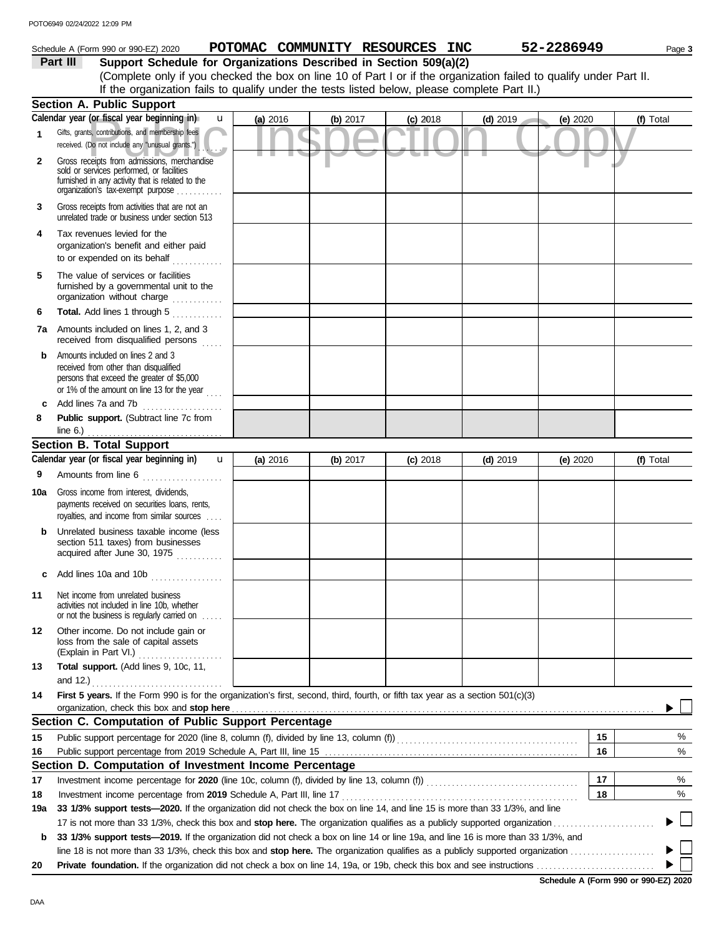|              | Schedule A (Form 990 or 990-EZ) 2020                                                                                                                                                      |          |            | POTOMAC COMMUNITY RESOURCES INC |            | 52-2286949 | Page 3    |
|--------------|-------------------------------------------------------------------------------------------------------------------------------------------------------------------------------------------|----------|------------|---------------------------------|------------|------------|-----------|
|              | Support Schedule for Organizations Described in Section 509(a)(2)<br>Part III                                                                                                             |          |            |                                 |            |            |           |
|              | (Complete only if you checked the box on line 10 of Part I or if the organization failed to qualify under Part II.                                                                        |          |            |                                 |            |            |           |
|              | If the organization fails to qualify under the tests listed below, please complete Part II.)                                                                                              |          |            |                                 |            |            |           |
|              | <b>Section A. Public Support</b>                                                                                                                                                          |          |            |                                 |            |            |           |
|              | Calendar year (or fiscal year beginning in)<br>$\mathbf{u}$                                                                                                                               | (a) 2016 | (b) 2017   | $(c)$ 2018                      | $(d)$ 2019 | (e) 2020   | (f) Total |
| 1.           | Gifts, grants, contributions, and membership fees<br>received. (Do not include any "unusual grants.")                                                                                     |          |            |                                 |            |            |           |
| $\mathbf{2}$ | Gross receipts from admissions, merchandise<br>sold or services performed, or facilities<br>furnished in any activity that is related to the<br>organization's tax-exempt purpose         |          |            |                                 |            |            |           |
| 3            | Gross receipts from activities that are not an<br>unrelated trade or business under section 513                                                                                           |          |            |                                 |            |            |           |
| 4            | Tax revenues levied for the<br>organization's benefit and either paid<br>to or expended on its behalf                                                                                     |          |            |                                 |            |            |           |
| 5            | The value of services or facilities<br>furnished by a governmental unit to the<br>organization without charge                                                                             |          |            |                                 |            |            |           |
| 6            | Total. Add lines 1 through 5                                                                                                                                                              |          |            |                                 |            |            |           |
| 7a           | Amounts included on lines 1, 2, and 3<br>received from disqualified persons                                                                                                               |          |            |                                 |            |            |           |
| b            | Amounts included on lines 2 and 3<br>received from other than disqualified<br>persons that exceed the greater of \$5,000<br>or 1% of the amount on line 13 for the year<br>$\mathbb{R}^2$ |          |            |                                 |            |            |           |
| c            |                                                                                                                                                                                           |          |            |                                 |            |            |           |
| 8            | Public support. (Subtract line 7c from                                                                                                                                                    |          |            |                                 |            |            |           |
|              | <b>Section B. Total Support</b>                                                                                                                                                           |          |            |                                 |            |            |           |
|              | Calendar year (or fiscal year beginning in)<br>$\mathbf u$                                                                                                                                | (a) 2016 | (b) $2017$ | $(c)$ 2018                      | $(d)$ 2019 | (e) 2020   | (f) Total |
| 9            | Amounts from line 6                                                                                                                                                                       |          |            |                                 |            |            |           |
| 10a          | Gross income from interest, dividends,<br>payments received on securities loans, rents,<br>royalties, and income from similar sources                                                     |          |            |                                 |            |            |           |
| b            | Unrelated business taxable income (less<br>section 511 taxes) from businesses<br>acquired after June 30, 1975                                                                             |          |            |                                 |            |            |           |
| c            | Add lines 10a and 10b                                                                                                                                                                     |          |            |                                 |            |            |           |
| 11           | Net income from unrelated business<br>activities not included in line 10b, whether<br>or not the business is regularly carried on $\ldots$                                                |          |            |                                 |            |            |           |
| 12           | Other income. Do not include gain or<br>loss from the sale of capital assets<br>(Explain in Part VI.)                                                                                     |          |            |                                 |            |            |           |
| 13           | Total support. (Add lines 9, 10c, 11,                                                                                                                                                     |          |            |                                 |            |            |           |
| 14           | and 12.) $\ldots$<br>First 5 years. If the Form 990 is for the organization's first, second, third, fourth, or fifth tax year as a section 501(c)(3)                                      |          |            |                                 |            |            |           |
|              |                                                                                                                                                                                           |          |            |                                 |            |            |           |
|              | Section C. Computation of Public Support Percentage                                                                                                                                       |          |            |                                 |            |            |           |
| 15           |                                                                                                                                                                                           |          |            |                                 |            | 15         | %         |
| 16           |                                                                                                                                                                                           |          |            |                                 |            | 16         | %         |
|              | Section D. Computation of Investment Income Percentage                                                                                                                                    |          |            |                                 |            |            |           |
| 17           |                                                                                                                                                                                           |          |            |                                 |            | 17         | %         |
| 18           |                                                                                                                                                                                           |          |            |                                 |            | 18         | %         |
| 19a          | 33 1/3% support tests-2020. If the organization did not check the box on line 14, and line 15 is more than 33 1/3%, and line                                                              |          |            |                                 |            |            | $\perp$   |
| b            | 33 1/3% support tests-2019. If the organization did not check a box on line 14 or line 19a, and line 16 is more than 33 1/3%, and                                                         |          |            |                                 |            |            |           |
|              | line 18 is not more than 33 1/3%, check this box and stop here. The organization qualifies as a publicly supported organization                                                           |          |            |                                 |            |            |           |
| 20           |                                                                                                                                                                                           |          |            |                                 |            |            |           |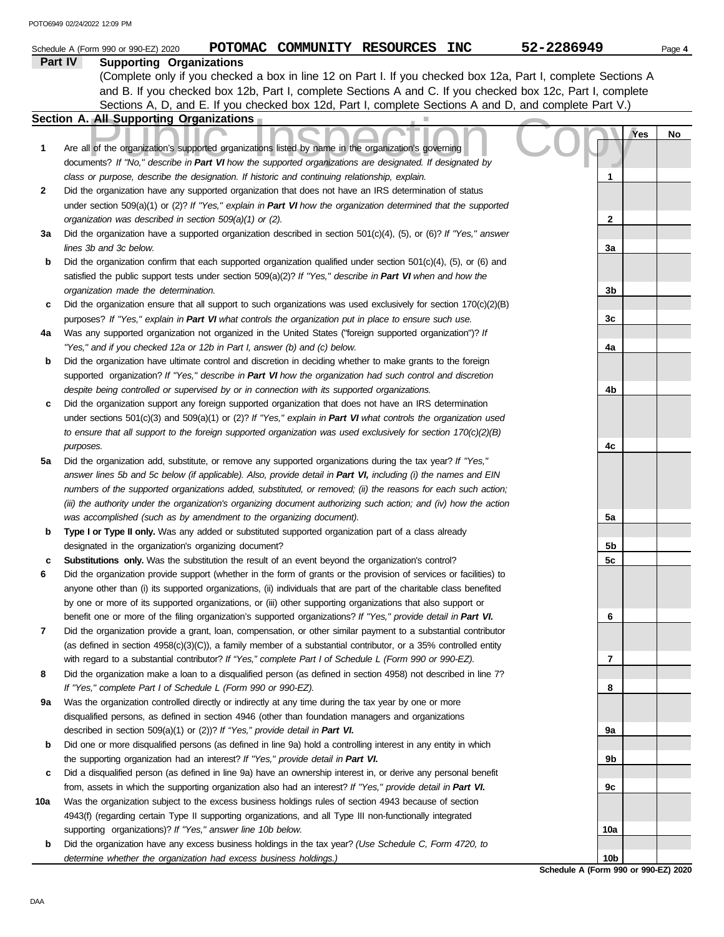|              | POTOMAC COMMUNITY RESOURCES INC<br>Schedule A (Form 990 or 990-EZ) 2020                                                                                                | 52-2286949      | Page 4    |
|--------------|------------------------------------------------------------------------------------------------------------------------------------------------------------------------|-----------------|-----------|
| Part IV      | <b>Supporting Organizations</b>                                                                                                                                        |                 |           |
|              | (Complete only if you checked a box in line 12 on Part I. If you checked box 12a, Part I, complete Sections A                                                          |                 |           |
|              | and B. If you checked box 12b, Part I, complete Sections A and C. If you checked box 12c, Part I, complete                                                             |                 |           |
|              | Sections A, D, and E. If you checked box 12d, Part I, complete Sections A and D, and complete Part V.)                                                                 |                 |           |
|              | Section A. All Supporting Organizations                                                                                                                                |                 |           |
|              |                                                                                                                                                                        |                 | Yes<br>No |
| $\mathbf{1}$ | Are all of the organization's supported organizations listed by name in the organization's governing                                                                   |                 |           |
|              | documents? If "No," describe in Part VI how the supported organizations are designated. If designated by                                                               |                 |           |
|              | class or purpose, describe the designation. If historic and continuing relationship, explain.                                                                          | 1               |           |
| $\mathbf{2}$ | Did the organization have any supported organization that does not have an IRS determination of status                                                                 |                 |           |
|              | under section 509(a)(1) or (2)? If "Yes," explain in Part VI how the organization determined that the supported                                                        |                 |           |
|              | organization was described in section 509(a)(1) or (2).                                                                                                                | 2               |           |
| За           | Did the organization have a supported organization described in section 501(c)(4), (5), or (6)? If "Yes," answer                                                       |                 |           |
|              | lines 3b and 3c below.                                                                                                                                                 | 3a              |           |
| b            | Did the organization confirm that each supported organization qualified under section 501(c)(4), (5), or (6) and                                                       |                 |           |
|              | satisfied the public support tests under section $509(a)(2)$ ? If "Yes," describe in Part VI when and how the                                                          |                 |           |
|              | organization made the determination.                                                                                                                                   | 3b              |           |
| c            | Did the organization ensure that all support to such organizations was used exclusively for section $170(c)(2)(B)$                                                     |                 |           |
|              | purposes? If "Yes," explain in Part VI what controls the organization put in place to ensure such use.                                                                 | 3c              |           |
| 4a           | Was any supported organization not organized in the United States ("foreign supported organization")? If                                                               |                 |           |
|              | "Yes," and if you checked 12a or 12b in Part I, answer (b) and (c) below.                                                                                              | 4a              |           |
| b            | Did the organization have ultimate control and discretion in deciding whether to make grants to the foreign                                                            |                 |           |
|              | supported organization? If "Yes," describe in Part VI how the organization had such control and discretion                                                             |                 |           |
|              | despite being controlled or supervised by or in connection with its supported organizations.                                                                           | 4b              |           |
| c            | Did the organization support any foreign supported organization that does not have an IRS determination                                                                |                 |           |
|              | under sections $501(c)(3)$ and $509(a)(1)$ or $(2)?$ If "Yes," explain in Part VI what controls the organization used                                                  |                 |           |
|              | to ensure that all support to the foreign supported organization was used exclusively for section $170(c)(2)(B)$                                                       |                 |           |
|              | purposes.                                                                                                                                                              | 4с              |           |
| 5a           | Did the organization add, substitute, or remove any supported organizations during the tax year? If "Yes,"                                                             |                 |           |
|              | answer lines 5b and 5c below (if applicable). Also, provide detail in Part VI, including (i) the names and EIN                                                         |                 |           |
|              | numbers of the supported organizations added, substituted, or removed; (ii) the reasons for each such action;                                                          |                 |           |
|              | (iii) the authority under the organization's organizing document authorizing such action; and (iv) how the action                                                      |                 |           |
|              | was accomplished (such as by amendment to the organizing document).                                                                                                    | 5a              |           |
| b            | Type I or Type II only. Was any added or substituted supported organization part of a class already                                                                    |                 |           |
|              | designated in the organization's organizing document?                                                                                                                  | 5b              |           |
| c            | Substitutions only. Was the substitution the result of an event beyond the organization's control?                                                                     | 5c              |           |
| 6            | Did the organization provide support (whether in the form of grants or the provision of services or facilities) to                                                     |                 |           |
|              | anyone other than (i) its supported organizations, (ii) individuals that are part of the charitable class benefited                                                    |                 |           |
|              | by one or more of its supported organizations, or (iii) other supporting organizations that also support or                                                            |                 |           |
|              | benefit one or more of the filing organization's supported organizations? If "Yes," provide detail in Part VI.                                                         | 6               |           |
| 7            | Did the organization provide a grant, loan, compensation, or other similar payment to a substantial contributor                                                        |                 |           |
|              | (as defined in section $4958(c)(3)(C)$ ), a family member of a substantial contributor, or a 35% controlled entity                                                     |                 |           |
|              | with regard to a substantial contributor? If "Yes," complete Part I of Schedule L (Form 990 or 990-EZ).                                                                | 7               |           |
| 8            | Did the organization make a loan to a disqualified person (as defined in section 4958) not described in line 7?                                                        |                 |           |
| 9а           | If "Yes," complete Part I of Schedule L (Form 990 or 990-EZ).<br>Was the organization controlled directly or indirectly at any time during the tax year by one or more | 8               |           |
|              | disqualified persons, as defined in section 4946 (other than foundation managers and organizations                                                                     |                 |           |
|              | described in section 509(a)(1) or (2))? If "Yes," provide detail in Part VI.                                                                                           | 9а              |           |
|              | Did one or more disqualified persons (as defined in line 9a) hold a controlling interest in any entity in which                                                        |                 |           |
| b            | the supporting organization had an interest? If "Yes," provide detail in Part VI.                                                                                      | 9b              |           |
| c            | Did a disqualified person (as defined in line 9a) have an ownership interest in, or derive any personal benefit                                                        |                 |           |
|              | from, assets in which the supporting organization also had an interest? If "Yes," provide detail in Part VI.                                                           | 9с              |           |
| 10a          | Was the organization subject to the excess business holdings rules of section 4943 because of section                                                                  |                 |           |
|              | 4943(f) (regarding certain Type II supporting organizations, and all Type III non-functionally integrated                                                              |                 |           |
|              | supporting organizations)? If "Yes," answer line 10b below.                                                                                                            | 10a             |           |
| b            | Did the organization have any excess business holdings in the tax year? (Use Schedule C, Form 4720, to                                                                 |                 |           |
|              | determine whether the organization had excess business holdings.)                                                                                                      | 10 <sub>b</sub> |           |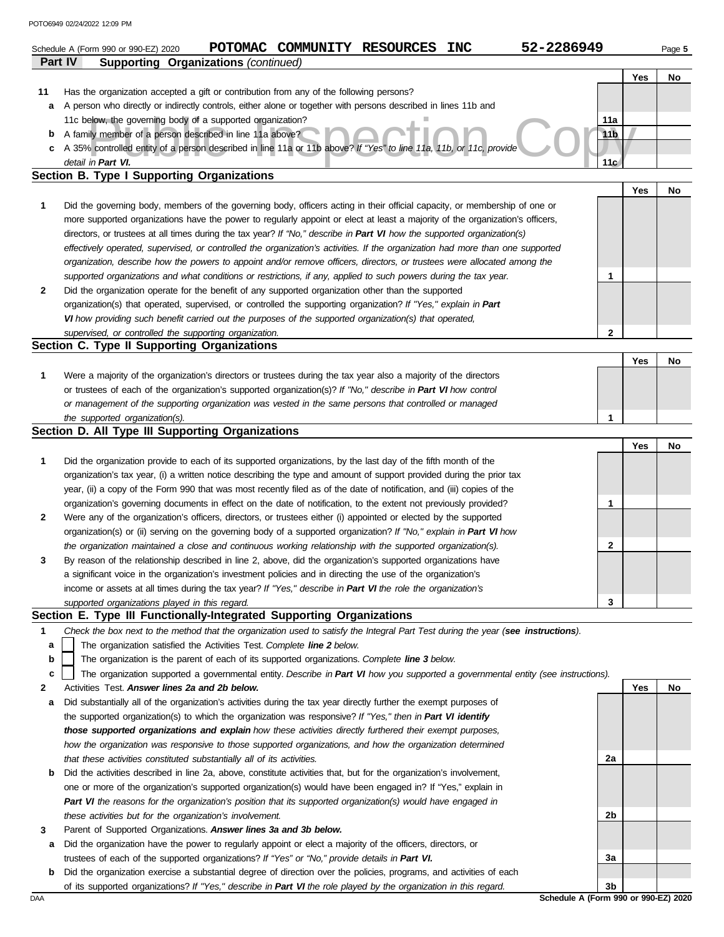|              | 52-2286949<br>POTOMAC COMMUNITY RESOURCES<br><b>INC</b><br>Schedule A (Form 990 or 990-EZ) 2020                                                                                                                                                           |                 |     | Page 5 |
|--------------|-----------------------------------------------------------------------------------------------------------------------------------------------------------------------------------------------------------------------------------------------------------|-----------------|-----|--------|
|              | Part IV<br><b>Supporting Organizations (continued)</b>                                                                                                                                                                                                    |                 |     |        |
|              |                                                                                                                                                                                                                                                           |                 | Yes | No     |
| 11           | Has the organization accepted a gift or contribution from any of the following persons?                                                                                                                                                                   |                 |     |        |
| а            | A person who directly or indirectly controls, either alone or together with persons described in lines 11b and                                                                                                                                            |                 |     |        |
|              | 11c below, the governing body of a supported organization?                                                                                                                                                                                                | 11a             |     |        |
| b            | A family member of a person described in line 11a above?                                                                                                                                                                                                  | 11 <sub>b</sub> |     |        |
| c            | A 35% controlled entity of a person described in line 11a or 11b above? If "Yes" to line 11a, 11b, or 11c, provide                                                                                                                                        |                 |     |        |
|              | detail in Part VI.<br>Section B. Type I Supporting Organizations                                                                                                                                                                                          | 11c             |     |        |
|              |                                                                                                                                                                                                                                                           |                 |     |        |
|              |                                                                                                                                                                                                                                                           |                 | Yes | No     |
| 1            | Did the governing body, members of the governing body, officers acting in their official capacity, or membership of one or                                                                                                                                |                 |     |        |
|              | more supported organizations have the power to regularly appoint or elect at least a majority of the organization's officers,                                                                                                                             |                 |     |        |
|              | directors, or trustees at all times during the tax year? If "No," describe in Part VI how the supported organization(s)<br>effectively operated, supervised, or controlled the organization's activities. If the organization had more than one supported |                 |     |        |
|              | organization, describe how the powers to appoint and/or remove officers, directors, or trustees were allocated among the                                                                                                                                  |                 |     |        |
|              | supported organizations and what conditions or restrictions, if any, applied to such powers during the tax year.                                                                                                                                          | 1               |     |        |
| $\mathbf{2}$ | Did the organization operate for the benefit of any supported organization other than the supported                                                                                                                                                       |                 |     |        |
|              | organization(s) that operated, supervised, or controlled the supporting organization? If "Yes," explain in Part                                                                                                                                           |                 |     |        |
|              | VI how providing such benefit carried out the purposes of the supported organization(s) that operated,                                                                                                                                                    |                 |     |        |
|              | supervised, or controlled the supporting organization.                                                                                                                                                                                                    | $\mathbf{2}$    |     |        |
|              | Section C. Type II Supporting Organizations                                                                                                                                                                                                               |                 |     |        |
|              |                                                                                                                                                                                                                                                           |                 | Yes | No     |
| $\mathbf 1$  | Were a majority of the organization's directors or trustees during the tax year also a majority of the directors                                                                                                                                          |                 |     |        |
|              | or trustees of each of the organization's supported organization(s)? If "No," describe in Part VI how control                                                                                                                                             |                 |     |        |
|              | or management of the supporting organization was vested in the same persons that controlled or managed                                                                                                                                                    |                 |     |        |
|              | the supported organization(s).                                                                                                                                                                                                                            | 1               |     |        |
|              | Section D. All Type III Supporting Organizations                                                                                                                                                                                                          |                 |     |        |
|              |                                                                                                                                                                                                                                                           |                 | Yes | No     |
| $\mathbf 1$  | Did the organization provide to each of its supported organizations, by the last day of the fifth month of the                                                                                                                                            |                 |     |        |
|              | organization's tax year, (i) a written notice describing the type and amount of support provided during the prior tax                                                                                                                                     |                 |     |        |
|              | year, (ii) a copy of the Form 990 that was most recently filed as of the date of notification, and (iii) copies of the                                                                                                                                    |                 |     |        |
|              | organization's governing documents in effect on the date of notification, to the extent not previously provided?                                                                                                                                          | 1               |     |        |
| $\mathbf{2}$ | Were any of the organization's officers, directors, or trustees either (i) appointed or elected by the supported                                                                                                                                          |                 |     |        |
|              | organization(s) or (ii) serving on the governing body of a supported organization? If "No," explain in Part VI how                                                                                                                                        |                 |     |        |
|              | the organization maintained a close and continuous working relationship with the supported organization(s).                                                                                                                                               | 2               |     |        |
|              | By reason of the relationship described in line 2, above, did the organization's supported organizations have                                                                                                                                             |                 |     |        |
|              | a significant voice in the organization's investment policies and in directing the use of the organization's                                                                                                                                              |                 |     |        |
|              | income or assets at all times during the tax year? If "Yes," describe in Part VI the role the organization's                                                                                                                                              |                 |     |        |
|              | supported organizations played in this regard.                                                                                                                                                                                                            | 3               |     |        |
|              | Section E. Type III Functionally-Integrated Supporting Organizations                                                                                                                                                                                      |                 |     |        |
| 1            | Check the box next to the method that the organization used to satisfy the Integral Part Test during the year (see instructions).                                                                                                                         |                 |     |        |
| а            | The organization satisfied the Activities Test. Complete line 2 below.                                                                                                                                                                                    |                 |     |        |
| b            | The organization is the parent of each of its supported organizations. Complete line 3 below.                                                                                                                                                             |                 |     |        |
| c            | The organization supported a governmental entity. Describe in Part VI how you supported a governmental entity (see instructions).                                                                                                                         |                 |     |        |
| 2            | Activities Test. Answer lines 2a and 2b below.                                                                                                                                                                                                            |                 | Yes | No     |
| а            | Did substantially all of the organization's activities during the tax year directly further the exempt purposes of                                                                                                                                        |                 |     |        |
|              | the supported organization(s) to which the organization was responsive? If "Yes," then in Part VI identify                                                                                                                                                |                 |     |        |
|              | those supported organizations and explain how these activities directly furthered their exempt purposes,                                                                                                                                                  |                 |     |        |
|              | how the organization was responsive to those supported organizations, and how the organization determined                                                                                                                                                 |                 |     |        |
|              | that these activities constituted substantially all of its activities.                                                                                                                                                                                    | 2a              |     |        |
| b            | Did the activities described in line 2a, above, constitute activities that, but for the organization's involvement,                                                                                                                                       |                 |     |        |
|              | one or more of the organization's supported organization(s) would have been engaged in? If "Yes," explain in                                                                                                                                              |                 |     |        |
|              | Part VI the reasons for the organization's position that its supported organization(s) would have engaged in                                                                                                                                              |                 |     |        |
|              | these activities but for the organization's involvement.                                                                                                                                                                                                  | 2b              |     |        |
| 3            | Parent of Supported Organizations. Answer lines 3a and 3b below.                                                                                                                                                                                          |                 |     |        |
| а            | Did the organization have the power to regularly appoint or elect a majority of the officers, directors, or                                                                                                                                               |                 |     |        |
|              | trustees of each of the supported organizations? If "Yes" or "No," provide details in Part VI.                                                                                                                                                            | За              |     |        |
| b            | Did the organization exercise a substantial degree of direction over the policies, programs, and activities of each                                                                                                                                       |                 |     |        |
|              | of its supported organizations? If "Yes," describe in Part VI the role played by the organization in this regard.                                                                                                                                         | 3b              |     |        |

DAA **Schedule A (Form 990 or 990-EZ) 2020 3b**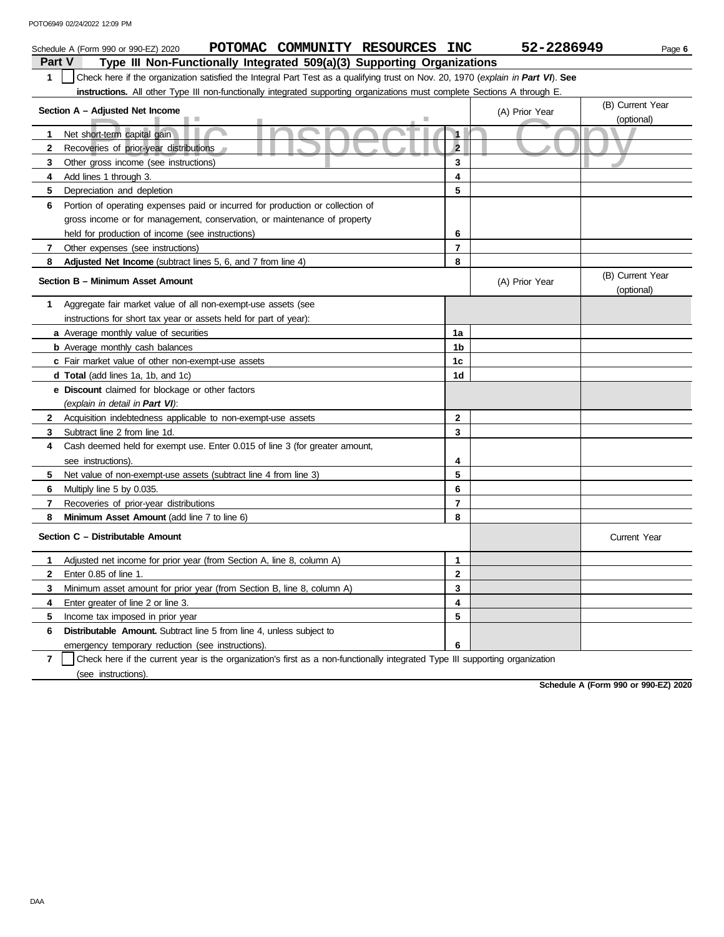|              | POTOMAC COMMUNITY RESOURCES INC<br>Schedule A (Form 990 or 990-EZ) 2020                                                          |                         | 52-2286949     | Page 6                         |
|--------------|----------------------------------------------------------------------------------------------------------------------------------|-------------------------|----------------|--------------------------------|
| Part V       | Type III Non-Functionally Integrated 509(a)(3) Supporting Organizations                                                          |                         |                |                                |
| 1            | Check here if the organization satisfied the Integral Part Test as a qualifying trust on Nov. 20, 1970 (explain in Part VI). See |                         |                |                                |
|              | instructions. All other Type III non-functionally integrated supporting organizations must complete Sections A through E.        |                         |                |                                |
|              | Section A - Adjusted Net Income                                                                                                  |                         | (A) Prior Year | (B) Current Year               |
|              | J.                                                                                                                               |                         |                | (optional)                     |
| $\mathbf 1$  | Net short-term capital gain                                                                                                      | $\mathbf{A}$            |                |                                |
| $\mathbf{2}$ | Recoveries of prior-year distributions                                                                                           | $\overline{\mathbf{2}}$ |                |                                |
| 3            | Other gross income (see instructions)                                                                                            | 3                       |                |                                |
| 4            | Add lines 1 through 3.                                                                                                           | 4                       |                |                                |
| 5            | Depreciation and depletion                                                                                                       | 5                       |                |                                |
| 6            | Portion of operating expenses paid or incurred for production or collection of                                                   |                         |                |                                |
|              | gross income or for management, conservation, or maintenance of property                                                         |                         |                |                                |
|              | held for production of income (see instructions)                                                                                 | 6                       |                |                                |
| 7            | Other expenses (see instructions)                                                                                                | $\overline{7}$          |                |                                |
| 8            | Adjusted Net Income (subtract lines 5, 6, and 7 from line 4)                                                                     | 8                       |                |                                |
|              | Section B - Minimum Asset Amount                                                                                                 |                         | (A) Prior Year | (B) Current Year<br>(optional) |
| 1            | Aggregate fair market value of all non-exempt-use assets (see                                                                    |                         |                |                                |
|              | instructions for short tax year or assets held for part of year):                                                                |                         |                |                                |
|              | a Average monthly value of securities                                                                                            | 1a                      |                |                                |
|              | <b>b</b> Average monthly cash balances                                                                                           | 1b                      |                |                                |
|              | c Fair market value of other non-exempt-use assets                                                                               | 1c                      |                |                                |
|              | <b>d Total</b> (add lines 1a, 1b, and 1c)                                                                                        | 1d                      |                |                                |
|              | <b>e</b> Discount claimed for blockage or other factors                                                                          |                         |                |                                |
|              | (explain in detail in Part VI):                                                                                                  |                         |                |                                |
| $\mathbf{2}$ | Acquisition indebtedness applicable to non-exempt-use assets                                                                     | $\mathbf{2}$            |                |                                |
| 3            | Subtract line 2 from line 1d.                                                                                                    | 3                       |                |                                |
| 4            | Cash deemed held for exempt use. Enter 0.015 of line 3 (for greater amount,                                                      |                         |                |                                |
|              | see instructions).                                                                                                               | 4                       |                |                                |
| 5            | Net value of non-exempt-use assets (subtract line 4 from line 3)                                                                 | 5                       |                |                                |
| 6            | Multiply line 5 by 0.035.                                                                                                        | 6                       |                |                                |
| 7            | Recoveries of prior-year distributions                                                                                           | $\overline{7}$          |                |                                |
| 8            | <b>Minimum Asset Amount (add line 7 to line 6)</b>                                                                               | 8                       |                |                                |
|              | Section C - Distributable Amount                                                                                                 |                         |                | <b>Current Year</b>            |
| 1            | Adjusted net income for prior year (from Section A, line 8, column A)                                                            | 1                       |                |                                |
| $\mathbf{2}$ | Enter 0.85 of line 1.                                                                                                            | 2                       |                |                                |
| 3            | Minimum asset amount for prior year (from Section B, line 8, column A)                                                           | 3                       |                |                                |
| 4            | Enter greater of line 2 or line 3.                                                                                               | 4                       |                |                                |
| 5            | Income tax imposed in prior year                                                                                                 | 5                       |                |                                |
| 6            | Distributable Amount. Subtract line 5 from line 4, unless subject to                                                             |                         |                |                                |
|              | emergency temporary reduction (see instructions).                                                                                | 6                       |                |                                |

**7** (see instructions). Check here if the current year is the organization's first as a non-functionally integrated Type III supporting organization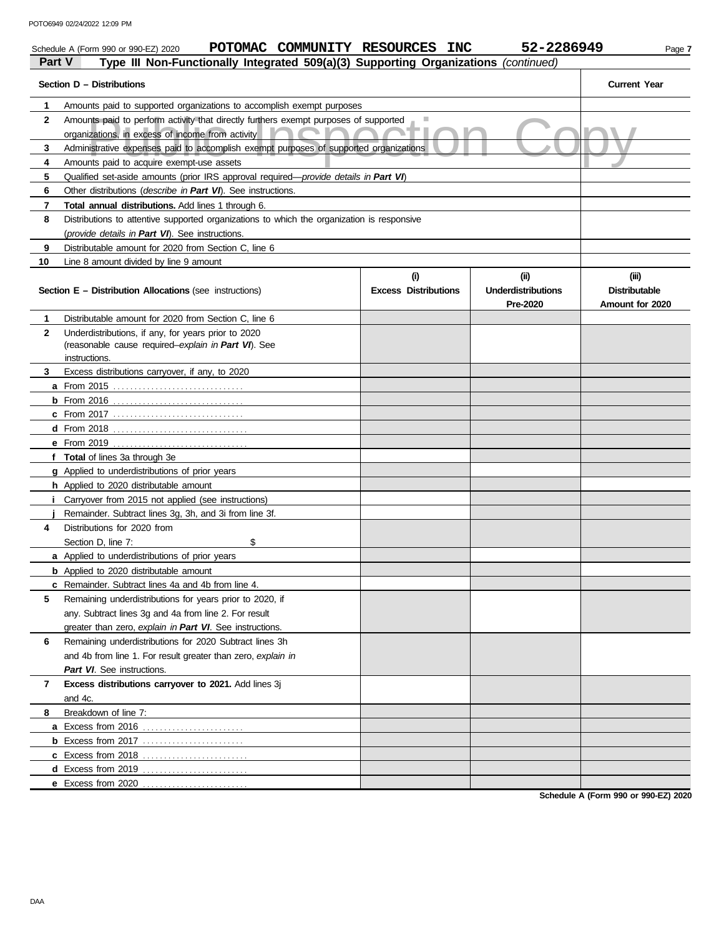|              | POTOMAC COMMUNITY RESOURCES INC<br>Schedule A (Form 990 or 990-EZ) 2020                    |                                    | 52-2286949                                    | Page 7                                           |
|--------------|--------------------------------------------------------------------------------------------|------------------------------------|-----------------------------------------------|--------------------------------------------------|
| Part V       | Type III Non-Functionally Integrated 509(a)(3) Supporting Organizations (continued)        |                                    |                                               |                                                  |
|              | Section D - Distributions                                                                  |                                    |                                               | <b>Current Year</b>                              |
| 1            | Amounts paid to supported organizations to accomplish exempt purposes                      |                                    |                                               |                                                  |
| $\mathbf{2}$ | Amounts paid to perform activity that directly furthers exempt purposes of supported       |                                    |                                               |                                                  |
|              | ◥<br>organizations, in excess of income from activity                                      |                                    |                                               |                                                  |
| 3            | Administrative expenses paid to accomplish exempt purposes of supported organizations      |                                    |                                               |                                                  |
| 4            | Amounts paid to acquire exempt-use assets                                                  |                                    |                                               |                                                  |
| 5            | Qualified set-aside amounts (prior IRS approval required-provide details in Part VI)       |                                    |                                               |                                                  |
| 6            | Other distributions ( <i>describe in Part VI</i> ). See instructions.                      |                                    |                                               |                                                  |
| 7            | Total annual distributions. Add lines 1 through 6.                                         |                                    |                                               |                                                  |
| 8            | Distributions to attentive supported organizations to which the organization is responsive |                                    |                                               |                                                  |
|              | (provide details in Part VI). See instructions.                                            |                                    |                                               |                                                  |
| 9            | Distributable amount for 2020 from Section C, line 6                                       |                                    |                                               |                                                  |
| 10           | Line 8 amount divided by line 9 amount                                                     |                                    |                                               |                                                  |
|              | <b>Section E - Distribution Allocations (see instructions)</b>                             | (i)<br><b>Excess Distributions</b> | (ii)<br><b>Underdistributions</b><br>Pre-2020 | (iii)<br><b>Distributable</b><br>Amount for 2020 |
| 1            | Distributable amount for 2020 from Section C, line 6                                       |                                    |                                               |                                                  |
| $\mathbf{2}$ | Underdistributions, if any, for years prior to 2020                                        |                                    |                                               |                                                  |
|              | (reasonable cause required-explain in Part VI). See                                        |                                    |                                               |                                                  |
|              | instructions.                                                                              |                                    |                                               |                                                  |
| 3            | Excess distributions carryover, if any, to 2020                                            |                                    |                                               |                                                  |
|              | a From 2015                                                                                |                                    |                                               |                                                  |
|              | <b>b</b> From 2016 <u></u>                                                                 |                                    |                                               |                                                  |
|              | <b>c</b> From 2017                                                                         |                                    |                                               |                                                  |
|              |                                                                                            |                                    |                                               |                                                  |
|              |                                                                                            |                                    |                                               |                                                  |
|              | f Total of lines 3a through 3e                                                             |                                    |                                               |                                                  |
|              | g Applied to underdistributions of prior years                                             |                                    |                                               |                                                  |
|              | h Applied to 2020 distributable amount                                                     |                                    |                                               |                                                  |
| I.           | Carryover from 2015 not applied (see instructions)                                         |                                    |                                               |                                                  |
|              | Remainder. Subtract lines 3g, 3h, and 3i from line 3f.                                     |                                    |                                               |                                                  |
| 4            | Distributions for 2020 from                                                                |                                    |                                               |                                                  |
|              | \$<br>Section D. line 7:                                                                   |                                    |                                               |                                                  |
|              | a Applied to underdistributions of prior years                                             |                                    |                                               |                                                  |
|              | <b>b</b> Applied to 2020 distributable amount                                              |                                    |                                               |                                                  |
|              | c Remainder. Subtract lines 4a and 4b from line 4.                                         |                                    |                                               |                                                  |
| 5            | Remaining underdistributions for years prior to 2020, if                                   |                                    |                                               |                                                  |
|              | any. Subtract lines 3q and 4a from line 2. For result                                      |                                    |                                               |                                                  |
|              | greater than zero, explain in Part VI. See instructions.                                   |                                    |                                               |                                                  |
| 6            | Remaining underdistributions for 2020 Subtract lines 3h                                    |                                    |                                               |                                                  |
|              | and 4b from line 1. For result greater than zero, explain in                               |                                    |                                               |                                                  |
|              | Part VI. See instructions.                                                                 |                                    |                                               |                                                  |
| 7            | Excess distributions carryover to 2021. Add lines 3j                                       |                                    |                                               |                                                  |
|              | and 4c.                                                                                    |                                    |                                               |                                                  |
| 8            | Breakdown of line 7:                                                                       |                                    |                                               |                                                  |
|              | a Excess from 2016                                                                         |                                    |                                               |                                                  |
|              | <b>b</b> Excess from 2017 $\ldots$                                                         |                                    |                                               |                                                  |
|              |                                                                                            |                                    |                                               |                                                  |
|              |                                                                                            |                                    |                                               |                                                  |
|              |                                                                                            |                                    |                                               |                                                  |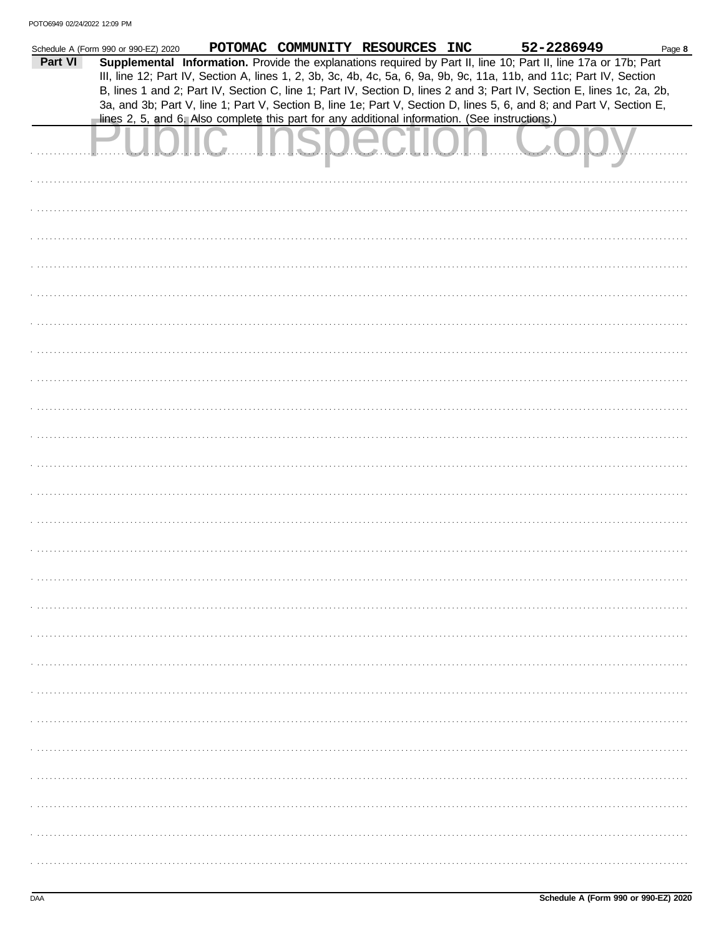| Part VI | Schedule A (Form 990 or 990-EZ) 2020 |  | POTOMAC COMMUNITY RESOURCES INC |                                                                                                | 52-2286949<br>Supplemental Information. Provide the explanations required by Part II, line 10; Part II, line 17a or 17b; Part<br>III, line 12; Part IV, Section A, lines 1, 2, 3b, 3c, 4b, 4c, 5a, 6, 9a, 9b, 9c, 11a, 11b, and 11c; Part IV, Section | Page 8 |
|---------|--------------------------------------|--|---------------------------------|------------------------------------------------------------------------------------------------|-------------------------------------------------------------------------------------------------------------------------------------------------------------------------------------------------------------------------------------------------------|--------|
|         |                                      |  |                                 | lines 2, 5, and 6. Also complete this part for any additional information. (See instructions.) | B, lines 1 and 2; Part IV, Section C, line 1; Part IV, Section D, lines 2 and 3; Part IV, Section E, lines 1c, 2a, 2b,<br>3a, and 3b; Part V, line 1; Part V, Section B, line 1e; Part V, Section D, lines 5, 6, and 8; and Part V, Section E,        |        |
|         |                                      |  |                                 |                                                                                                |                                                                                                                                                                                                                                                       |        |
|         |                                      |  |                                 |                                                                                                |                                                                                                                                                                                                                                                       |        |
|         |                                      |  |                                 |                                                                                                |                                                                                                                                                                                                                                                       |        |
|         |                                      |  |                                 |                                                                                                |                                                                                                                                                                                                                                                       |        |
|         |                                      |  |                                 |                                                                                                |                                                                                                                                                                                                                                                       |        |
|         |                                      |  |                                 |                                                                                                |                                                                                                                                                                                                                                                       |        |
|         |                                      |  |                                 |                                                                                                |                                                                                                                                                                                                                                                       |        |
|         |                                      |  |                                 |                                                                                                |                                                                                                                                                                                                                                                       |        |
|         |                                      |  |                                 |                                                                                                |                                                                                                                                                                                                                                                       |        |
|         |                                      |  |                                 |                                                                                                |                                                                                                                                                                                                                                                       |        |
|         |                                      |  |                                 |                                                                                                |                                                                                                                                                                                                                                                       |        |
|         |                                      |  |                                 |                                                                                                |                                                                                                                                                                                                                                                       |        |
|         |                                      |  |                                 |                                                                                                |                                                                                                                                                                                                                                                       |        |
|         |                                      |  |                                 |                                                                                                |                                                                                                                                                                                                                                                       |        |
|         |                                      |  |                                 |                                                                                                |                                                                                                                                                                                                                                                       |        |
|         |                                      |  |                                 |                                                                                                |                                                                                                                                                                                                                                                       |        |
|         |                                      |  |                                 |                                                                                                |                                                                                                                                                                                                                                                       |        |
|         |                                      |  |                                 |                                                                                                |                                                                                                                                                                                                                                                       |        |
|         |                                      |  |                                 |                                                                                                |                                                                                                                                                                                                                                                       |        |
|         |                                      |  |                                 |                                                                                                |                                                                                                                                                                                                                                                       |        |
|         |                                      |  |                                 |                                                                                                |                                                                                                                                                                                                                                                       |        |
|         |                                      |  |                                 |                                                                                                |                                                                                                                                                                                                                                                       |        |
|         |                                      |  |                                 |                                                                                                |                                                                                                                                                                                                                                                       |        |
|         |                                      |  |                                 |                                                                                                |                                                                                                                                                                                                                                                       |        |
|         |                                      |  |                                 |                                                                                                |                                                                                                                                                                                                                                                       |        |
|         |                                      |  |                                 |                                                                                                |                                                                                                                                                                                                                                                       |        |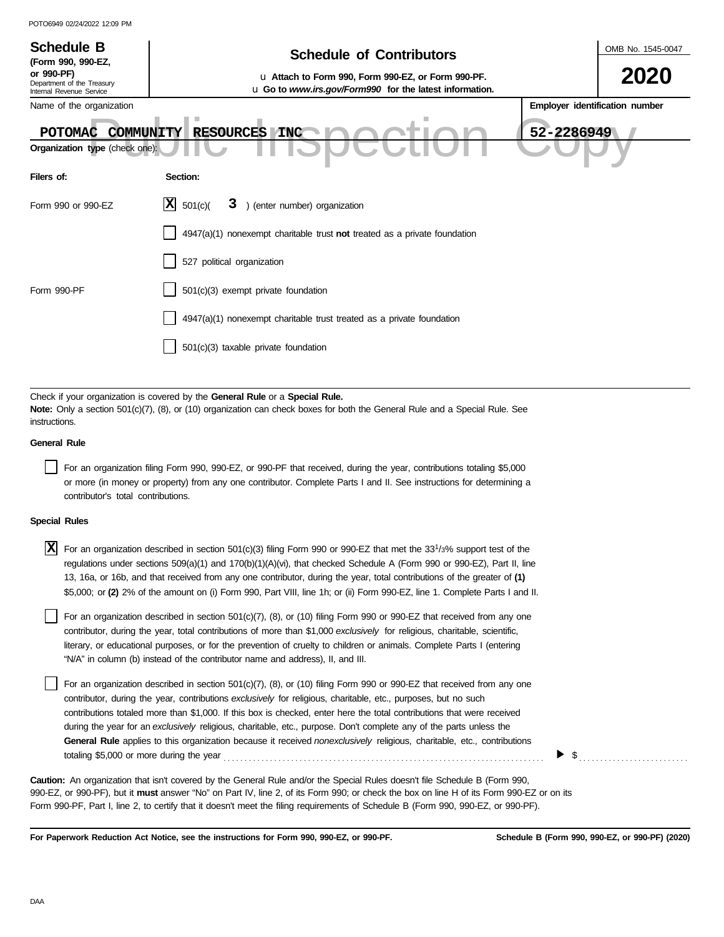| <b>Schedule B</b><br>(Form 990, 990-EZ,                                                                                                                                                                                      | <b>Schedule of Contributors</b>                                                                               |                                | OMB No. 1545-0047 |  |  |  |  |
|------------------------------------------------------------------------------------------------------------------------------------------------------------------------------------------------------------------------------|---------------------------------------------------------------------------------------------------------------|--------------------------------|-------------------|--|--|--|--|
| or 990-PF)<br>Department of the Treasury<br>Internal Revenue Service                                                                                                                                                         | u Attach to Form 990, Form 990-EZ, or Form 990-PF.<br>u Go to www.irs.gov/Form990 for the latest information. |                                | 2020              |  |  |  |  |
| Name of the organization                                                                                                                                                                                                     |                                                                                                               | Employer identification number |                   |  |  |  |  |
| <b>POTOMAC</b><br>COMMUNITY                                                                                                                                                                                                  | <b>RESOURCES INC</b>                                                                                          | 52-2286949                     |                   |  |  |  |  |
| Organization type (check one):                                                                                                                                                                                               |                                                                                                               |                                |                   |  |  |  |  |
| Filers of:                                                                                                                                                                                                                   | Section:                                                                                                      |                                |                   |  |  |  |  |
| Form 990 or 990-EZ                                                                                                                                                                                                           | X <br>) (enter number) organization<br>501(c)<br>3                                                            |                                |                   |  |  |  |  |
|                                                                                                                                                                                                                              | 4947(a)(1) nonexempt charitable trust not treated as a private foundation                                     |                                |                   |  |  |  |  |
|                                                                                                                                                                                                                              | 527 political organization                                                                                    |                                |                   |  |  |  |  |
| Form 990-PF                                                                                                                                                                                                                  | 501(c)(3) exempt private foundation                                                                           |                                |                   |  |  |  |  |
|                                                                                                                                                                                                                              | 4947(a)(1) nonexempt charitable trust treated as a private foundation                                         |                                |                   |  |  |  |  |
|                                                                                                                                                                                                                              | 501(c)(3) taxable private foundation                                                                          |                                |                   |  |  |  |  |
|                                                                                                                                                                                                                              |                                                                                                               |                                |                   |  |  |  |  |
| Check if your organization is covered by the General Rule or a Special Rule.<br>Note: Only a section 501(c)(7), (8), or (10) organization can check boxes for both the General Rule and a Special Rule. See<br>instructions. |                                                                                                               |                                |                   |  |  |  |  |

## **General Rule**

For an organization filing Form 990, 990-EZ, or 990-PF that received, during the year, contributions totaling \$5,000 or more (in money or property) from any one contributor. Complete Parts I and II. See instructions for determining a contributor's total contributions.

### **Special Rules**

| $X$ For an organization described in section 501(c)(3) filing Form 990 or 990-EZ that met the 33 <sup>1</sup> /3% support test of the |
|---------------------------------------------------------------------------------------------------------------------------------------|
| regulations under sections 509(a)(1) and 170(b)(1)(A)(vi), that checked Schedule A (Form 990 or 990-EZ), Part II, line                |
| 13, 16a, or 16b, and that received from any one contributor, during the year, total contributions of the greater of (1)               |
| \$5,000; or (2) 2% of the amount on (i) Form 990, Part VIII, line 1h; or (ii) Form 990-EZ, line 1. Complete Parts I and II.           |

literary, or educational purposes, or for the prevention of cruelty to children or animals. Complete Parts I (entering For an organization described in section 501(c)(7), (8), or (10) filing Form 990 or 990-EZ that received from any one contributor, during the year, total contributions of more than \$1,000 *exclusively* for religious, charitable, scientific, "N/A" in column (b) instead of the contributor name and address), II, and III.

For an organization described in section  $501(c)(7)$ , (8), or (10) filing Form 990 or 990-EZ that received from any one contributor, during the year, contributions *exclusively* for religious, charitable, etc., purposes, but no such contributions totaled more than \$1,000. If this box is checked, enter here the total contributions that were received during the year for an *exclusively* religious, charitable, etc., purpose. Don't complete any of the parts unless the **General Rule** applies to this organization because it received *nonexclusively* religious, charitable, etc., contributions totaling \$5,000 or more during the year . . . . . . . . . . . . . . . . . . . . . . . . . . . . . . . . . . . . . . . . . . . . . . . . . . . . . . . . . . . . . . . . . . . . . . . . . . . . \$ . . . . . . . . . . . . . . . . . . . . . . . . . .

990-EZ, or 990-PF), but it **must** answer "No" on Part IV, line 2, of its Form 990; or check the box on line H of its Form 990-EZ or on its Form 990-PF, Part I, line 2, to certify that it doesn't meet the filing requirements of Schedule B (Form 990, 990-EZ, or 990-PF). **Caution:** An organization that isn't covered by the General Rule and/or the Special Rules doesn't file Schedule B (Form 990,

**For Paperwork Reduction Act Notice, see the instructions for Form 990, 990-EZ, or 990-PF.**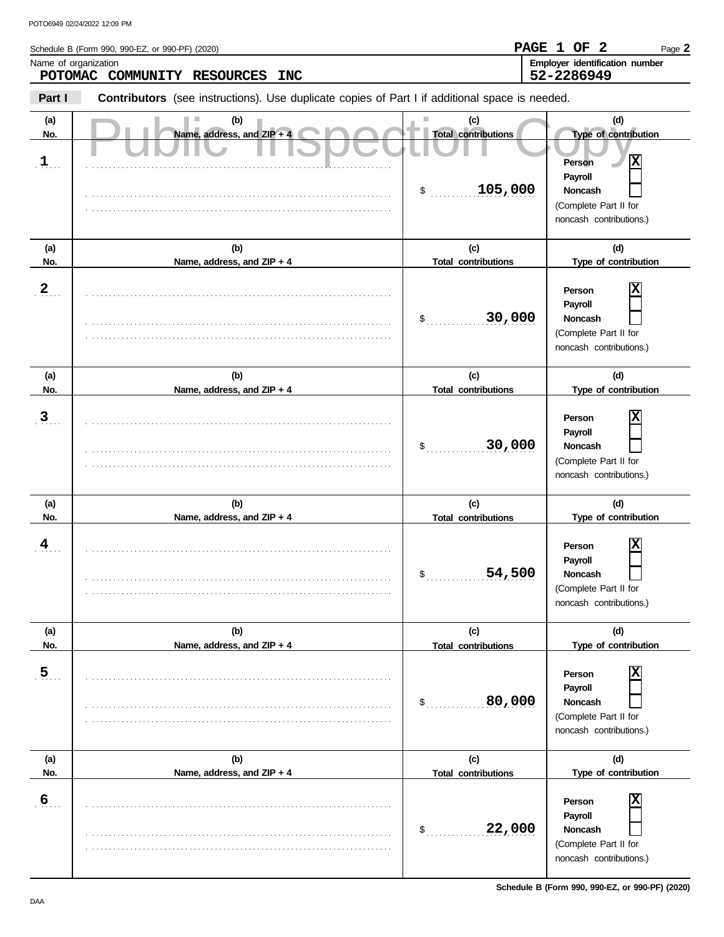|                             | Schedule B (Form 990, 990-EZ, or 990-PF) (2020)                                                |                                                               | PAGE 1 OF 2<br>Page 2                                                                                                                      |
|-----------------------------|------------------------------------------------------------------------------------------------|---------------------------------------------------------------|--------------------------------------------------------------------------------------------------------------------------------------------|
| Name of organization        | POTOMAC COMMUNITY RESOURCES<br><b>INC</b>                                                      |                                                               | Employer identification number<br>52-2286949                                                                                               |
| Part I                      | Contributors (see instructions). Use duplicate copies of Part I if additional space is needed. |                                                               |                                                                                                                                            |
| (a)<br>No.<br>$\frac{1}{2}$ | (b)<br>Name, address, and ZIP + 4                                                              | (c)<br><b>Total contributions</b><br>105,000<br>$\frac{1}{2}$ | (d)<br>Type of contribution<br>$\overline{\mathbf{x}}$<br>Person<br>Payroll<br>Noncash<br>(Complete Part II for<br>noncash contributions.) |
| (a)<br>No.                  | (b)<br>Name, address, and ZIP + 4                                                              | (c)<br><b>Total contributions</b>                             | (d)<br>Type of contribution                                                                                                                |
| $\frac{2}{\pi}$             |                                                                                                | 30,000<br>\$                                                  | Person<br>Payroll<br>Noncash<br>(Complete Part II for<br>noncash contributions.)                                                           |
| (a)<br>No.                  | (b)<br>Name, address, and ZIP + 4                                                              | (c)<br><b>Total contributions</b>                             | (d)<br>Type of contribution                                                                                                                |
| $\overline{3}$              |                                                                                                | 30,000<br>\$                                                  | Person<br>Payroll<br>Noncash<br>(Complete Part II for<br>noncash contributions.)                                                           |
| (a)<br>No.                  | (b)<br>Name, address, and ZIP + 4                                                              | (c)<br><b>Total contributions</b>                             | (d)<br>Type of contribution                                                                                                                |
| $\overline{4}$              |                                                                                                | 54,500                                                        | X<br>Person<br>Payroll<br>Noncash<br>$\mathsf{I}$<br>(Complete Part II for<br>noncash contributions.)                                      |
| (a)<br>No.                  | (b)<br>Name, address, and ZIP + 4                                                              | (c)<br><b>Total contributions</b>                             | (d)<br>Type of contribution                                                                                                                |
| $\overline{5}$              |                                                                                                | 80,000<br>\$                                                  | x<br>Person<br>Payroll<br><b>Noncash</b><br>(Complete Part II for<br>noncash contributions.)                                               |
| (a)<br>No.                  | (b)<br>Name, address, and ZIP + 4                                                              | (c)<br><b>Total contributions</b>                             | (d)<br>Type of contribution                                                                                                                |
| $6\overline{6}$             |                                                                                                | 22,000<br>\$                                                  | x<br>Person<br>Payroll<br>Noncash<br>(Complete Part II for<br>noncash contributions.)                                                      |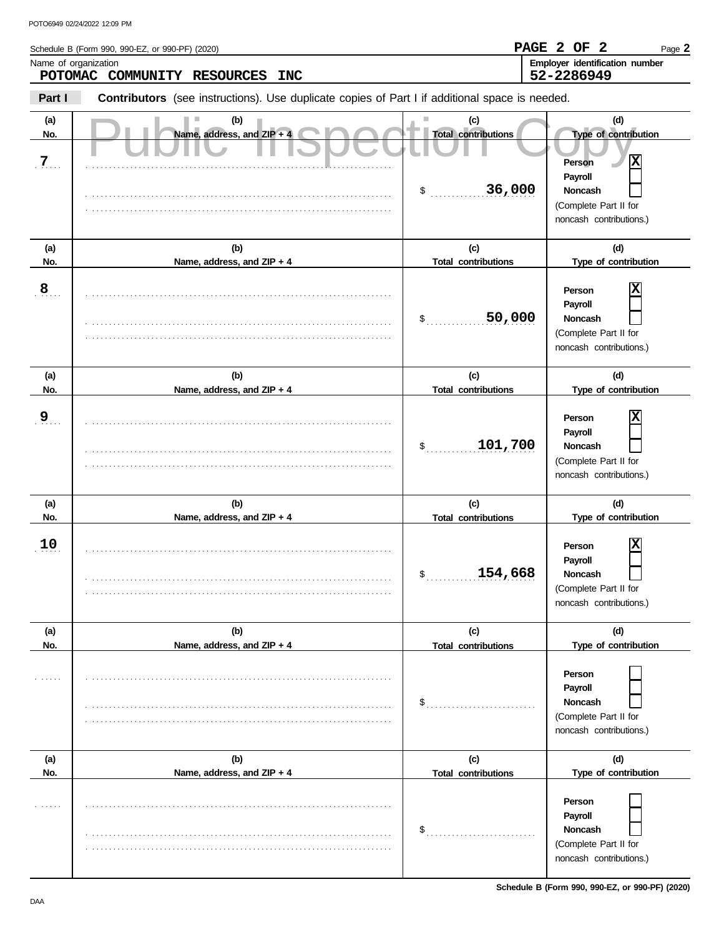|                              | Schedule B (Form 990, 990-EZ, or 990-PF) (2020)                                                | <b>PAGE</b>                                                                              | 2 OF 2<br>Page 2                                                                                                      |
|------------------------------|------------------------------------------------------------------------------------------------|------------------------------------------------------------------------------------------|-----------------------------------------------------------------------------------------------------------------------|
|                              | Name of organization<br>POTOMAC COMMUNITY RESOURCES<br><b>INC</b>                              |                                                                                          | Employer identification number<br>52-2286949                                                                          |
| Part I                       | Contributors (see instructions). Use duplicate copies of Part I if additional space is needed. |                                                                                          |                                                                                                                       |
| (a)<br>No.<br>$\overline{z}$ | (b)<br>Name, address, and ZIP + 4                                                              | (c)<br>ш<br><b>Total contributions</b><br>36,000<br>$\sim$                               | (d)<br>Type of contribution<br>ΙX<br>Person<br>Payroll<br>Noncash<br>(Complete Part II for<br>noncash contributions.) |
| (a)<br>No.                   | (b)<br>Name, address, and ZIP + 4                                                              | (c)<br><b>Total contributions</b>                                                        | (d)<br>Type of contribution                                                                                           |
| $\overline{8}$               |                                                                                                | 50,000<br>$\sim$                                                                         | Person<br>Payroll<br>Noncash<br>(Complete Part II for<br>noncash contributions.)                                      |
| (a)<br>No.                   | (b)<br>Name, address, and ZIP + 4                                                              | (c)<br><b>Total contributions</b>                                                        | (d)<br>Type of contribution                                                                                           |
| <u>و</u>                     |                                                                                                | 101,700<br>$\sim$                                                                        | Person<br>Payroll<br>Noncash<br>(Complete Part II for<br>noncash contributions.)                                      |
| (a)<br>No.                   | (b)<br>Name, address, and ZIP + 4                                                              | (c)<br><b>Total contributions</b>                                                        | (d)<br>Type of contribution                                                                                           |
| 10 <sub>1</sub>              |                                                                                                | $\mathsf{\$}$<br>154,668                                                                 | X<br>Person<br>Payroll<br>Noncash<br>(Complete Part II for<br>noncash contributions.)                                 |
| (a)<br>No.                   | (b)<br>Name, address, and ZIP + 4                                                              | (c)<br><b>Total contributions</b>                                                        | (d)<br>Type of contribution                                                                                           |
| .                            |                                                                                                | $\$\ldots\ldots\ldots\ldots\ldots\ldots\ldots\ldots\ldots$                               | Person<br>Payroll<br><b>Noncash</b><br>(Complete Part II for<br>noncash contributions.)                               |
| (a)                          | (b)                                                                                            | (c)                                                                                      | (d)                                                                                                                   |
| No.<br>.                     | Name, address, and ZIP + 4                                                                     | <b>Total contributions</b><br>$\$\ldots\ldots\ldots\ldots\ldots\ldots\ldots\ldots\ldots$ | Type of contribution<br>Person<br>Payroll<br>Noncash<br>(Complete Part II for<br>noncash contributions.)              |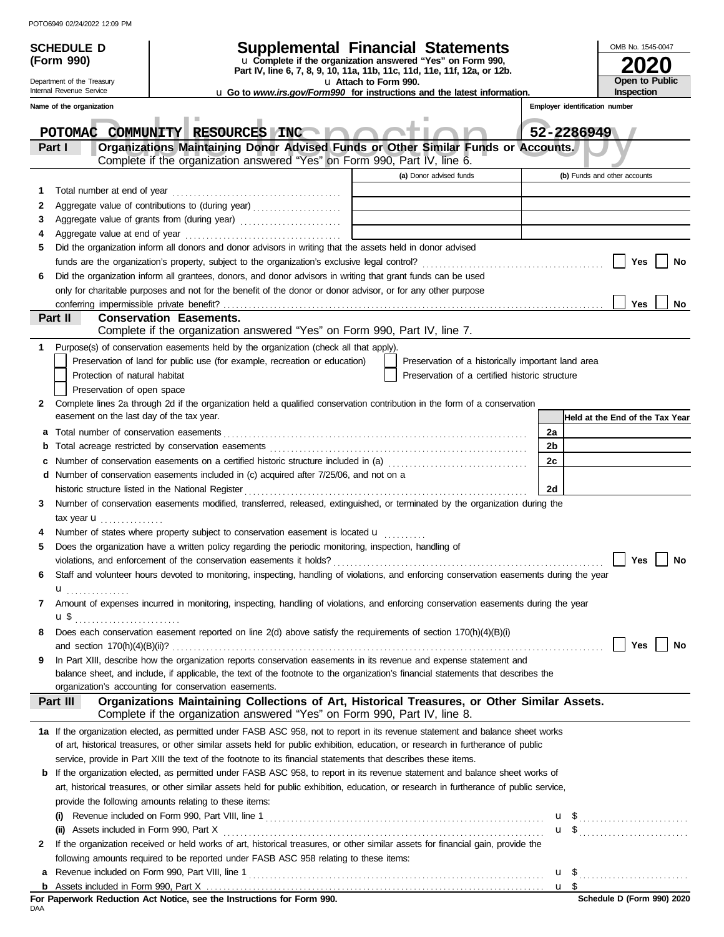| PUTU0949 UZ/Z4/ZUZZ TZ.U9 PIVI            |                                                                                                                                                                                                                               |                                                                                                      |                |                                 |    |
|-------------------------------------------|-------------------------------------------------------------------------------------------------------------------------------------------------------------------------------------------------------------------------------|------------------------------------------------------------------------------------------------------|----------------|---------------------------------|----|
| <b>SCHEDULE D</b>                         |                                                                                                                                                                                                                               | OMB No. 1545-0047                                                                                    |                |                                 |    |
| (Form 990)                                | u Complete if the organization answered "Yes" on Form 990,<br>Part IV, line 6, 7, 8, 9, 10, 11a, 11b, 11c, 11d, 11e, 11f, 12a, or 12b.                                                                                        |                                                                                                      |                |                                 |    |
| Department of the Treasury                | u Attach to Form 990.                                                                                                                                                                                                         |                                                                                                      | Open to Public |                                 |    |
| Internal Revenue Service                  | u Go to www.irs.gov/Form990 for instructions and the latest information.                                                                                                                                                      |                                                                                                      |                | Inspection                      |    |
| Name of the organization                  |                                                                                                                                                                                                                               |                                                                                                      |                | Employer identification number  |    |
| <b>POTOMAC</b>                            | COMMUNITY RESOURCES INC                                                                                                                                                                                                       |                                                                                                      |                | 52-2286949                      |    |
| Part I                                    | Organizations Maintaining Donor Advised Funds or Other Similar Funds or Accounts.                                                                                                                                             |                                                                                                      |                |                                 |    |
|                                           | Complete if the organization answered "Yes" on Form 990, Part IV, line 6.                                                                                                                                                     |                                                                                                      |                |                                 |    |
|                                           |                                                                                                                                                                                                                               | (a) Donor advised funds                                                                              |                | (b) Funds and other accounts    |    |
| 1.                                        |                                                                                                                                                                                                                               |                                                                                                      |                |                                 |    |
| 2                                         |                                                                                                                                                                                                                               |                                                                                                      |                |                                 |    |
| 3<br>4                                    |                                                                                                                                                                                                                               |                                                                                                      |                |                                 |    |
| 5                                         | Did the organization inform all donors and donor advisors in writing that the assets held in donor advised                                                                                                                    |                                                                                                      |                |                                 |    |
|                                           |                                                                                                                                                                                                                               |                                                                                                      |                | Yes                             | No |
| 6                                         | Did the organization inform all grantees, donors, and donor advisors in writing that grant funds can be used                                                                                                                  |                                                                                                      |                |                                 |    |
|                                           | only for charitable purposes and not for the benefit of the donor or donor advisor, or for any other purpose                                                                                                                  |                                                                                                      |                |                                 |    |
|                                           |                                                                                                                                                                                                                               |                                                                                                      |                | <b>Yes</b>                      | No |
| Part II                                   | <b>Conservation Easements.</b>                                                                                                                                                                                                |                                                                                                      |                |                                 |    |
|                                           | Complete if the organization answered "Yes" on Form 990, Part IV, line 7.                                                                                                                                                     |                                                                                                      |                |                                 |    |
| 1.                                        | Purpose(s) of conservation easements held by the organization (check all that apply).                                                                                                                                         |                                                                                                      |                |                                 |    |
| Protection of natural habitat             | Preservation of land for public use (for example, recreation or education)                                                                                                                                                    | Preservation of a historically important land area<br>Preservation of a certified historic structure |                |                                 |    |
| Preservation of open space                |                                                                                                                                                                                                                               |                                                                                                      |                |                                 |    |
| 2                                         | Complete lines 2a through 2d if the organization held a qualified conservation contribution in the form of a conservation                                                                                                     |                                                                                                      |                |                                 |    |
| easement on the last day of the tax year. |                                                                                                                                                                                                                               |                                                                                                      |                | Held at the End of the Tax Year |    |
| a                                         |                                                                                                                                                                                                                               |                                                                                                      | 2a             |                                 |    |
| b                                         |                                                                                                                                                                                                                               |                                                                                                      | 2b             |                                 |    |
| c                                         | Number of conservation easements on a certified historic structure included in (a) conservation conservation conservation                                                                                                     |                                                                                                      | 2c             |                                 |    |
|                                           | d Number of conservation easements included in (c) acquired after 7/25/06, and not on a                                                                                                                                       |                                                                                                      |                |                                 |    |
|                                           | historic structure listed in the National Register [11] [12] Martin Martin Martin Martin Martin Martin Martin Martin Martin Martin Martin Martin Martin Martin Martin Martin Martin Martin Martin Martin Martin Martin Martin |                                                                                                      | 2d             |                                 |    |
| 3                                         | Number of conservation easements modified, transferred, released, extinguished, or terminated by the organization during the                                                                                                  |                                                                                                      |                |                                 |    |
| tax year $\mathbf{u}$                     |                                                                                                                                                                                                                               |                                                                                                      |                |                                 |    |
|                                           | Number of states where property subject to conservation easement is located u                                                                                                                                                 |                                                                                                      |                |                                 |    |
| 5                                         | Does the organization have a written policy regarding the periodic monitoring, inspection, handling of                                                                                                                        |                                                                                                      |                | Yes                             | No |
| 6                                         | Staff and volunteer hours devoted to monitoring, inspecting, handling of violations, and enforcing conservation easements during the year                                                                                     |                                                                                                      |                |                                 |    |
| ${\bf u}$                                 |                                                                                                                                                                                                                               |                                                                                                      |                |                                 |    |
| 7                                         | Amount of expenses incurred in monitoring, inspecting, handling of violations, and enforcing conservation easements during the year                                                                                           |                                                                                                      |                |                                 |    |
| u\$                                       |                                                                                                                                                                                                                               |                                                                                                      |                |                                 |    |
| 8                                         | Does each conservation easement reported on line 2(d) above satisfy the requirements of section 170(h)(4)(B)(i)                                                                                                               |                                                                                                      |                |                                 |    |
|                                           |                                                                                                                                                                                                                               |                                                                                                      |                | Yes                             | No |
| 9                                         | In Part XIII, describe how the organization reports conservation easements in its revenue and expense statement and                                                                                                           |                                                                                                      |                |                                 |    |
|                                           | balance sheet, and include, if applicable, the text of the footnote to the organization's financial statements that describes the                                                                                             |                                                                                                      |                |                                 |    |
| Part III                                  | organization's accounting for conservation easements.<br>Organizations Maintaining Collections of Art, Historical Treasures, or Other Similar Assets.                                                                         |                                                                                                      |                |                                 |    |
|                                           | Complete if the organization answered "Yes" on Form 990, Part IV, line 8.                                                                                                                                                     |                                                                                                      |                |                                 |    |
|                                           | 1a If the organization elected, as permitted under FASB ASC 958, not to report in its revenue statement and balance sheet works                                                                                               |                                                                                                      |                |                                 |    |
|                                           | of art, historical treasures, or other similar assets held for public exhibition, education, or research in furtherance of public                                                                                             |                                                                                                      |                |                                 |    |
|                                           | service, provide in Part XIII the text of the footnote to its financial statements that describes these items.                                                                                                                |                                                                                                      |                |                                 |    |
|                                           | <b>b</b> If the organization elected, as permitted under FASB ASC 958, to report in its revenue statement and balance sheet works of                                                                                          |                                                                                                      |                |                                 |    |
|                                           | art, historical treasures, or other similar assets held for public exhibition, education, or research in furtherance of public service,                                                                                       |                                                                                                      |                |                                 |    |
|                                           | provide the following amounts relating to these items:                                                                                                                                                                        |                                                                                                      |                |                                 |    |
| (i)                                       |                                                                                                                                                                                                                               |                                                                                                      |                | $\mathbf{u}$ \$                 |    |
|                                           |                                                                                                                                                                                                                               |                                                                                                      |                |                                 |    |
| 2                                         | If the organization received or held works of art, historical treasures, or other similar assets for financial gain, provide the                                                                                              |                                                                                                      |                |                                 |    |
|                                           | following amounts required to be reported under FASB ASC 958 relating to these items:                                                                                                                                         |                                                                                                      |                |                                 |    |
| a                                         |                                                                                                                                                                                                                               |                                                                                                      |                |                                 |    |
| b                                         |                                                                                                                                                                                                                               |                                                                                                      |                |                                 |    |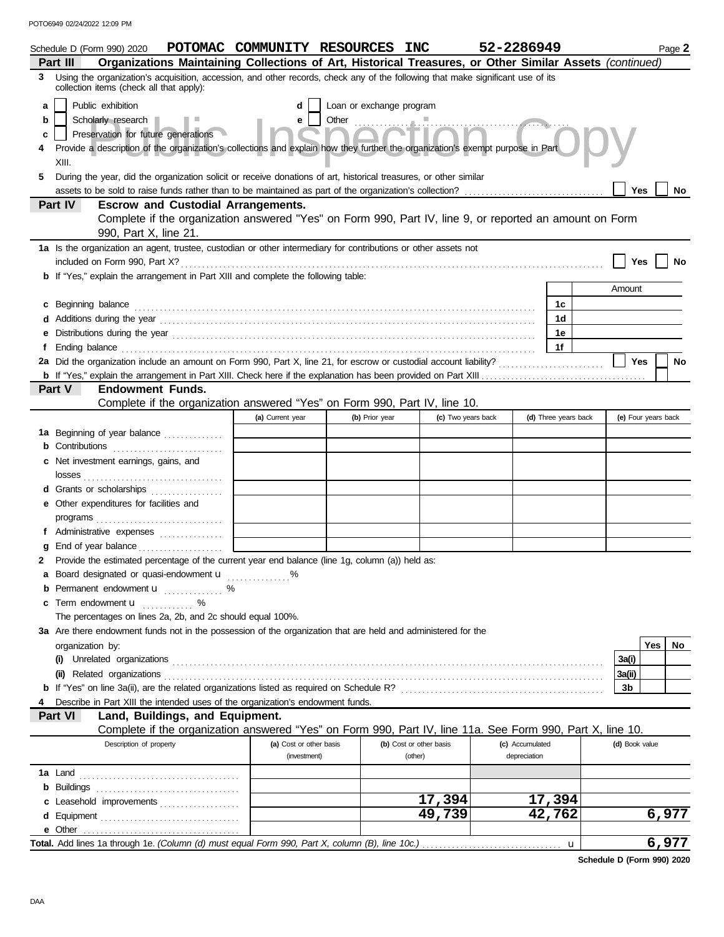|                        | Schedule D (Form 990) 2020<br>Organizations Maintaining Collections of Art, Historical Treasures, or Other Similar Assets (continued)<br>Part III                                                                                                                                                                                              | POTOMAC COMMUNITY RESOURCES INC |                                                    |                         | 52-2286949      |                      |                | Page 2              |
|------------------------|------------------------------------------------------------------------------------------------------------------------------------------------------------------------------------------------------------------------------------------------------------------------------------------------------------------------------------------------|---------------------------------|----------------------------------------------------|-------------------------|-----------------|----------------------|----------------|---------------------|
| 3                      | Using the organization's acquisition, accession, and other records, check any of the following that make significant use of its<br>collection items (check all that apply):                                                                                                                                                                    |                                 |                                                    |                         |                 |                      |                |                     |
| a<br>b<br>c<br>4<br>5. | Public exhibition<br>Scholarly research<br>Preservation for future generations<br>Provide a description of the organization's collections and explain how they further the organization's exempt purpose in Part<br>XIII.<br>During the year, did the organization solicit or receive donations of art, historical treasures, or other similar | d<br>e                          | Loan or exchange program<br>Other <b>Continues</b> |                         |                 |                      | Yes            | No                  |
|                        | Part IV<br><b>Escrow and Custodial Arrangements.</b>                                                                                                                                                                                                                                                                                           |                                 |                                                    |                         |                 |                      |                |                     |
|                        | Complete if the organization answered "Yes" on Form 990, Part IV, line 9, or reported an amount on Form<br>990, Part X, line 21.                                                                                                                                                                                                               |                                 |                                                    |                         |                 |                      |                |                     |
|                        | 1a Is the organization an agent, trustee, custodian or other intermediary for contributions or other assets not                                                                                                                                                                                                                                |                                 |                                                    |                         |                 |                      |                |                     |
|                        |                                                                                                                                                                                                                                                                                                                                                |                                 |                                                    |                         |                 |                      | Yes            |                     |
|                        | <b>b</b> If "Yes," explain the arrangement in Part XIII and complete the following table:                                                                                                                                                                                                                                                      |                                 |                                                    |                         |                 |                      | Amount         |                     |
|                        | c Beginning balance                                                                                                                                                                                                                                                                                                                            |                                 |                                                    |                         |                 | 1c                   |                |                     |
|                        |                                                                                                                                                                                                                                                                                                                                                |                                 |                                                    |                         |                 | 1d                   |                |                     |
|                        |                                                                                                                                                                                                                                                                                                                                                |                                 |                                                    |                         |                 | 1е                   |                |                     |
| f                      |                                                                                                                                                                                                                                                                                                                                                |                                 |                                                    |                         |                 | 1f                   |                |                     |
|                        | 2a Did the organization include an amount on Form 990, Part X, line 21, for escrow or custodial account liability?                                                                                                                                                                                                                             |                                 |                                                    |                         |                 |                      | <b>Yes</b>     | <b>No</b>           |
|                        |                                                                                                                                                                                                                                                                                                                                                |                                 |                                                    |                         |                 |                      |                |                     |
|                        | <b>Endowment Funds.</b><br><b>Part V</b>                                                                                                                                                                                                                                                                                                       |                                 |                                                    |                         |                 |                      |                |                     |
|                        | Complete if the organization answered "Yes" on Form 990, Part IV, line 10.                                                                                                                                                                                                                                                                     |                                 |                                                    |                         |                 |                      |                |                     |
|                        |                                                                                                                                                                                                                                                                                                                                                | (a) Current year                | (b) Prior year                                     | (c) Two years back      |                 | (d) Three years back |                | (e) Four years back |
|                        | 1a Beginning of year balance                                                                                                                                                                                                                                                                                                                   |                                 |                                                    |                         |                 |                      |                |                     |
|                        | <b>b</b> Contributions                                                                                                                                                                                                                                                                                                                         |                                 |                                                    |                         |                 |                      |                |                     |
|                        | c Net investment earnings, gains, and                                                                                                                                                                                                                                                                                                          |                                 |                                                    |                         |                 |                      |                |                     |
|                        | d Grants or scholarships                                                                                                                                                                                                                                                                                                                       |                                 |                                                    |                         |                 |                      |                |                     |
|                        | e Other expenditures for facilities and                                                                                                                                                                                                                                                                                                        |                                 |                                                    |                         |                 |                      |                |                     |
|                        |                                                                                                                                                                                                                                                                                                                                                |                                 |                                                    |                         |                 |                      |                |                     |
|                        | f Administrative expenses                                                                                                                                                                                                                                                                                                                      |                                 |                                                    |                         |                 |                      |                |                     |
| a                      |                                                                                                                                                                                                                                                                                                                                                |                                 |                                                    |                         |                 |                      |                |                     |
| 2                      | Provide the estimated percentage of the current year end balance (line 1g, column (a)) held as:                                                                                                                                                                                                                                                |                                 |                                                    |                         |                 |                      |                |                     |
|                        | a Board designated or quasi-endowment <b>u</b> %                                                                                                                                                                                                                                                                                               |                                 |                                                    |                         |                 |                      |                |                     |
|                        | Permanent endowment <b>u</b> material materials of the materials of the materials of the materials of the materials of the materials of the materials of the materials of the materials of the materials of the materials of the ma                                                                                                            |                                 |                                                    |                         |                 |                      |                |                     |
| c                      | Term endowment <b>u</b>                                                                                                                                                                                                                                                                                                                        |                                 |                                                    |                         |                 |                      |                |                     |
|                        | The percentages on lines 2a, 2b, and 2c should equal 100%.                                                                                                                                                                                                                                                                                     |                                 |                                                    |                         |                 |                      |                |                     |
|                        | 3a Are there endowment funds not in the possession of the organization that are held and administered for the                                                                                                                                                                                                                                  |                                 |                                                    |                         |                 |                      |                |                     |
|                        | organization by:                                                                                                                                                                                                                                                                                                                               |                                 |                                                    |                         |                 |                      |                | <b>Yes</b><br>No    |
|                        |                                                                                                                                                                                                                                                                                                                                                |                                 |                                                    |                         |                 |                      | 3a(i)          |                     |
|                        |                                                                                                                                                                                                                                                                                                                                                |                                 |                                                    |                         |                 |                      | 3a(ii)<br>3b   |                     |
| 4                      | Describe in Part XIII the intended uses of the organization's endowment funds.                                                                                                                                                                                                                                                                 |                                 |                                                    |                         |                 |                      |                |                     |
|                        | Land, Buildings, and Equipment.<br><b>Part VI</b>                                                                                                                                                                                                                                                                                              |                                 |                                                    |                         |                 |                      |                |                     |
|                        | Complete if the organization answered "Yes" on Form 990, Part IV, line 11a. See Form 990, Part X, line 10.                                                                                                                                                                                                                                     |                                 |                                                    |                         |                 |                      |                |                     |
|                        | Description of property                                                                                                                                                                                                                                                                                                                        | (a) Cost or other basis         |                                                    | (b) Cost or other basis | (c) Accumulated |                      | (d) Book value |                     |
|                        |                                                                                                                                                                                                                                                                                                                                                | (investment)                    |                                                    | (other)                 | depreciation    |                      |                |                     |
|                        |                                                                                                                                                                                                                                                                                                                                                |                                 |                                                    |                         |                 |                      |                |                     |
|                        |                                                                                                                                                                                                                                                                                                                                                |                                 |                                                    |                         |                 |                      |                |                     |
|                        | c Leasehold improvements                                                                                                                                                                                                                                                                                                                       |                                 |                                                    | 17,394                  |                 | 17,394               |                |                     |
|                        | d Equipment                                                                                                                                                                                                                                                                                                                                    |                                 |                                                    | 49,739                  |                 | 42,762               |                | 6,977               |
|                        |                                                                                                                                                                                                                                                                                                                                                |                                 |                                                    |                         |                 |                      |                |                     |
|                        |                                                                                                                                                                                                                                                                                                                                                |                                 |                                                    |                         |                 | u                    |                | 6,977               |

**Schedule D (Form 990) 2020**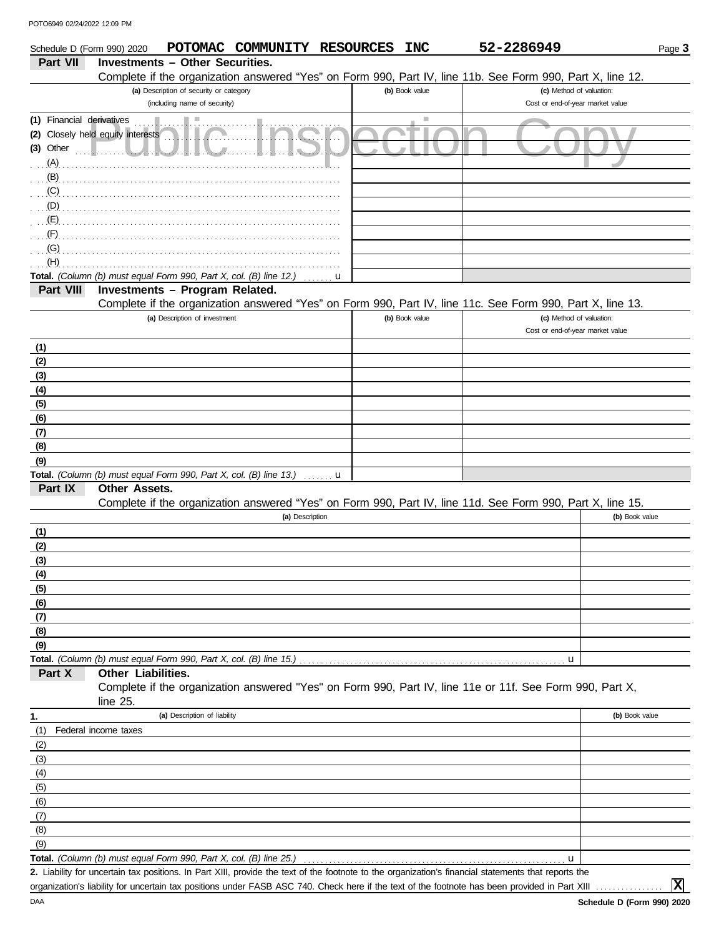| Schedule D (Form 990) 2020 | POTOMAC COMMUNITY RESOURCES                                                                                                                                                                                                                                                                                                                                                                                                                | <b>INC</b>     | 52-2286949                       | Page 3         |
|----------------------------|--------------------------------------------------------------------------------------------------------------------------------------------------------------------------------------------------------------------------------------------------------------------------------------------------------------------------------------------------------------------------------------------------------------------------------------------|----------------|----------------------------------|----------------|
| <b>Part VII</b>            | <b>Investments - Other Securities.</b>                                                                                                                                                                                                                                                                                                                                                                                                     |                |                                  |                |
|                            | Complete if the organization answered "Yes" on Form 990, Part IV, line 11b. See Form 990, Part X, line 12.                                                                                                                                                                                                                                                                                                                                 |                |                                  |                |
|                            | (a) Description of security or category                                                                                                                                                                                                                                                                                                                                                                                                    | (b) Book value | (c) Method of valuation:         |                |
|                            | (including name of security)                                                                                                                                                                                                                                                                                                                                                                                                               |                | Cost or end-of-year market value |                |
| (1) Financial derivatives  | . .                                                                                                                                                                                                                                                                                                                                                                                                                                        |                |                                  |                |
|                            | (2) Closely held equity interests                                                                                                                                                                                                                                                                                                                                                                                                          |                |                                  |                |
| $(3)$ Other                |                                                                                                                                                                                                                                                                                                                                                                                                                                            |                |                                  |                |
|                            | $(A)$ (A)                                                                                                                                                                                                                                                                                                                                                                                                                                  |                |                                  |                |
|                            | (B)                                                                                                                                                                                                                                                                                                                                                                                                                                        |                |                                  |                |
|                            | (C)                                                                                                                                                                                                                                                                                                                                                                                                                                        |                |                                  |                |
|                            |                                                                                                                                                                                                                                                                                                                                                                                                                                            |                |                                  |                |
|                            | $\begin{minipage}[c]{0.9\linewidth} \begin{tabular}{l} \hline $ \textbf{(E)} $ \textbf{.} $ \textbf{.} $ \textbf{.} $ \textbf{.} $ \textbf{.} $ \textbf{.} $ \textbf{.} $ \textbf{.} $ \textbf{.} $ \textbf{.} $ \textbf{.} $ \textbf{.} $ \textbf{.} $ \textbf{.} $ \textbf{.} $ \textbf{.} $ \textbf{.} $ \textbf{.} $ \textbf{.} $ \textbf{.} $ \textbf{.} $ \textbf{.} $ \textbf{.} $ \textbf{.} $ \textbf{.} $ \textbf{.} $ \textbf{$ |                |                                  |                |
| (G)                        |                                                                                                                                                                                                                                                                                                                                                                                                                                            |                |                                  |                |
| (H)                        |                                                                                                                                                                                                                                                                                                                                                                                                                                            |                |                                  |                |
|                            | Total. (Column (b) must equal Form 990, Part X, col. (B) line 12.)<br><b>u</b>                                                                                                                                                                                                                                                                                                                                                             |                |                                  |                |
| Part VIII                  | <b>Investments - Program Related.</b>                                                                                                                                                                                                                                                                                                                                                                                                      |                |                                  |                |
|                            | Complete if the organization answered "Yes" on Form 990, Part IV, line 11c. See Form 990, Part X, line 13.                                                                                                                                                                                                                                                                                                                                 |                |                                  |                |
|                            | (a) Description of investment                                                                                                                                                                                                                                                                                                                                                                                                              | (b) Book value | (c) Method of valuation:         |                |
|                            |                                                                                                                                                                                                                                                                                                                                                                                                                                            |                | Cost or end-of-year market value |                |
| (1)                        |                                                                                                                                                                                                                                                                                                                                                                                                                                            |                |                                  |                |
| (2)                        |                                                                                                                                                                                                                                                                                                                                                                                                                                            |                |                                  |                |
| (3)                        |                                                                                                                                                                                                                                                                                                                                                                                                                                            |                |                                  |                |
| (4)                        |                                                                                                                                                                                                                                                                                                                                                                                                                                            |                |                                  |                |
| (5)                        |                                                                                                                                                                                                                                                                                                                                                                                                                                            |                |                                  |                |
| (6)                        |                                                                                                                                                                                                                                                                                                                                                                                                                                            |                |                                  |                |
| (7)                        |                                                                                                                                                                                                                                                                                                                                                                                                                                            |                |                                  |                |
| (8)                        |                                                                                                                                                                                                                                                                                                                                                                                                                                            |                |                                  |                |
| (9)                        |                                                                                                                                                                                                                                                                                                                                                                                                                                            |                |                                  |                |
|                            | Total. (Column (b) must equal Form 990, Part X, col. (B) line 13.) $\ldots$ .                                                                                                                                                                                                                                                                                                                                                              |                |                                  |                |
| Part IX                    | Other Assets.                                                                                                                                                                                                                                                                                                                                                                                                                              |                |                                  |                |
|                            | Complete if the organization answered "Yes" on Form 990, Part IV, line 11d. See Form 990, Part X, line 15.                                                                                                                                                                                                                                                                                                                                 |                |                                  |                |
|                            | (a) Description                                                                                                                                                                                                                                                                                                                                                                                                                            |                |                                  | (b) Book value |
| (1)                        |                                                                                                                                                                                                                                                                                                                                                                                                                                            |                |                                  |                |
| (2)                        |                                                                                                                                                                                                                                                                                                                                                                                                                                            |                |                                  |                |
| (3)                        |                                                                                                                                                                                                                                                                                                                                                                                                                                            |                |                                  |                |
| (4)                        |                                                                                                                                                                                                                                                                                                                                                                                                                                            |                |                                  |                |
| (5)<br>(6)                 |                                                                                                                                                                                                                                                                                                                                                                                                                                            |                |                                  |                |
| (7)                        |                                                                                                                                                                                                                                                                                                                                                                                                                                            |                |                                  |                |
| (8)                        |                                                                                                                                                                                                                                                                                                                                                                                                                                            |                |                                  |                |
| (9)                        |                                                                                                                                                                                                                                                                                                                                                                                                                                            |                |                                  |                |
|                            | Total. (Column (b) must equal Form 990, Part X, col. (B) line 15.)                                                                                                                                                                                                                                                                                                                                                                         |                | u                                |                |
| Part X                     | Other Liabilities.                                                                                                                                                                                                                                                                                                                                                                                                                         |                |                                  |                |
|                            | Complete if the organization answered "Yes" on Form 990, Part IV, line 11e or 11f. See Form 990, Part X,                                                                                                                                                                                                                                                                                                                                   |                |                                  |                |
|                            | line 25.                                                                                                                                                                                                                                                                                                                                                                                                                                   |                |                                  |                |
| 1.                         | (a) Description of liability                                                                                                                                                                                                                                                                                                                                                                                                               |                |                                  | (b) Book value |
| (1)                        | Federal income taxes                                                                                                                                                                                                                                                                                                                                                                                                                       |                |                                  |                |
| (2)                        |                                                                                                                                                                                                                                                                                                                                                                                                                                            |                |                                  |                |
| (3)                        |                                                                                                                                                                                                                                                                                                                                                                                                                                            |                |                                  |                |
| (4)                        |                                                                                                                                                                                                                                                                                                                                                                                                                                            |                |                                  |                |
| (5)                        |                                                                                                                                                                                                                                                                                                                                                                                                                                            |                |                                  |                |
| (6)                        |                                                                                                                                                                                                                                                                                                                                                                                                                                            |                |                                  |                |
| (7)                        |                                                                                                                                                                                                                                                                                                                                                                                                                                            |                |                                  |                |
| (8)                        |                                                                                                                                                                                                                                                                                                                                                                                                                                            |                |                                  |                |
| (9)                        |                                                                                                                                                                                                                                                                                                                                                                                                                                            |                |                                  |                |
|                            | Total. (Column (b) must equal Form 990, Part X, col. (B) line 25.)                                                                                                                                                                                                                                                                                                                                                                         |                | u                                |                |

Liability for uncertain tax positions. In Part XIII, provide the text of the footnote to the organization's financial statements that reports the **2.**

organization's liability for uncertain tax positions under FASB ASC 740. Check here if the text of the footnote has been provided in Part XIII . . . . . . . . . . . . . . . .

**X**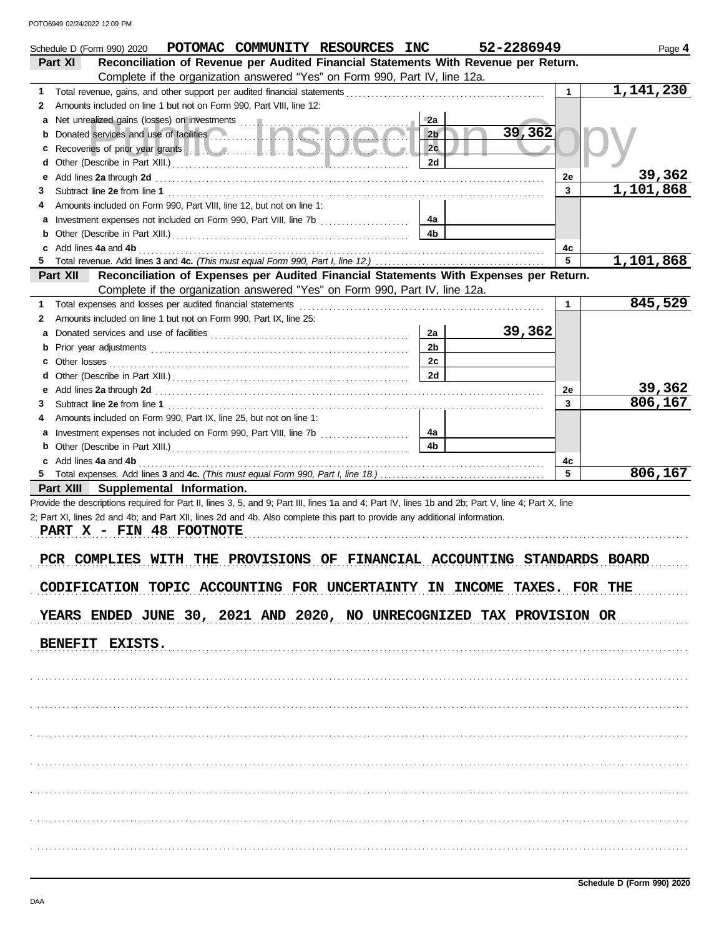|    | POTOMAC COMMUNITY RESOURCES INC<br>Schedule D (Form 990) 2020                                                                                                                                                                  |                | 52-2286949 |         | Page 4                 |
|----|--------------------------------------------------------------------------------------------------------------------------------------------------------------------------------------------------------------------------------|----------------|------------|---------|------------------------|
|    | Reconciliation of Revenue per Audited Financial Statements With Revenue per Return.<br>Part XI                                                                                                                                 |                |            |         |                        |
|    | Complete if the organization answered "Yes" on Form 990, Part IV, line 12a.                                                                                                                                                    |                |            |         |                        |
| 1  |                                                                                                                                                                                                                                |                |            | 1       | 1,141,230              |
| 2  | Amounts included on line 1 but not on Form 990, Part VIII, line 12:                                                                                                                                                            |                |            |         |                        |
| а  | Net unrealized gains (losses) on investments                                                                                                                                                                                   | 2a             |            |         |                        |
|    | Donated services and use of facilities <b>Community of the Service</b>                                                                                                                                                         | 2 <sub>b</sub> | 39,362     |         |                        |
| c  | Recoveries of prior year grants [11] New York Library 10 New York Library 10 New York Library 10 New York Library 10                                                                                                           | 2c             |            |         |                        |
| d  |                                                                                                                                                                                                                                | 2d             |            |         |                        |
| е  | Add lines 2a through 2d [11] Add [11] Add [11] Add lines 2a through 2d [11] Add lines 2a through 2d [11] Add [11] Add [11] Add [11] Add [11] Addd [11] Addd [11] Addd [11] Addd [11] Addd [11] Addd [11] Addd [11] Addd [11] A |                |            | 2e      | 39,362                 |
| 3  |                                                                                                                                                                                                                                |                |            | 3       | $\overline{1,}101,868$ |
|    | Amounts included on Form 990, Part VIII, line 12, but not on line 1:                                                                                                                                                           |                |            |         |                        |
| а  |                                                                                                                                                                                                                                | 4а             |            |         |                        |
| b  |                                                                                                                                                                                                                                | 4b             |            |         |                        |
|    | Add lines 4a and 4b                                                                                                                                                                                                            |                |            | 4c      |                        |
| 5. |                                                                                                                                                                                                                                |                |            | 5       | 1,101,868              |
|    | Reconciliation of Expenses per Audited Financial Statements With Expenses per Return.<br>Part XII                                                                                                                              |                |            |         |                        |
|    | Complete if the organization answered "Yes" on Form 990, Part IV, line 12a.                                                                                                                                                    |                |            |         |                        |
| 1  | Total expenses and losses per audited financial statements                                                                                                                                                                     |                |            | 1       | 845,529                |
| 2  | Amounts included on line 1 but not on Form 990, Part IX, line 25:                                                                                                                                                              |                |            |         |                        |
| а  |                                                                                                                                                                                                                                | 2a             | 39,362     |         |                        |
| b  |                                                                                                                                                                                                                                | 2 <sub>b</sub> |            |         |                        |
| c  | Other losses                                                                                                                                                                                                                   | 2c             |            |         |                        |
| d  |                                                                                                                                                                                                                                | 2d             |            |         |                        |
| е  |                                                                                                                                                                                                                                |                |            | 2e      | 39,362                 |
| 3  |                                                                                                                                                                                                                                |                |            | 3       | 806,167                |
|    | Amounts included on Form 990, Part IX, line 25, but not on line 1:                                                                                                                                                             |                |            |         |                        |
| а  |                                                                                                                                                                                                                                | 4a             |            |         |                        |
|    |                                                                                                                                                                                                                                | 4b             |            |         |                        |
|    |                                                                                                                                                                                                                                |                |            |         |                        |
| b  |                                                                                                                                                                                                                                |                |            |         |                        |
|    | Add lines 4a and 4b                                                                                                                                                                                                            |                |            | 4c<br>5 |                        |
| 5. |                                                                                                                                                                                                                                |                |            |         | 806,167                |
|    | Part XIII Supplemental Information.                                                                                                                                                                                            |                |            |         |                        |
|    | Provide the descriptions required for Part II, lines 3, 5, and 9; Part III, lines 1a and 4; Part IV, lines 1b and 2b; Part V, line 4; Part X, line                                                                             |                |            |         |                        |
|    | 2; Part XI, lines 2d and 4b; and Part XII, lines 2d and 4b. Also complete this part to provide any additional information.                                                                                                     |                |            |         |                        |
|    | PART X - FIN 48 FOOTNOTE                                                                                                                                                                                                       |                |            |         |                        |
|    |                                                                                                                                                                                                                                |                |            |         |                        |
|    | PCR COMPLIES WITH THE PROVISIONS OF FINANCIAL ACCOUNTING STANDARDS BOARD                                                                                                                                                       |                |            |         |                        |
|    |                                                                                                                                                                                                                                |                |            |         |                        |
|    | CODIFICATION TOPIC ACCOUNTING FOR UNCERTAINTY IN INCOME TAXES. FOR THE                                                                                                                                                         |                |            |         |                        |
|    |                                                                                                                                                                                                                                |                |            |         |                        |
|    | YEARS ENDED JUNE 30, 2021 AND 2020, NO UNRECOGNIZED TAX PROVISION OR                                                                                                                                                           |                |            |         |                        |
|    |                                                                                                                                                                                                                                |                |            |         |                        |
|    | BENEFIT EXISTS.                                                                                                                                                                                                                |                |            |         |                        |
|    |                                                                                                                                                                                                                                |                |            |         |                        |
|    |                                                                                                                                                                                                                                |                |            |         |                        |
|    |                                                                                                                                                                                                                                |                |            |         |                        |
|    |                                                                                                                                                                                                                                |                |            |         |                        |
|    |                                                                                                                                                                                                                                |                |            |         |                        |
|    |                                                                                                                                                                                                                                |                |            |         |                        |
|    |                                                                                                                                                                                                                                |                |            |         |                        |
|    |                                                                                                                                                                                                                                |                |            |         |                        |
|    |                                                                                                                                                                                                                                |                |            |         |                        |
|    |                                                                                                                                                                                                                                |                |            |         |                        |
|    |                                                                                                                                                                                                                                |                |            |         |                        |
|    |                                                                                                                                                                                                                                |                |            |         |                        |
|    |                                                                                                                                                                                                                                |                |            |         |                        |
|    |                                                                                                                                                                                                                                |                |            |         |                        |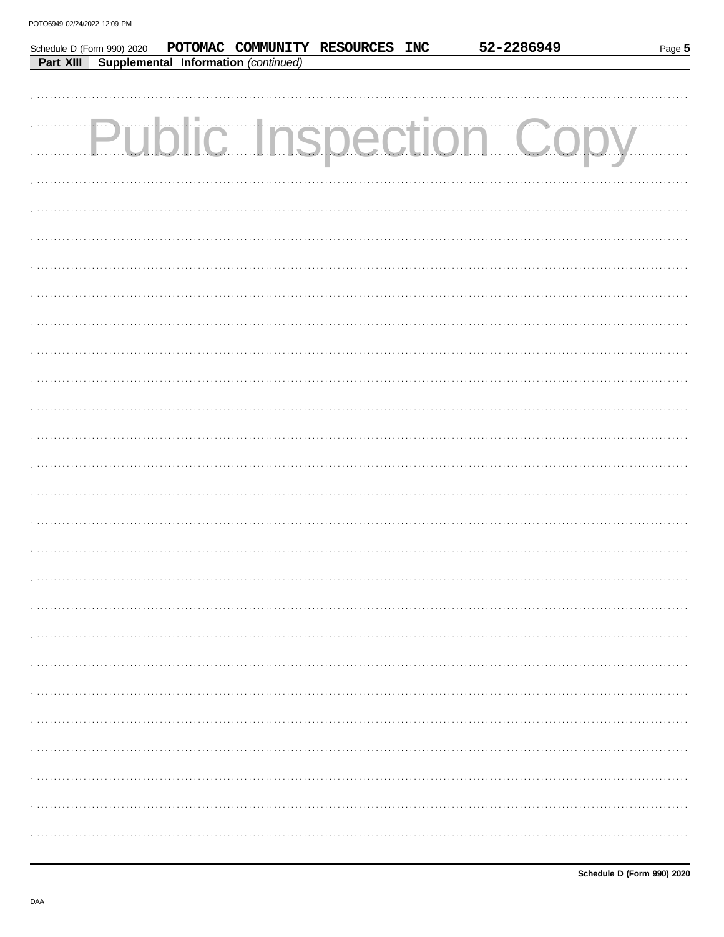| Schedule D (Form 990) 2020 |                                                | POTOMAC COMMUNITY RESOURCES INC | 52-2286949                    | Page 5 |
|----------------------------|------------------------------------------------|---------------------------------|-------------------------------|--------|
|                            | Part XIII Supplemental Information (continued) |                                 |                               |        |
|                            |                                                |                                 |                               |        |
|                            |                                                |                                 |                               |        |
|                            |                                                |                                 |                               |        |
|                            |                                                |                                 | <b>Public Inspection Copy</b> |        |
|                            |                                                |                                 |                               |        |
|                            |                                                |                                 |                               |        |
|                            |                                                |                                 |                               |        |
|                            |                                                |                                 |                               |        |
|                            |                                                |                                 |                               |        |
|                            |                                                |                                 |                               |        |
|                            |                                                |                                 |                               |        |
|                            |                                                |                                 |                               |        |
|                            |                                                |                                 |                               |        |
|                            |                                                |                                 |                               |        |
|                            |                                                |                                 |                               |        |
|                            |                                                |                                 |                               |        |
|                            |                                                |                                 |                               |        |
|                            |                                                |                                 |                               |        |
|                            |                                                |                                 |                               |        |
|                            |                                                |                                 |                               |        |
|                            |                                                |                                 |                               |        |
|                            |                                                |                                 |                               |        |
|                            |                                                |                                 |                               |        |
|                            |                                                |                                 |                               |        |
|                            |                                                |                                 |                               |        |
|                            |                                                |                                 |                               |        |
|                            |                                                |                                 |                               |        |
|                            |                                                |                                 |                               |        |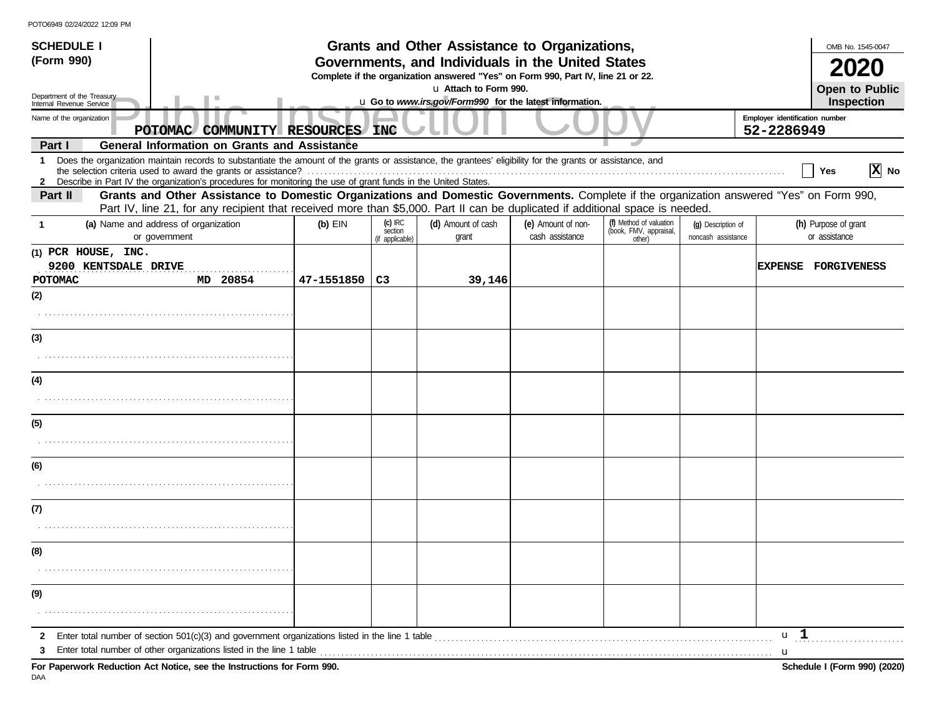|                                                                                                                                                                                                                                                                                        | <b>SCHEDULE I</b>                                                                                                                                                                                                                                                         |                       |                                                                                                         | Grants and Other Assistance to Organizations,                                                                                         |                                       |                                                             |                                            |                   | OMB No. 1545-0047                     |
|----------------------------------------------------------------------------------------------------------------------------------------------------------------------------------------------------------------------------------------------------------------------------------------|---------------------------------------------------------------------------------------------------------------------------------------------------------------------------------------------------------------------------------------------------------------------------|-----------------------|---------------------------------------------------------------------------------------------------------|---------------------------------------------------------------------------------------------------------------------------------------|---------------------------------------|-------------------------------------------------------------|--------------------------------------------|-------------------|---------------------------------------|
| (Form 990)                                                                                                                                                                                                                                                                             |                                                                                                                                                                                                                                                                           |                       |                                                                                                         | Governments, and Individuals in the United States<br>Complete if the organization answered "Yes" on Form 990, Part IV, line 21 or 22. |                                       |                                                             |                                            |                   |                                       |
|                                                                                                                                                                                                                                                                                        | Department of the Treasury<br>Internal Revenue Service                                                                                                                                                                                                                    | u Attach to Form 990. |                                                                                                         |                                                                                                                                       |                                       |                                                             | <b>Open to Public</b><br><b>Inspection</b> |                   |                                       |
|                                                                                                                                                                                                                                                                                        | Name of the organization<br>POTOMAC COMMUNITY RESOURCES INC                                                                                                                                                                                                               |                       | u Go to www.irs.gov/Form990 for the latest information.<br>Employer identification number<br>52-2286949 |                                                                                                                                       |                                       |                                                             |                                            |                   |                                       |
| Part I                                                                                                                                                                                                                                                                                 | <b>General Information on Grants and Assistance</b>                                                                                                                                                                                                                       |                       |                                                                                                         |                                                                                                                                       |                                       |                                                             |                                            |                   |                                       |
| 1 Does the organization maintain records to substantiate the amount of the grants or assistance, the grantees' eligibility for the grants or assistance, and<br>Yes<br>2 Describe in Part IV the organization's procedures for monitoring the use of grant funds in the United States. |                                                                                                                                                                                                                                                                           |                       |                                                                                                         |                                                                                                                                       |                                       |                                                             |                                            | $\overline{X}$ No |                                       |
| Part II                                                                                                                                                                                                                                                                                | Grants and Other Assistance to Domestic Organizations and Domestic Governments. Complete if the organization answered "Yes" on Form 990,<br>Part IV, line 21, for any recipient that received more than \$5,000. Part II can be duplicated if additional space is needed. |                       |                                                                                                         |                                                                                                                                       |                                       |                                                             |                                            |                   |                                       |
| -1                                                                                                                                                                                                                                                                                     | (a) Name and address of organization<br>or government                                                                                                                                                                                                                     | $(b)$ EIN             | $(c)$ IRC<br>section<br>(if applicable)                                                                 | (d) Amount of cash<br>grant                                                                                                           | (e) Amount of non-<br>cash assistance | (f) Method of valuation<br>(book, FMV, appraisal,<br>other) | (g) Description of<br>noncash assistance   |                   | (h) Purpose of grant<br>or assistance |
| POTOMAC                                                                                                                                                                                                                                                                                | (1) PCR HOUSE, INC.<br>9200 KENTSDALE DRIVE<br>MD 20854                                                                                                                                                                                                                   | 47-1551850            | C <sub>3</sub>                                                                                          | 39,146                                                                                                                                |                                       |                                                             |                                            | <b>EXPENSE</b>    | <b>FORGIVENESS</b>                    |
| (2)                                                                                                                                                                                                                                                                                    |                                                                                                                                                                                                                                                                           |                       |                                                                                                         |                                                                                                                                       |                                       |                                                             |                                            |                   |                                       |
|                                                                                                                                                                                                                                                                                        |                                                                                                                                                                                                                                                                           |                       |                                                                                                         |                                                                                                                                       |                                       |                                                             |                                            |                   |                                       |
| (3)                                                                                                                                                                                                                                                                                    |                                                                                                                                                                                                                                                                           |                       |                                                                                                         |                                                                                                                                       |                                       |                                                             |                                            |                   |                                       |
|                                                                                                                                                                                                                                                                                        |                                                                                                                                                                                                                                                                           |                       |                                                                                                         |                                                                                                                                       |                                       |                                                             |                                            |                   |                                       |
| (4)                                                                                                                                                                                                                                                                                    |                                                                                                                                                                                                                                                                           |                       |                                                                                                         |                                                                                                                                       |                                       |                                                             |                                            |                   |                                       |
|                                                                                                                                                                                                                                                                                        |                                                                                                                                                                                                                                                                           |                       |                                                                                                         |                                                                                                                                       |                                       |                                                             |                                            |                   |                                       |
| (5)                                                                                                                                                                                                                                                                                    |                                                                                                                                                                                                                                                                           |                       |                                                                                                         |                                                                                                                                       |                                       |                                                             |                                            |                   |                                       |
|                                                                                                                                                                                                                                                                                        |                                                                                                                                                                                                                                                                           |                       |                                                                                                         |                                                                                                                                       |                                       |                                                             |                                            |                   |                                       |
| (6)                                                                                                                                                                                                                                                                                    |                                                                                                                                                                                                                                                                           |                       |                                                                                                         |                                                                                                                                       |                                       |                                                             |                                            |                   |                                       |
|                                                                                                                                                                                                                                                                                        |                                                                                                                                                                                                                                                                           |                       |                                                                                                         |                                                                                                                                       |                                       |                                                             |                                            |                   |                                       |
| (7)                                                                                                                                                                                                                                                                                    |                                                                                                                                                                                                                                                                           |                       |                                                                                                         |                                                                                                                                       |                                       |                                                             |                                            |                   |                                       |
|                                                                                                                                                                                                                                                                                        |                                                                                                                                                                                                                                                                           |                       |                                                                                                         |                                                                                                                                       |                                       |                                                             |                                            |                   |                                       |
| (8)                                                                                                                                                                                                                                                                                    |                                                                                                                                                                                                                                                                           |                       |                                                                                                         |                                                                                                                                       |                                       |                                                             |                                            |                   |                                       |
|                                                                                                                                                                                                                                                                                        |                                                                                                                                                                                                                                                                           |                       |                                                                                                         |                                                                                                                                       |                                       |                                                             |                                            |                   |                                       |
| (9)                                                                                                                                                                                                                                                                                    |                                                                                                                                                                                                                                                                           |                       |                                                                                                         |                                                                                                                                       |                                       |                                                             |                                            |                   |                                       |
|                                                                                                                                                                                                                                                                                        |                                                                                                                                                                                                                                                                           |                       |                                                                                                         |                                                                                                                                       |                                       |                                                             |                                            |                   |                                       |
| 2                                                                                                                                                                                                                                                                                      | Enter total number of section $501(c)(3)$ and government organizations listed in the line 1 table<br>Enter total number of other organizations listed in the line 1 table                                                                                                 |                       |                                                                                                         |                                                                                                                                       |                                       |                                                             |                                            | $\mathbf{u}$ 1    |                                       |
|                                                                                                                                                                                                                                                                                        | For Paperwork Reduction Act Notice, see the Instructions for Form 990.                                                                                                                                                                                                    |                       |                                                                                                         |                                                                                                                                       |                                       |                                                             |                                            | u                 | Schedule I (Form 990) (2020)          |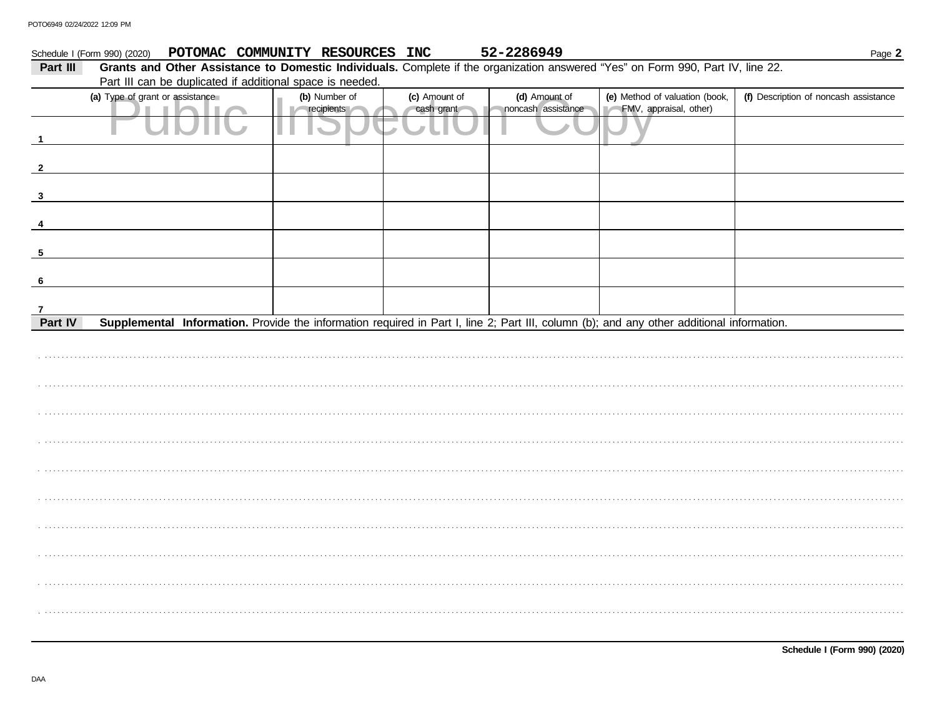#### 52-2286949 POTOMAC COMMUNITY RESOURCES INC Schedule I (Form 990) (2020)

| Part III     | Grants and Other Assistance to Domestic Individuals. Complete if the organization answered "Yes" on Form 990, Part IV, line 22.           |               |               |                    |                                |                                       |  |
|--------------|-------------------------------------------------------------------------------------------------------------------------------------------|---------------|---------------|--------------------|--------------------------------|---------------------------------------|--|
|              | Part III can be duplicated if additional space is needed.                                                                                 |               |               |                    |                                |                                       |  |
|              | (a) Type of grant or assistance                                                                                                           | (b) Number of | (c) Amount of | (d) Amount of      | (e) Method of valuation (book, | (f) Description of noncash assistance |  |
|              |                                                                                                                                           | recipients    | cash grant    | noncash assistance | FMV, appraisal, other)         |                                       |  |
|              |                                                                                                                                           |               |               |                    |                                |                                       |  |
|              |                                                                                                                                           |               |               |                    |                                |                                       |  |
| 3            |                                                                                                                                           |               |               |                    |                                |                                       |  |
| 4            |                                                                                                                                           |               |               |                    |                                |                                       |  |
| -5           |                                                                                                                                           |               |               |                    |                                |                                       |  |
| 6            |                                                                                                                                           |               |               |                    |                                |                                       |  |
| $\mathbf{7}$ |                                                                                                                                           |               |               |                    |                                |                                       |  |
| Part IV      | Supplemental Information. Provide the information required in Part I, line 2; Part III, column (b); and any other additional information. |               |               |                    |                                |                                       |  |
|              |                                                                                                                                           |               |               |                    |                                |                                       |  |
|              |                                                                                                                                           |               |               |                    |                                |                                       |  |
|              |                                                                                                                                           |               |               |                    |                                |                                       |  |
|              |                                                                                                                                           |               |               |                    |                                |                                       |  |
|              |                                                                                                                                           |               |               |                    |                                |                                       |  |
|              |                                                                                                                                           |               |               |                    |                                |                                       |  |
|              |                                                                                                                                           |               |               |                    |                                |                                       |  |
|              |                                                                                                                                           |               |               |                    |                                |                                       |  |
|              |                                                                                                                                           |               |               |                    |                                |                                       |  |
|              |                                                                                                                                           |               |               |                    |                                |                                       |  |
|              |                                                                                                                                           |               |               |                    |                                |                                       |  |
|              |                                                                                                                                           |               |               |                    |                                |                                       |  |
|              |                                                                                                                                           |               |               |                    |                                |                                       |  |
|              |                                                                                                                                           |               |               |                    |                                |                                       |  |
|              |                                                                                                                                           |               |               |                    |                                |                                       |  |
|              |                                                                                                                                           |               |               |                    |                                |                                       |  |
|              |                                                                                                                                           |               |               |                    |                                |                                       |  |
|              |                                                                                                                                           |               |               |                    |                                |                                       |  |
|              |                                                                                                                                           |               |               |                    |                                |                                       |  |
|              |                                                                                                                                           |               |               |                    |                                |                                       |  |

Page 2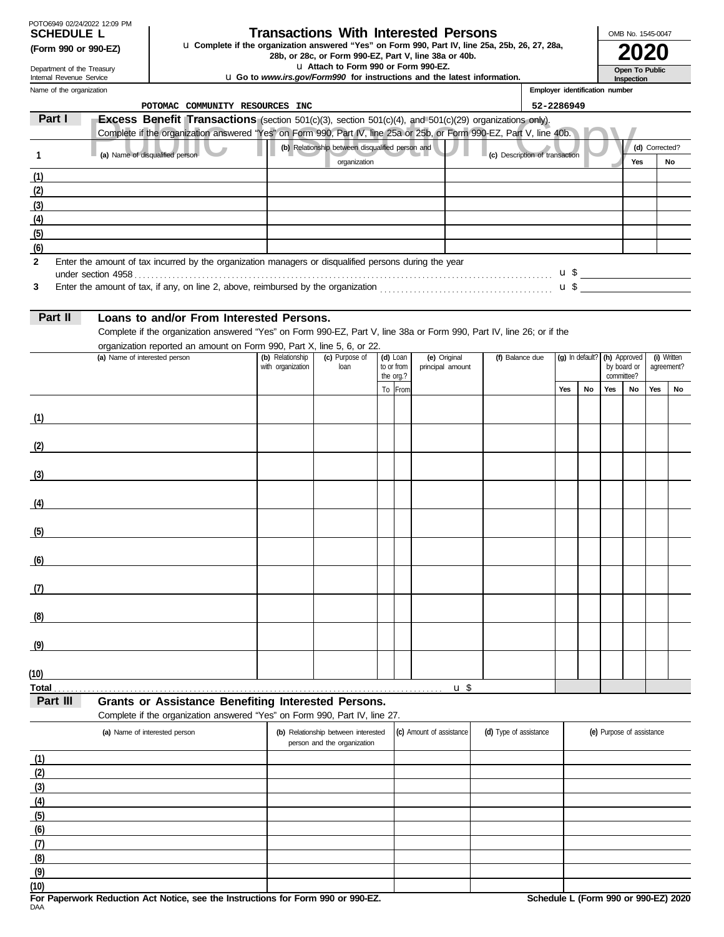| POTO6949 02/24/2022 12:09 PM |
|------------------------------|
| <b>SCHEDULE L</b>            |
| (Form 990 or 990-EZ)         |

## **Transactions With Interested Persons**

**(Form 990 or 990-EZ) and Complete if the organization answered "Yes" on Form 990, Part IV, line 25a, 25b, 26, 27, 28a,<br>28b, or 28c, or Form 990-EZ, Part V, line 38a or 40b.<br><b>2020** 

u **Attach to Form 990 or Form 990-EZ.**

u **Go to** *www.irs.gov/Form990* **for instructions and the latest information.**

Name of the organization Department of the Treasury Internal Revenue Service

#### **Inspection Employer identification number**

**Open To Public**

OMB No. 1545-0047

|              |          | POTOMAC COMMUNITY RESOURCES INC                                                                                       |                   |                                                  |                         |                          |                                | 52-2286949 |                 |     |                           |                |             |
|--------------|----------|-----------------------------------------------------------------------------------------------------------------------|-------------------|--------------------------------------------------|-------------------------|--------------------------|--------------------------------|------------|-----------------|-----|---------------------------|----------------|-------------|
|              | Part I   | <b>Excess Benefit Transactions</b> (section 501(c)(3), section 501(c)(4), and 501(c)(29) organizations only).         |                   |                                                  |                         |                          |                                |            |                 |     |                           |                |             |
|              |          | Complete if the organization answered "Yes" on Form 990, Part IV, line 25a or 25b, or Form 990-EZ, Part V, line 40b.  |                   |                                                  |                         |                          |                                |            |                 |     |                           |                |             |
| 1            |          | (a) Name of disqualified person                                                                                       |                   | (b) Relationship between disqualified person and |                         |                          | (c) Description of transaction |            |                 |     |                           | (d) Corrected? |             |
|              |          |                                                                                                                       |                   | organization                                     |                         |                          |                                |            |                 |     | Yes                       |                | No          |
| (1)          |          |                                                                                                                       |                   |                                                  |                         |                          |                                |            |                 |     |                           |                |             |
| (2)          |          |                                                                                                                       |                   |                                                  |                         |                          |                                |            |                 |     |                           |                |             |
| (3)          |          |                                                                                                                       |                   |                                                  |                         |                          |                                |            |                 |     |                           |                |             |
| (4)          |          |                                                                                                                       |                   |                                                  |                         |                          |                                |            |                 |     |                           |                |             |
| (5)          |          |                                                                                                                       |                   |                                                  |                         |                          |                                |            |                 |     |                           |                |             |
| (6)          |          |                                                                                                                       |                   |                                                  |                         |                          |                                |            |                 |     |                           |                |             |
| $\mathbf{2}$ |          | Enter the amount of tax incurred by the organization managers or disqualified persons during the year                 |                   |                                                  |                         |                          |                                |            |                 |     |                           |                |             |
| 3            |          |                                                                                                                       |                   |                                                  |                         |                          |                                |            |                 |     |                           |                |             |
|              |          |                                                                                                                       |                   |                                                  |                         |                          |                                |            |                 |     |                           |                |             |
|              | Part II  | Loans to and/or From Interested Persons.                                                                              |                   |                                                  |                         |                          |                                |            |                 |     |                           |                |             |
|              |          | Complete if the organization answered "Yes" on Form 990-EZ, Part V, line 38a or Form 990, Part IV, line 26; or if the |                   |                                                  |                         |                          |                                |            |                 |     |                           |                |             |
|              |          | organization reported an amount on Form 990, Part X, line 5, 6, or 22.                                                |                   |                                                  |                         |                          |                                |            |                 |     |                           |                |             |
|              |          | (a) Name of interested person                                                                                         | (b) Relationship  | (c) Purpose of                                   | (d) Loan                | (e) Original             | (f) Balance due                |            | (g) In default? |     | (h) Approved              |                | (i) Written |
|              |          |                                                                                                                       | with organization | loan                                             | to or from<br>the org.? | principal amount         |                                |            |                 |     | by board or<br>committee? | agreement?     |             |
|              |          |                                                                                                                       |                   |                                                  | To From                 |                          |                                | Yes        | No              | Yes | No                        | Yes            | No          |
|              |          |                                                                                                                       |                   |                                                  |                         |                          |                                |            |                 |     |                           |                |             |
| (1)          |          |                                                                                                                       |                   |                                                  |                         |                          |                                |            |                 |     |                           |                |             |
|              |          |                                                                                                                       |                   |                                                  |                         |                          |                                |            |                 |     |                           |                |             |
| (2)          |          |                                                                                                                       |                   |                                                  |                         |                          |                                |            |                 |     |                           |                |             |
|              |          |                                                                                                                       |                   |                                                  |                         |                          |                                |            |                 |     |                           |                |             |
| (3)          |          |                                                                                                                       |                   |                                                  |                         |                          |                                |            |                 |     |                           |                |             |
|              |          |                                                                                                                       |                   |                                                  |                         |                          |                                |            |                 |     |                           |                |             |
| (4)          |          |                                                                                                                       |                   |                                                  |                         |                          |                                |            |                 |     |                           |                |             |
|              |          |                                                                                                                       |                   |                                                  |                         |                          |                                |            |                 |     |                           |                |             |
| (5)          |          |                                                                                                                       |                   |                                                  |                         |                          |                                |            |                 |     |                           |                |             |
|              |          |                                                                                                                       |                   |                                                  |                         |                          |                                |            |                 |     |                           |                |             |
| (6)          |          |                                                                                                                       |                   |                                                  |                         |                          |                                |            |                 |     |                           |                |             |
|              |          |                                                                                                                       |                   |                                                  |                         |                          |                                |            |                 |     |                           |                |             |
| (7)          |          |                                                                                                                       |                   |                                                  |                         |                          |                                |            |                 |     |                           |                |             |
|              |          |                                                                                                                       |                   |                                                  |                         |                          |                                |            |                 |     |                           |                |             |
| (8)          |          |                                                                                                                       |                   |                                                  |                         |                          |                                |            |                 |     |                           |                |             |
|              |          |                                                                                                                       |                   |                                                  |                         |                          |                                |            |                 |     |                           |                |             |
| (9)          |          |                                                                                                                       |                   |                                                  |                         |                          |                                |            |                 |     |                           |                |             |
| (10)         |          |                                                                                                                       |                   |                                                  |                         |                          |                                |            |                 |     |                           |                |             |
| <b>Total</b> |          |                                                                                                                       |                   |                                                  |                         | $\mathbf{u}$             |                                |            |                 |     |                           |                |             |
|              | Part III | <b>Grants or Assistance Benefiting Interested Persons.</b>                                                            |                   |                                                  |                         |                          |                                |            |                 |     |                           |                |             |
|              |          | Complete if the organization answered "Yes" on Form 990, Part IV, line 27.                                            |                   |                                                  |                         |                          |                                |            |                 |     |                           |                |             |
|              |          | (a) Name of interested person                                                                                         |                   | (b) Relationship between interested              |                         | (c) Amount of assistance | (d) Type of assistance         |            |                 |     | (e) Purpose of assistance |                |             |
|              |          |                                                                                                                       |                   | person and the organization                      |                         |                          |                                |            |                 |     |                           |                |             |
| (1)          |          |                                                                                                                       |                   |                                                  |                         |                          |                                |            |                 |     |                           |                |             |
| (2)          |          |                                                                                                                       |                   |                                                  |                         |                          |                                |            |                 |     |                           |                |             |
| (3)          |          |                                                                                                                       |                   |                                                  |                         |                          |                                |            |                 |     |                           |                |             |
| (4)          |          |                                                                                                                       |                   |                                                  |                         |                          |                                |            |                 |     |                           |                |             |
| (5)          |          |                                                                                                                       |                   |                                                  |                         |                          |                                |            |                 |     |                           |                |             |
| (6)          |          |                                                                                                                       |                   |                                                  |                         |                          |                                |            |                 |     |                           |                |             |
| (7)          |          |                                                                                                                       |                   |                                                  |                         |                          |                                |            |                 |     |                           |                |             |
| (8)          |          |                                                                                                                       |                   |                                                  |                         |                          |                                |            |                 |     |                           |                |             |
| (9)          |          |                                                                                                                       |                   |                                                  |                         |                          |                                |            |                 |     |                           |                |             |

DAA **For Paperwork Reduction Act Notice, see the Instructions for Form 990 or 990-EZ. Schedule L (Form 990 or 990-EZ) 2020**

**(10)**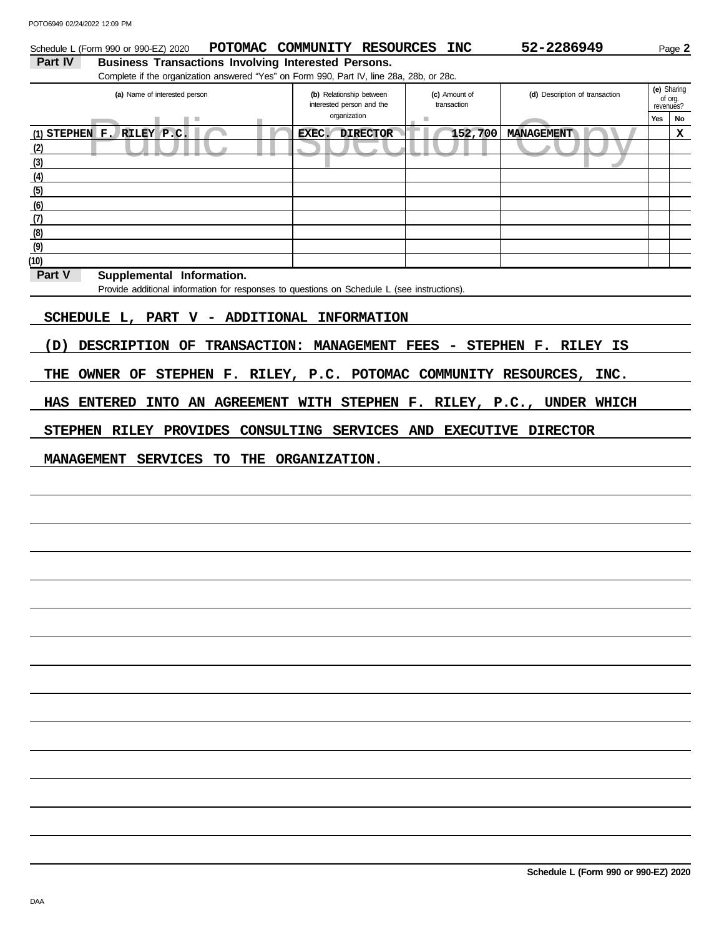| POTO6949 02/24/2022 12:09 PM |                                                                                                                                                        |                                                       |                                         |                                |                                     |
|------------------------------|--------------------------------------------------------------------------------------------------------------------------------------------------------|-------------------------------------------------------|-----------------------------------------|--------------------------------|-------------------------------------|
|                              | Schedule L (Form 990 or 990-EZ) 2020                                                                                                                   | POTOMAC COMMUNITY RESOURCES INC                       |                                         | 52-2286949                     | Page 2                              |
| Part IV                      | <b>Business Transactions Involving Interested Persons.</b><br>Complete if the organization answered "Yes" on Form 990, Part IV, line 28a, 28b, or 28c. |                                                       |                                         |                                |                                     |
|                              | (a) Name of interested person                                                                                                                          | (b) Relationship between<br>interested person and the | (c) Amount of<br>transaction            | (d) Description of transaction | (e) Sharing<br>of org.<br>revenues? |
|                              | I.<br>H.                                                                                                                                               | organization                                          | ×                                       |                                | Yes<br>No                           |
|                              | (1) STEPHEN F. RILEY P.C.                                                                                                                              | EXEC.<br><b>DIRECTOR</b>                              | 152,700                                 | MANAGEMENT                     | x                                   |
| (2)<br>(3)                   |                                                                                                                                                        | m                                                     |                                         |                                |                                     |
| (4)                          |                                                                                                                                                        |                                                       |                                         |                                |                                     |
| (5)                          |                                                                                                                                                        |                                                       |                                         |                                |                                     |
| (6)                          |                                                                                                                                                        |                                                       |                                         |                                |                                     |
| (7)                          |                                                                                                                                                        |                                                       |                                         |                                |                                     |
| (8)<br>(9)                   |                                                                                                                                                        |                                                       |                                         |                                |                                     |
| (10)                         |                                                                                                                                                        |                                                       |                                         |                                |                                     |
| Part V                       | Supplemental Information.                                                                                                                              |                                                       |                                         |                                |                                     |
|                              | Provide additional information for responses to questions on Schedule L (see instructions).                                                            |                                                       |                                         |                                |                                     |
|                              |                                                                                                                                                        |                                                       |                                         |                                |                                     |
|                              | SCHEDULE L, PART V - ADDITIONAL                                                                                                                        | <b>INFORMATION</b>                                    |                                         |                                |                                     |
| (D)                          | DESCRIPTION OF                                                                                                                                         | TRANSACTION: MANAGEMENT                               | <b>FEES</b><br>$\overline{\phantom{a}}$ | STEPHEN F. RILEY IS            |                                     |
|                              |                                                                                                                                                        |                                                       |                                         |                                |                                     |
| <b>THE</b>                   | OWNER OF<br>STEPHEN F. RILEY, P.C. POTOMAC COMMUNITY RESOURCES, INC.                                                                                   |                                                       |                                         |                                |                                     |
| <b>HAS</b>                   | <b>ENTERED</b><br>INTO AN AGREEMENT WITH STEPHEN F. RILEY, P.C., UNDER WHICH                                                                           |                                                       |                                         |                                |                                     |
|                              |                                                                                                                                                        |                                                       |                                         |                                |                                     |
| <b>STEPHEN</b>               | <b>RILEY PROVIDES</b>                                                                                                                                  | CONSULTING SERVICES AND EXECUTIVE DIRECTOR            |                                         |                                |                                     |
|                              |                                                                                                                                                        |                                                       |                                         |                                |                                     |
| MANAGEMENT                   | <b>SERVICES</b><br>TO<br>THE                                                                                                                           | ORGANIZATION.                                         |                                         |                                |                                     |
|                              |                                                                                                                                                        |                                                       |                                         |                                |                                     |
|                              |                                                                                                                                                        |                                                       |                                         |                                |                                     |
|                              |                                                                                                                                                        |                                                       |                                         |                                |                                     |
|                              |                                                                                                                                                        |                                                       |                                         |                                |                                     |
|                              |                                                                                                                                                        |                                                       |                                         |                                |                                     |
|                              |                                                                                                                                                        |                                                       |                                         |                                |                                     |
|                              |                                                                                                                                                        |                                                       |                                         |                                |                                     |
|                              |                                                                                                                                                        |                                                       |                                         |                                |                                     |
|                              |                                                                                                                                                        |                                                       |                                         |                                |                                     |
|                              |                                                                                                                                                        |                                                       |                                         |                                |                                     |
|                              |                                                                                                                                                        |                                                       |                                         |                                |                                     |
|                              |                                                                                                                                                        |                                                       |                                         |                                |                                     |
|                              |                                                                                                                                                        |                                                       |                                         |                                |                                     |
|                              |                                                                                                                                                        |                                                       |                                         |                                |                                     |
|                              |                                                                                                                                                        |                                                       |                                         |                                |                                     |
|                              |                                                                                                                                                        |                                                       |                                         |                                |                                     |
|                              |                                                                                                                                                        |                                                       |                                         |                                |                                     |
|                              |                                                                                                                                                        |                                                       |                                         |                                |                                     |
|                              |                                                                                                                                                        |                                                       |                                         |                                |                                     |
|                              |                                                                                                                                                        |                                                       |                                         |                                |                                     |
|                              |                                                                                                                                                        |                                                       |                                         |                                |                                     |
|                              |                                                                                                                                                        |                                                       |                                         |                                |                                     |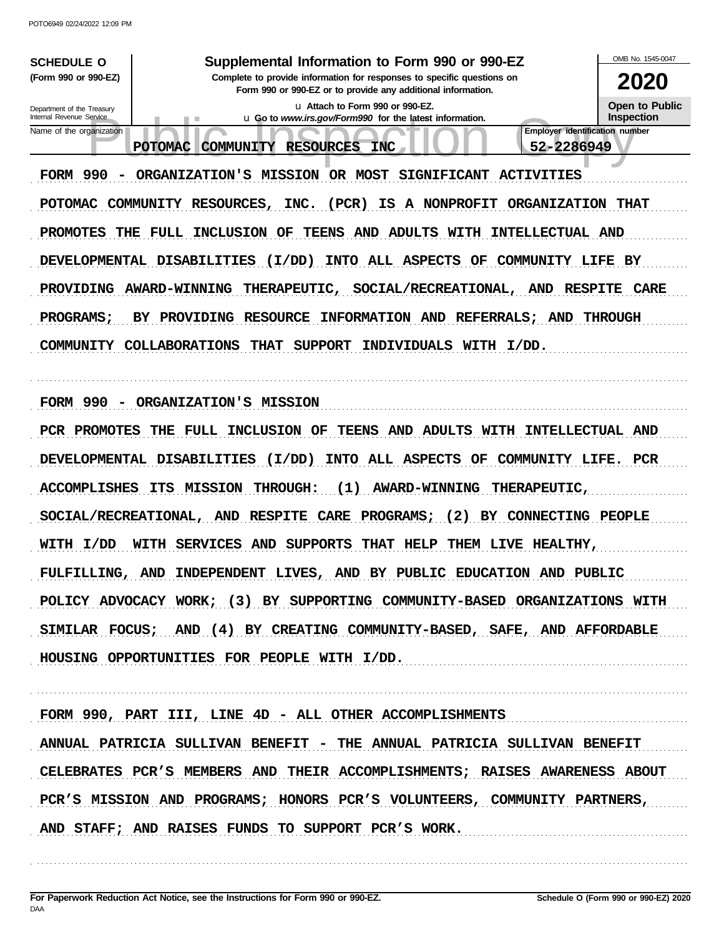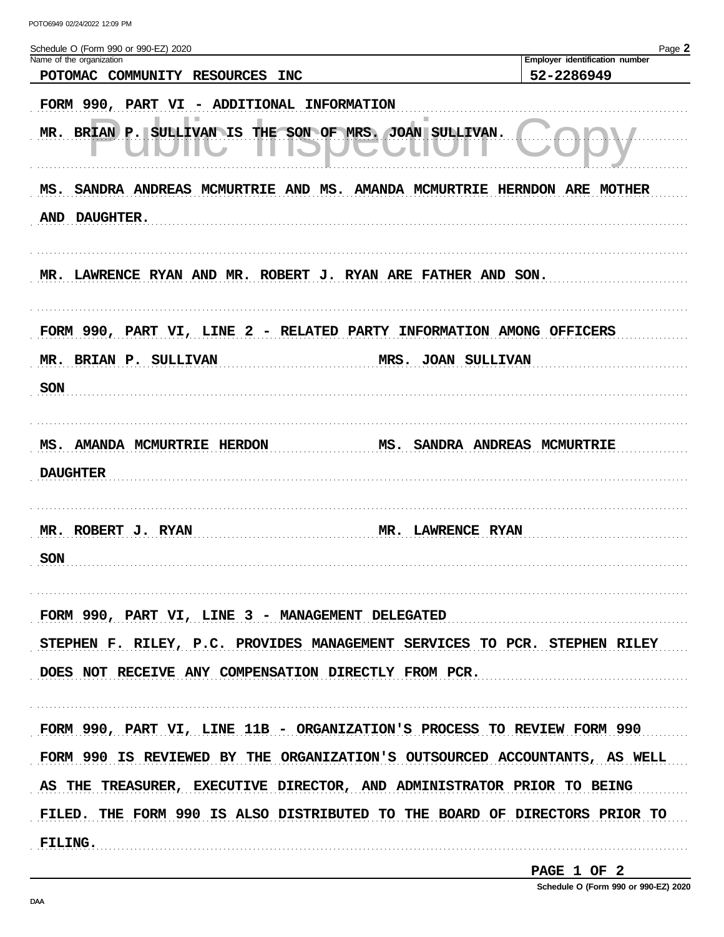| Schedule O (Form 990 or 990-EZ) 2020                                                                  | Page 2                         |
|-------------------------------------------------------------------------------------------------------|--------------------------------|
| Name of the organization                                                                              | Employer identification number |
| POTOMAC COMMUNITY RESOURCES<br><b>INC</b>                                                             | 52-2286949                     |
| FORM 990, PART VI - ADDITIONAL INFORMATION<br>MR. BRIAN P. SULLIVAN IS THE SON OF MRS. JOAN SULLIVAN. |                                |
| MS. SANDRA ANDREAS MCMURTRIE AND MS. AMANDA MCMURTRIE HERNDON ARE MOTHER<br>AND DAUGHTER.             |                                |
| MR. LAWRENCE RYAN AND MR. ROBERT J. RYAN ARE FATHER AND SON.                                          |                                |
| FORM 990, PART VI, LINE 2 - RELATED PARTY INFORMATION AMONG OFFICERS                                  |                                |
| MR. BRIAN P. SULLIVAN                                                                                 | MRS. JOAN SULLIVAN             |
|                                                                                                       |                                |
| SON                                                                                                   |                                |
|                                                                                                       |                                |
| MS. AMANDA MCMURTRIE HERDON                                                                           | MS. SANDRA ANDREAS MCMURTRIE   |
|                                                                                                       |                                |
| <b>DAUGHTER</b>                                                                                       |                                |
|                                                                                                       |                                |
| MR. ROBERT J. RYAN                                                                                    | MR. LAWRENCE RYAN              |
|                                                                                                       |                                |
| SON                                                                                                   |                                |
|                                                                                                       |                                |
| FORM 990, PART VI, LINE 3 - MANAGEMENT DELEGATED                                                      |                                |
|                                                                                                       |                                |
| STEPHEN F. RILEY, P.C. PROVIDES MANAGEMENT SERVICES TO PCR. STEPHEN RILEY                             |                                |
| DOES NOT RECEIVE ANY COMPENSATION DIRECTLY FROM PCR.                                                  |                                |
|                                                                                                       |                                |
|                                                                                                       |                                |
| FORM 990, PART VI, LINE 11B - ORGANIZATION'S PROCESS TO REVIEW FORM 990                               |                                |
| FORM 990 IS REVIEWED BY THE ORGANIZATION'S OUTSOURCED ACCOUNTANTS, AS WELL                            |                                |
| AS THE TREASURER, EXECUTIVE DIRECTOR, AND ADMINISTRATOR PRIOR TO BEING                                |                                |
|                                                                                                       |                                |
| FILED. THE FORM 990 IS ALSO DISTRIBUTED TO THE BOARD OF DIRECTORS PRIOR TO                            |                                |
| FILING.                                                                                               |                                |
|                                                                                                       |                                |

PAGE 1 OF 2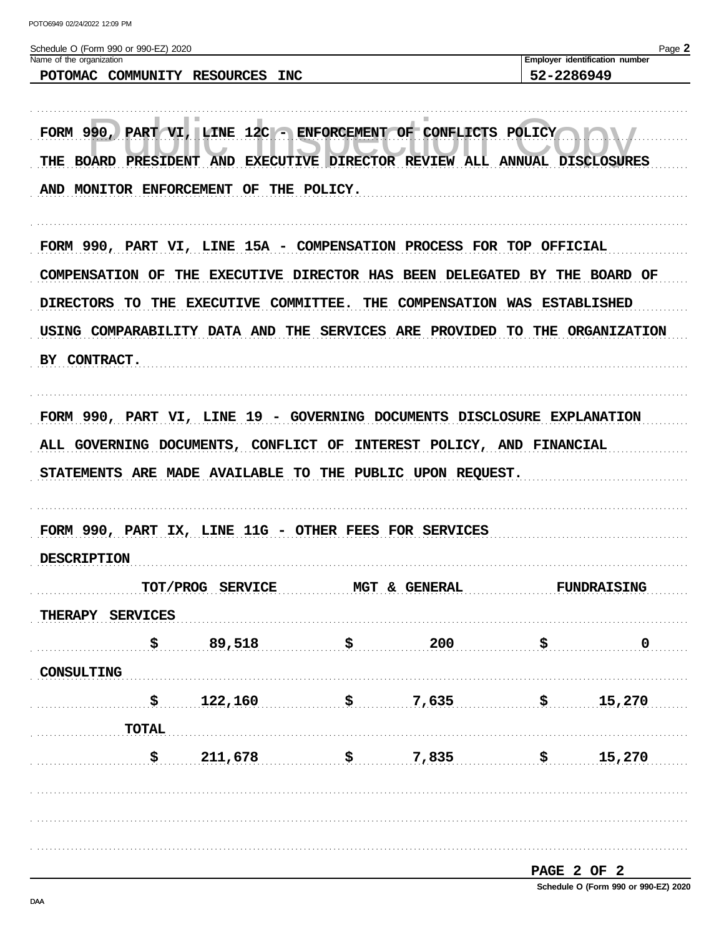| Schedule O (Form 990 or 990-EZ) 2020 | Page 2                         |
|--------------------------------------|--------------------------------|
| Name of the organization             | Employer identification number |
| POTOMAC<br>COMMINITY<br>RESOURCES    | 52-2286949<br><b>INC</b>       |
|                                      |                                |
|                                      |                                |
| -----                                | . .<br>---                     |

| FORM 990, PART VI, LINE 12C - ENFORCEMENT OF CONFLICTS POLICY<br><b>BOARD PRESIDENT</b><br>THE |                 | <b>AND</b>                                                                 |           | EXECUTIVE DIRECTOR REVIEW ALL ANNUAL DISCLOSURES |                    |
|------------------------------------------------------------------------------------------------|-----------------|----------------------------------------------------------------------------|-----------|--------------------------------------------------|--------------------|
| AND MONITOR ENFORCEMENT                                                                        |                 | OF THE POLICY.                                                             |           |                                                  |                    |
|                                                                                                |                 | FORM 990, PART VI, LINE 15A - COMPENSATION PROCESS FOR TOP OFFICIAL        |           |                                                  |                    |
| <b>COMPENSATION OF</b>                                                                         |                 | THE EXECUTIVE DIRECTOR HAS BEEN DELEGATED BY THE BOARD OF                  |           |                                                  |                    |
| <b>DIRECTORS</b>                                                                               |                 | TO THE EXECUTIVE COMMITTEE.                                                |           | THE COMPENSATION WAS ESTABLISHED                 |                    |
|                                                                                                |                 | USING COMPARABILITY DATA AND THE SERVICES ARE PROVIDED TO THE ORGANIZATION |           |                                                  |                    |
| BY CONTRACT.                                                                                   |                 |                                                                            |           |                                                  |                    |
|                                                                                                |                 |                                                                            |           |                                                  |                    |
|                                                                                                |                 | FORM 990, PART VI, LINE 19 - GOVERNING DOCUMENTS DISCLOSURE EXPLANATION    |           |                                                  |                    |
|                                                                                                |                 | ALL GOVERNING DOCUMENTS, CONFLICT OF INTEREST POLICY, AND FINANCIAL        |           |                                                  |                    |
|                                                                                                |                 |                                                                            |           |                                                  |                    |
|                                                                                                |                 | STATEMENTS ARE MADE AVAILABLE TO THE PUBLIC UPON REQUEST.                  |           |                                                  |                    |
|                                                                                                |                 |                                                                            |           |                                                  |                    |
|                                                                                                |                 | FORM 990, PART IX, LINE 11G - OTHER FEES FOR SERVICES                      |           |                                                  |                    |
| DESCRIPTION                                                                                    |                 |                                                                            |           |                                                  |                    |
|                                                                                                |                 | TOT/PROG SERVICE                                                           |           | <b>MGT &amp; GENERAL</b>                         | <b>FUNDRAISING</b> |
| <b>THERAPY</b>                                                                                 | <b>SERVICES</b> |                                                                            |           |                                                  |                    |
|                                                                                                | \$              | 89,518                                                                     | \$        | 200                                              | \$<br>$\mathbf 0$  |
|                                                                                                |                 |                                                                            |           |                                                  |                    |
|                                                                                                | \$              | 122,160                                                                    | <b>\$</b> | 7,635                                            | 15,270             |
| CONSULTING                                                                                     | <b>TOTAL</b>    |                                                                            |           |                                                  |                    |
|                                                                                                | \$              | 211,678                                                                    | \$        | 7,835                                            | \$<br>15,270       |
|                                                                                                |                 |                                                                            |           |                                                  |                    |
|                                                                                                |                 |                                                                            |           |                                                  |                    |
|                                                                                                |                 |                                                                            |           |                                                  |                    |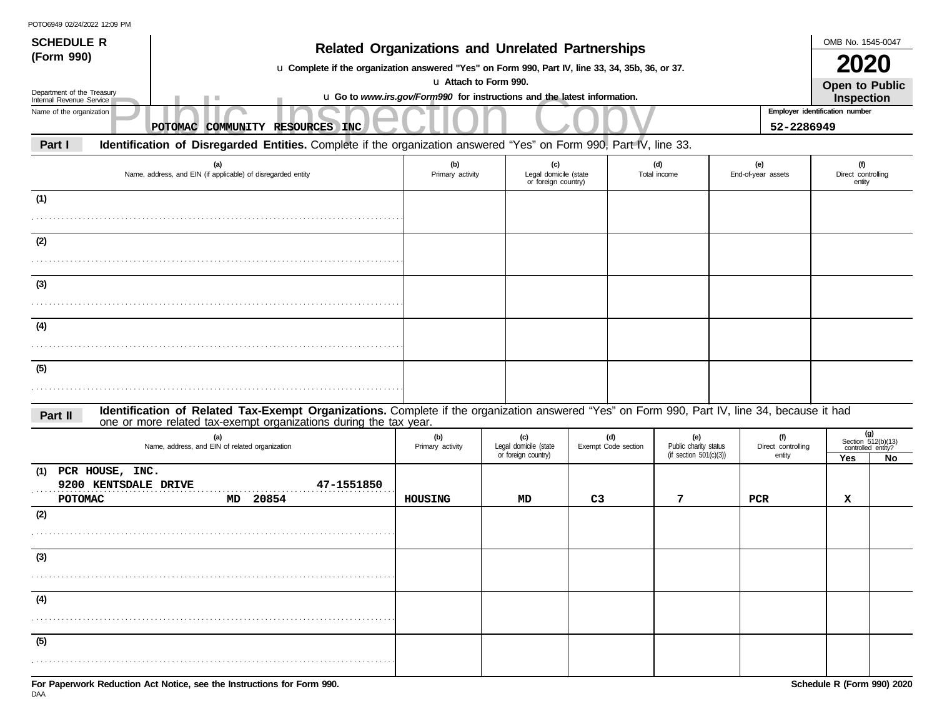| <b>OTOOSTS OLIZ-TIZOZZ TZ.0S I IV</b><br><b>SCHEDULE R</b> |                                                                                                                                                                                                                    |                         |                                                     |                            |                              |                           |                           | OMB No. 1545-0047                                 |    |  |  |
|------------------------------------------------------------|--------------------------------------------------------------------------------------------------------------------------------------------------------------------------------------------------------------------|-------------------------|-----------------------------------------------------|----------------------------|------------------------------|---------------------------|---------------------------|---------------------------------------------------|----|--|--|
| (Form 990)                                                 | <b>Related Organizations and Unrelated Partnerships</b><br>u Complete if the organization answered "Yes" on Form 990, Part IV, line 33, 34, 35b, 36, or 37.                                                        |                         |                                                     |                            |                              |                           |                           |                                                   |    |  |  |
| Department of the Treasury                                 | u Attach to Form 990.<br>u Go to www.irs.gov/Form990 for instructions and the latest information.<br>Internal Revenue Service<br>٠                                                                                 |                         |                                                     |                            |                              |                           |                           |                                                   |    |  |  |
| Name of the organization                                   | Employer identification number                                                                                                                                                                                     |                         |                                                     |                            |                              |                           |                           |                                                   |    |  |  |
|                                                            | POTOMAC COMMUNITY RESOURCES INC                                                                                                                                                                                    |                         |                                                     |                            |                              |                           | 52-2286949                |                                                   |    |  |  |
| Part I                                                     | Identification of Disregarded Entities. Complete if the organization answered "Yes" on Form 990, Part IV, line 33.                                                                                                 |                         |                                                     |                            |                              |                           |                           |                                                   |    |  |  |
|                                                            | (a)<br>Name, address, and EIN (if applicable) of disregarded entity                                                                                                                                                | (b)<br>Primary activity | (c)<br>Legal domicile (state<br>or foreign country) |                            | (d)<br>Total income          | (e)<br>End-of-year assets |                           | (f)<br>Direct controlling<br>entity               |    |  |  |
| (1)                                                        |                                                                                                                                                                                                                    |                         |                                                     |                            |                              |                           |                           |                                                   |    |  |  |
|                                                            |                                                                                                                                                                                                                    |                         |                                                     |                            |                              |                           |                           |                                                   |    |  |  |
| (2)                                                        |                                                                                                                                                                                                                    |                         |                                                     |                            |                              |                           |                           |                                                   |    |  |  |
|                                                            |                                                                                                                                                                                                                    |                         |                                                     |                            |                              |                           |                           |                                                   |    |  |  |
| (3)                                                        |                                                                                                                                                                                                                    |                         |                                                     |                            |                              |                           |                           |                                                   |    |  |  |
|                                                            |                                                                                                                                                                                                                    |                         |                                                     |                            |                              |                           |                           |                                                   |    |  |  |
| (4)                                                        |                                                                                                                                                                                                                    |                         |                                                     |                            |                              |                           |                           |                                                   |    |  |  |
|                                                            |                                                                                                                                                                                                                    |                         |                                                     |                            |                              |                           |                           |                                                   |    |  |  |
| (5)                                                        |                                                                                                                                                                                                                    |                         |                                                     |                            |                              |                           |                           |                                                   |    |  |  |
|                                                            |                                                                                                                                                                                                                    |                         |                                                     |                            |                              |                           |                           |                                                   |    |  |  |
|                                                            |                                                                                                                                                                                                                    |                         |                                                     |                            |                              |                           |                           |                                                   |    |  |  |
| Part II                                                    | Identification of Related Tax-Exempt Organizations. Complete if the organization answered "Yes" on Form 990, Part IV, line 34, because it had<br>one or more related tax-exempt organizations during the tax year. |                         |                                                     |                            |                              |                           |                           |                                                   |    |  |  |
|                                                            | (a)<br>Name, address, and EIN of related organization                                                                                                                                                              | (b)<br>Primary activity | (c)<br>Legal domicile (state                        | (d)<br>Exempt Code section | (e)<br>Public charity status |                           | (f)<br>Direct controlling | (g)<br>Section $512(b)(13)$<br>controlled entity? |    |  |  |
|                                                            |                                                                                                                                                                                                                    |                         | or foreign country)                                 |                            | (if section $501(c)(3)$ )    |                           | entity                    | Yes                                               | No |  |  |
| PCR HOUSE, INC.<br>(1)<br>9200 KENTSDALE DRIVE             | 47-1551850                                                                                                                                                                                                         |                         |                                                     |                            |                              |                           |                           |                                                   |    |  |  |
| POTOMAC                                                    | 20854<br>MD                                                                                                                                                                                                        | HOUSING                 | MD                                                  | C <sub>3</sub>             | 7                            | <b>PCR</b>                |                           | x                                                 |    |  |  |
| (2)                                                        |                                                                                                                                                                                                                    |                         |                                                     |                            |                              |                           |                           |                                                   |    |  |  |
|                                                            |                                                                                                                                                                                                                    |                         |                                                     |                            |                              |                           |                           |                                                   |    |  |  |
| (3)                                                        |                                                                                                                                                                                                                    |                         |                                                     |                            |                              |                           |                           |                                                   |    |  |  |
|                                                            |                                                                                                                                                                                                                    |                         |                                                     |                            |                              |                           |                           |                                                   |    |  |  |
| (4)                                                        |                                                                                                                                                                                                                    |                         |                                                     |                            |                              |                           |                           |                                                   |    |  |  |
|                                                            |                                                                                                                                                                                                                    |                         |                                                     |                            |                              |                           |                           |                                                   |    |  |  |
| (5)                                                        |                                                                                                                                                                                                                    |                         |                                                     |                            |                              |                           |                           |                                                   |    |  |  |
|                                                            |                                                                                                                                                                                                                    |                         |                                                     |                            |                              |                           |                           |                                                   |    |  |  |
|                                                            |                                                                                                                                                                                                                    |                         |                                                     |                            |                              |                           |                           |                                                   |    |  |  |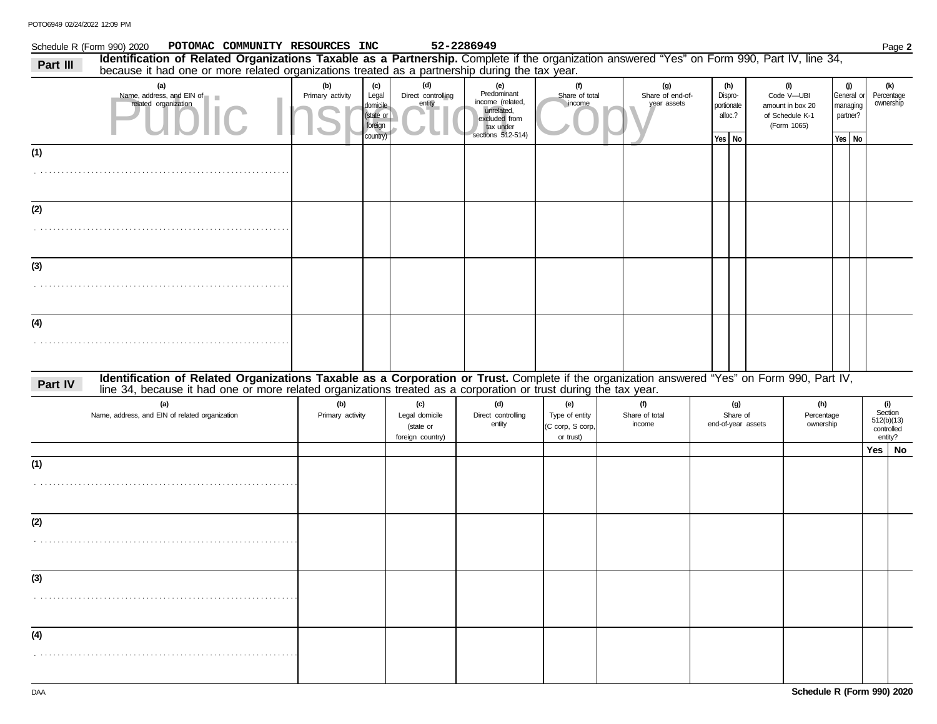|          | Schedule R (Form 990) 2020<br>POTOMAC COMMUNITY RESOURCES INC                                                                                                                                                                                  |                         |                                                       |                                                        | 52-2286949                                                                                       |                                                        |                                 |                                            |                                                                  |                                                     | Page 2                                                |
|----------|------------------------------------------------------------------------------------------------------------------------------------------------------------------------------------------------------------------------------------------------|-------------------------|-------------------------------------------------------|--------------------------------------------------------|--------------------------------------------------------------------------------------------------|--------------------------------------------------------|---------------------------------|--------------------------------------------|------------------------------------------------------------------|-----------------------------------------------------|-------------------------------------------------------|
| Part III | Identification of Related Organizations Taxable as a Partnership. Complete if the organization answered "Yes" on Form 990, Part IV, line 34,<br>because it had one or more related organizations treated as a partnership during the tax year. |                         |                                                       |                                                        |                                                                                                  |                                                        |                                 |                                            |                                                                  |                                                     |                                                       |
|          | (a)                                                                                                                                                                                                                                            | (b)                     | (c)                                                   | (d)                                                    | (e)                                                                                              | (f)                                                    | (g)                             | (h)                                        | (i)                                                              | $\omega$                                            | (k)                                                   |
|          | Name, address, and EIN of $\Box$ related organization                                                                                                                                                                                          | Primary activity        | Legal<br>domicile<br>(state or<br>foreign<br>country) | Direct controlling<br>entity                           | Predominant<br>income (related,<br>unrelated,<br>excluded from<br>tax under<br>sections 512-514) | Share of total<br>income                               | Share of end-of-<br>year assets | Dispro-<br>portionate<br>alloc.?<br>Yes No | Code V-UBI<br>amount in box 20<br>of Schedule K-1<br>(Form 1065) | General or<br>managing<br>partner?<br>$Yes \mid No$ | Percentage<br>ownership                               |
| (1)      |                                                                                                                                                                                                                                                |                         |                                                       |                                                        |                                                                                                  |                                                        |                                 |                                            |                                                                  |                                                     |                                                       |
| (2)      |                                                                                                                                                                                                                                                |                         |                                                       |                                                        |                                                                                                  |                                                        |                                 |                                            |                                                                  |                                                     |                                                       |
| (3)      |                                                                                                                                                                                                                                                |                         |                                                       |                                                        |                                                                                                  |                                                        |                                 |                                            |                                                                  |                                                     |                                                       |
| (4)      |                                                                                                                                                                                                                                                |                         |                                                       |                                                        |                                                                                                  |                                                        |                                 |                                            |                                                                  |                                                     |                                                       |
| Part IV  | Identification of Related Organizations Taxable as a Corporation or Trust. Complete if the organization answered "Yes" on Form 990, Part IV,                                                                                                   |                         |                                                       |                                                        |                                                                                                  |                                                        |                                 |                                            |                                                                  |                                                     |                                                       |
|          | line 34, because it had one or more related organizations treated as a corporation or trust during the tax year.<br>(a)<br>Name, address, and EIN of related organization                                                                      | (b)<br>Primary activity |                                                       | (c)<br>Legal domicile<br>(state or<br>foreign country) | (d)<br>Direct controlling<br>entity                                                              | (e)<br>Type of entity<br>(C corp, S corp,<br>or trust) | (f)<br>Share of total<br>income | (g)<br>Share of<br>end-of-year assets      | (h)<br>Percentage<br>ownership                                   |                                                     | (i)<br>Section<br>512(b)(13)<br>controlled<br>entity? |
|          |                                                                                                                                                                                                                                                |                         |                                                       |                                                        |                                                                                                  |                                                        |                                 |                                            |                                                                  |                                                     | Yes   No                                              |
| (1)      |                                                                                                                                                                                                                                                |                         |                                                       |                                                        |                                                                                                  |                                                        |                                 |                                            |                                                                  |                                                     |                                                       |
| (2)      |                                                                                                                                                                                                                                                |                         |                                                       |                                                        |                                                                                                  |                                                        |                                 |                                            |                                                                  |                                                     |                                                       |
| (3)      |                                                                                                                                                                                                                                                |                         |                                                       |                                                        |                                                                                                  |                                                        |                                 |                                            |                                                                  |                                                     |                                                       |
| (4)      |                                                                                                                                                                                                                                                |                         |                                                       |                                                        |                                                                                                  |                                                        |                                 |                                            |                                                                  |                                                     |                                                       |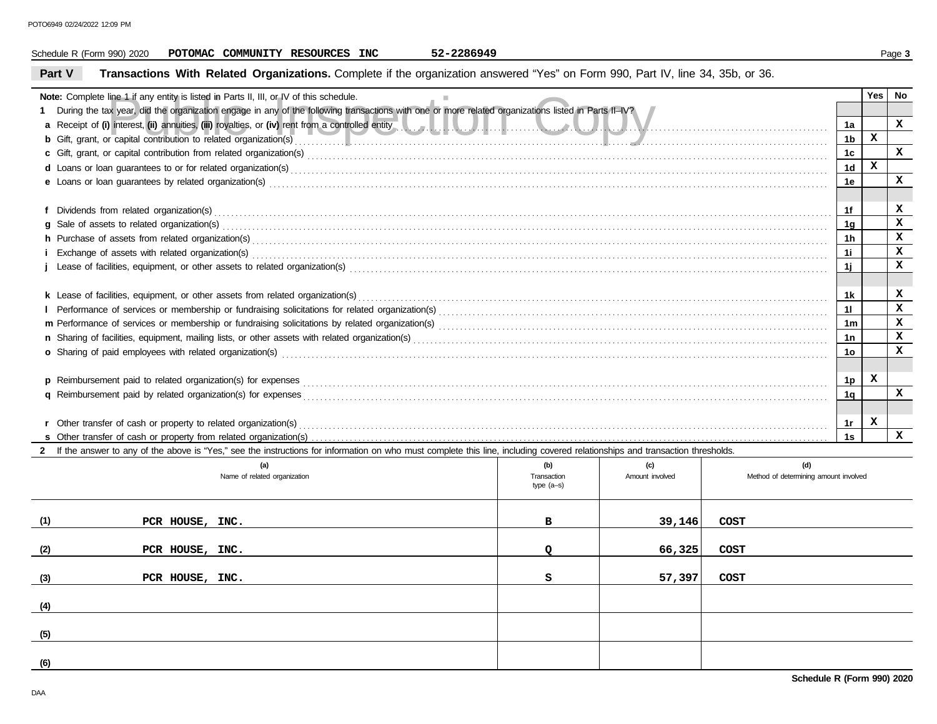## Schedule R (Form 990) 2020 Page **3 POTOMAC COMMUNITY RESOURCES INC 52-2286949**

| Part V<br>Transactions With Related Organizations. Complete if the organization answered "Yes" on Form 990, Part IV, line 34, 35b, or 36.                                                                                                         |              |              |
|---------------------------------------------------------------------------------------------------------------------------------------------------------------------------------------------------------------------------------------------------|--------------|--------------|
| Note: Complete line 1 if any entity is listed in Parts II, III, or IV of this schedule.                                                                                                                                                           | Yes          | No           |
| During the tax year, did the organization engage in any of the following transactions with one or more related organizations listed in Parts II-IV?                                                                                               |              |              |
| a Receipt of (i) interest, (ii) annuities, (iii) royalties, or (iv) rent from a controlled entity<br>1a                                                                                                                                           |              | $\mathbf{x}$ |
| 1 <sub>b</sub><br>b Gift, grant, or capital contribution to related organization(s) enters and contact the contribution to related organization(s)                                                                                                | $\mathbf{x}$ |              |
| 1 <sub>c</sub><br>c Gift, grant, or capital contribution from related organization(s) encourse the content of content of the content of the content of the content of the contribution from related organization(s) encourse the content of cont  |              | $\mathbf{x}$ |
| d Loans or loan guarantees to or for related organization(s) encourance contained and contained a contained a contained a contained a contained a contained a contact or for related organization(s) encourance and contact th<br>1 <sub>d</sub>  | $\mathbf{x}$ |              |
| 1e                                                                                                                                                                                                                                                |              | $\mathbf{x}$ |
|                                                                                                                                                                                                                                                   |              |              |
| 1f                                                                                                                                                                                                                                                |              | x            |
| g Sale of assets to related organization(s) with the contract of the contract or contract the contract or contract or contract or contract or contract or contract or contract or contract or contract or contract or contract<br>1g              |              | $\mathbf{x}$ |
| h Purchase of assets from related organization(s) encourance contains and contains a container and container and container and container and container and container and container and container and container and container a<br>1 <sub>h</sub>  |              | $\mathbf x$  |
| 11                                                                                                                                                                                                                                                |              | $\mathbf x$  |
| 1j                                                                                                                                                                                                                                                |              | $\mathbf{x}$ |
|                                                                                                                                                                                                                                                   |              |              |
| 1k                                                                                                                                                                                                                                                |              | x            |
| 11                                                                                                                                                                                                                                                |              | $\mathbf x$  |
| 1 <sub>m</sub>                                                                                                                                                                                                                                    |              | $\mathbf x$  |
| 1n                                                                                                                                                                                                                                                |              | $\mathbf{x}$ |
| o Sharing of paid employees with related organization(s) with the contract the contract of the contract of the contract or space of the contract or space with related organization(s) with the contract of the contract of th<br>10 <sub>o</sub> |              | $\mathbf x$  |
|                                                                                                                                                                                                                                                   |              |              |
| 1p                                                                                                                                                                                                                                                | $\mathbf{x}$ |              |
| 1q                                                                                                                                                                                                                                                |              | x            |
|                                                                                                                                                                                                                                                   |              |              |
| r Other transfer of cash or property to related organization(s) encourse the content of the content of cash or property to related organization(s) encourse the content of cash or property to related organization(s)<br>1r                      | $\mathbf{x}$ |              |
| 1s                                                                                                                                                                                                                                                |              | $\mathbf{x}$ |
| 2 If the answer to any of the above is "Yes," see the instructions for information on who must complete this line, including covered relationships and transaction thresholds.                                                                    |              |              |

|     | (a)<br>Name of related organization | (b)<br>Transaction<br>type (a-s) | (c)<br>Amount involved | (d)<br>Method of determining amount involved |
|-----|-------------------------------------|----------------------------------|------------------------|----------------------------------------------|
| (1) | PCR HOUSE, INC.                     | в                                | 39,146                 | COST                                         |
| (2) | PCR HOUSE, INC.                     | $\Omega$                         | 66,325                 | COST                                         |
| (3) | PCR HOUSE, INC.                     | S                                | 57,397                 | COST                                         |
| (4) |                                     |                                  |                        |                                              |
| (5) |                                     |                                  |                        |                                              |
| (6) |                                     |                                  |                        |                                              |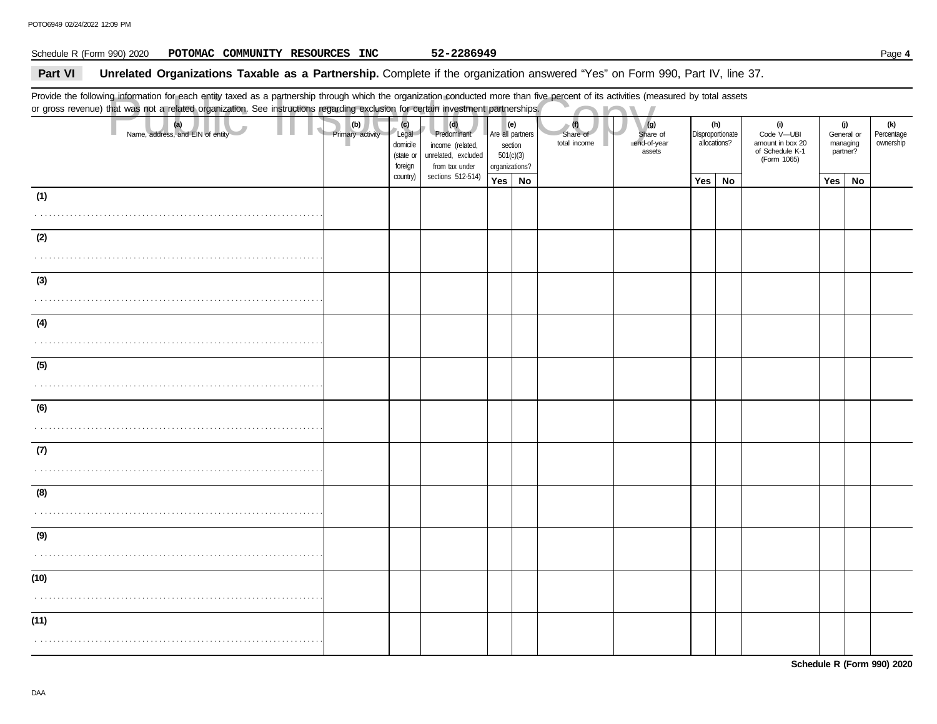### Schedule R (Form 990) 2020 Page **4 POTOMAC COMMUNITY RESOURCES INC 52-2286949**

## Part VI **Unrelated Organizations Taxable as a Partnership.** Complete if the organization answered "Yes" on Form 990, Part IV, line 37.

Provide the following information for each entity taxed as a partnership through which the organization conducted more than five percent of its activities (measured by total assets or gross revenue) that was not a related organization. See instructions regarding exclusion for certain investment partnerships.

| Provide the following information for each entity taxed as a partnership through which the organization conducted more than five percent of its activities (measured by total assets<br>or gross revenue) that was not a related organization. See instructions regarding exclusion for certain investment partnerships. |                                         |  |                         |                                                  |                                                                                 |                                                 |                |                                 |                                          |                                  |     |                                                                         |                                              |    |                                |
|--------------------------------------------------------------------------------------------------------------------------------------------------------------------------------------------------------------------------------------------------------------------------------------------------------------------------|-----------------------------------------|--|-------------------------|--------------------------------------------------|---------------------------------------------------------------------------------|-------------------------------------------------|----------------|---------------------------------|------------------------------------------|----------------------------------|-----|-------------------------------------------------------------------------|----------------------------------------------|----|--------------------------------|
|                                                                                                                                                                                                                                                                                                                          | (a)<br>Name, address, and EIN of entity |  | (b)<br>Primary activity | (c)<br>Legal<br>domicile<br>(state or<br>foreign | (d)<br>Predominant<br>income (related,<br>unrelated, excluded<br>from tax under | Are all partners<br>501(c)(3)<br>organizations? | (e)<br>section | (6)<br>Share of<br>total income | (g)<br>Share of<br>end-of-year<br>assets | Disproportionate<br>allocations? | (h) | (i)<br>Code V-UBI<br>amount in box 20<br>of Schedule K-1<br>(Form 1065) | (j)<br>General or<br>$m$ anaging<br>partner? |    | (k)<br>Percentage<br>ownership |
|                                                                                                                                                                                                                                                                                                                          |                                         |  |                         | country)                                         | sections 512-514)                                                               | Yes No                                          |                |                                 |                                          | Yes                              | No  |                                                                         | Yes                                          | No |                                |
| (1)                                                                                                                                                                                                                                                                                                                      |                                         |  |                         |                                                  |                                                                                 |                                                 |                |                                 |                                          |                                  |     |                                                                         |                                              |    |                                |
| (2)                                                                                                                                                                                                                                                                                                                      |                                         |  |                         |                                                  |                                                                                 |                                                 |                |                                 |                                          |                                  |     |                                                                         |                                              |    |                                |
|                                                                                                                                                                                                                                                                                                                          |                                         |  |                         |                                                  |                                                                                 |                                                 |                |                                 |                                          |                                  |     |                                                                         |                                              |    |                                |
| (3)                                                                                                                                                                                                                                                                                                                      |                                         |  |                         |                                                  |                                                                                 |                                                 |                |                                 |                                          |                                  |     |                                                                         |                                              |    |                                |
|                                                                                                                                                                                                                                                                                                                          |                                         |  |                         |                                                  |                                                                                 |                                                 |                |                                 |                                          |                                  |     |                                                                         |                                              |    |                                |
| (4)                                                                                                                                                                                                                                                                                                                      |                                         |  |                         |                                                  |                                                                                 |                                                 |                |                                 |                                          |                                  |     |                                                                         |                                              |    |                                |
| (5)                                                                                                                                                                                                                                                                                                                      |                                         |  |                         |                                                  |                                                                                 |                                                 |                |                                 |                                          |                                  |     |                                                                         |                                              |    |                                |
|                                                                                                                                                                                                                                                                                                                          |                                         |  |                         |                                                  |                                                                                 |                                                 |                |                                 |                                          |                                  |     |                                                                         |                                              |    |                                |
| (6)                                                                                                                                                                                                                                                                                                                      |                                         |  |                         |                                                  |                                                                                 |                                                 |                |                                 |                                          |                                  |     |                                                                         |                                              |    |                                |
| (7)                                                                                                                                                                                                                                                                                                                      |                                         |  |                         |                                                  |                                                                                 |                                                 |                |                                 |                                          |                                  |     |                                                                         |                                              |    |                                |
| (8)                                                                                                                                                                                                                                                                                                                      |                                         |  |                         |                                                  |                                                                                 |                                                 |                |                                 |                                          |                                  |     |                                                                         |                                              |    |                                |
| (9)                                                                                                                                                                                                                                                                                                                      |                                         |  |                         |                                                  |                                                                                 |                                                 |                |                                 |                                          |                                  |     |                                                                         |                                              |    |                                |
| (10)                                                                                                                                                                                                                                                                                                                     |                                         |  |                         |                                                  |                                                                                 |                                                 |                |                                 |                                          |                                  |     |                                                                         |                                              |    |                                |
|                                                                                                                                                                                                                                                                                                                          |                                         |  |                         |                                                  |                                                                                 |                                                 |                |                                 |                                          |                                  |     |                                                                         |                                              |    |                                |
| (11)                                                                                                                                                                                                                                                                                                                     |                                         |  |                         |                                                  |                                                                                 |                                                 |                |                                 |                                          |                                  |     |                                                                         |                                              |    |                                |
|                                                                                                                                                                                                                                                                                                                          |                                         |  |                         |                                                  |                                                                                 |                                                 |                |                                 |                                          |                                  |     |                                                                         |                                              |    |                                |

**Schedule R (Form 990) 2020**